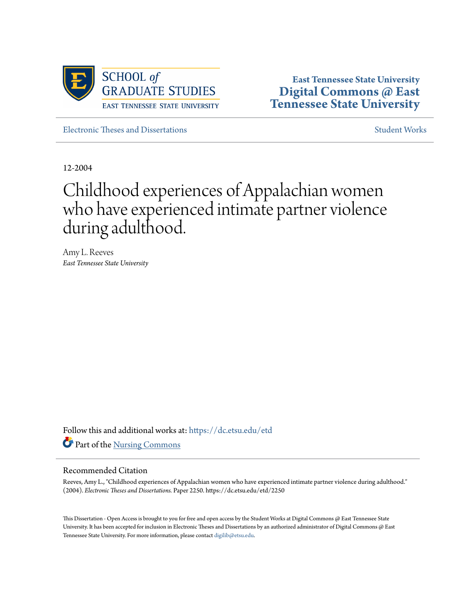

**East Tennessee State University [Digital Commons @ East](https://dc.etsu.edu?utm_source=dc.etsu.edu%2Fetd%2F2250&utm_medium=PDF&utm_campaign=PDFCoverPages) [Tennessee State University](https://dc.etsu.edu?utm_source=dc.etsu.edu%2Fetd%2F2250&utm_medium=PDF&utm_campaign=PDFCoverPages)**

[Electronic Theses and Dissertations](https://dc.etsu.edu/etd?utm_source=dc.etsu.edu%2Fetd%2F2250&utm_medium=PDF&utm_campaign=PDFCoverPages) [Student Works](https://dc.etsu.edu/student-works?utm_source=dc.etsu.edu%2Fetd%2F2250&utm_medium=PDF&utm_campaign=PDFCoverPages) Student Works Student Works

12-2004

# Childhood experiences of Appalachian women who have experienced intimate partner violence during adulthood.

Amy L. Reeves *East Tennessee State University*

Follow this and additional works at: [https://dc.etsu.edu/etd](https://dc.etsu.edu/etd?utm_source=dc.etsu.edu%2Fetd%2F2250&utm_medium=PDF&utm_campaign=PDFCoverPages) Part of the [Nursing Commons](http://network.bepress.com/hgg/discipline/718?utm_source=dc.etsu.edu%2Fetd%2F2250&utm_medium=PDF&utm_campaign=PDFCoverPages)

#### Recommended Citation

Reeves, Amy L., "Childhood experiences of Appalachian women who have experienced intimate partner violence during adulthood." (2004). *Electronic Theses and Dissertations.* Paper 2250. https://dc.etsu.edu/etd/2250

This Dissertation - Open Access is brought to you for free and open access by the Student Works at Digital Commons @ East Tennessee State University. It has been accepted for inclusion in Electronic Theses and Dissertations by an authorized administrator of Digital Commons @ East Tennessee State University. For more information, please contact [digilib@etsu.edu.](mailto:digilib@etsu.edu)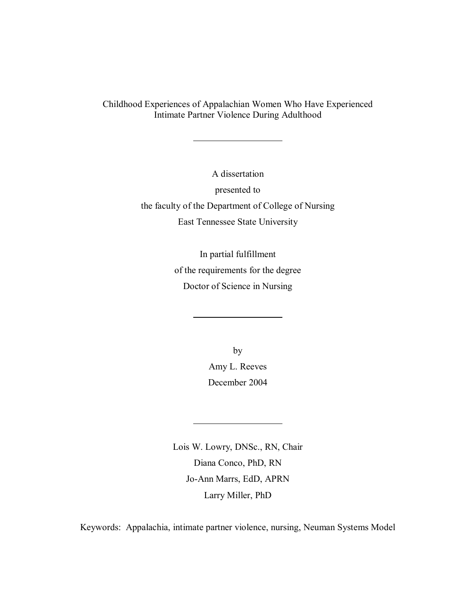Childhood Experiences of Appalachian Women Who Have Experienced Intimate Partner Violence During Adulthood

> A dissertation presented to the faculty of the Department of College of Nursing East Tennessee State University

> > In partial fulfillment of the requirements for the degree Doctor of Science in Nursing

> > > by Amy L. Reeves December 2004

Lois W. Lowry, DNSc., RN, Chair Diana Conco, PhD, RN Jo-Ann Marrs, EdD, APRN Larry Miller, PhD

Keywords: Appalachia, intimate partner violence, nursing, Neuman Systems Model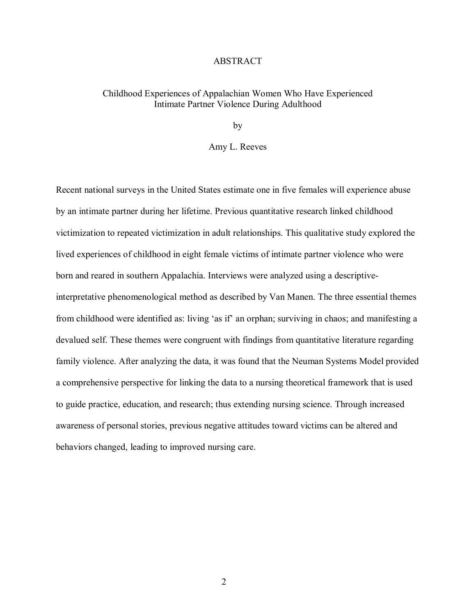#### ABSTRACT

#### Childhood Experiences of Appalachian Women Who Have Experienced Intimate Partner Violence During Adulthood

by

#### Amy L. Reeves

Recent national surveys in the United States estimate one in five females will experience abuse by an intimate partner during her lifetime. Previous quantitative research linked childhood victimization to repeated victimization in adult relationships. This qualitative study explored the lived experiences of childhood in eight female victims of intimate partner violence who were born and reared in southern Appalachia. Interviews were analyzed using a descriptiveinterpretative phenomenological method as described by Van Manen. The three essential themes from childhood were identified as: living 'as if' an orphan; surviving in chaos; and manifesting a devalued self. These themes were congruent with findings from quantitative literature regarding family violence. After analyzing the data, it was found that the Neuman Systems Model provided a comprehensive perspective for linking the data to a nursing theoretical framework that is used to guide practice, education, and research; thus extending nursing science. Through increased awareness of personal stories, previous negative attitudes toward victims can be altered and behaviors changed, leading to improved nursing care.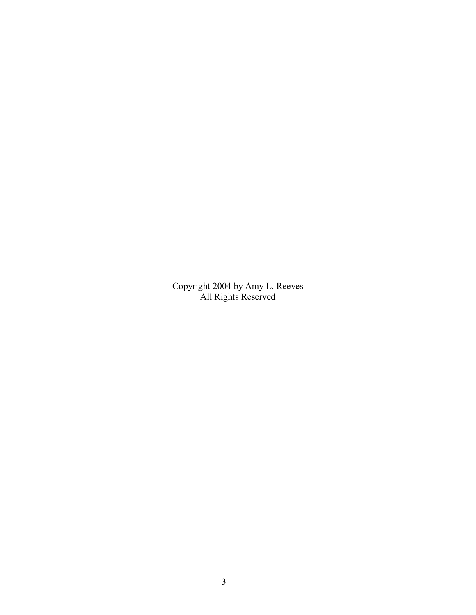Copyright 2004 by Amy L. Reeves All Rights Reserved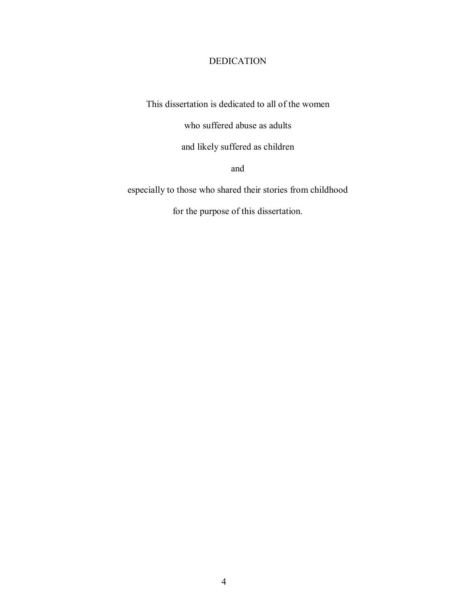#### DEDICATION

This dissertation is dedicated to all of the women

who suffered abuse as adults

and likely suffered as children

and

especially to those who shared their stories from childhood

for the purpose of this dissertation.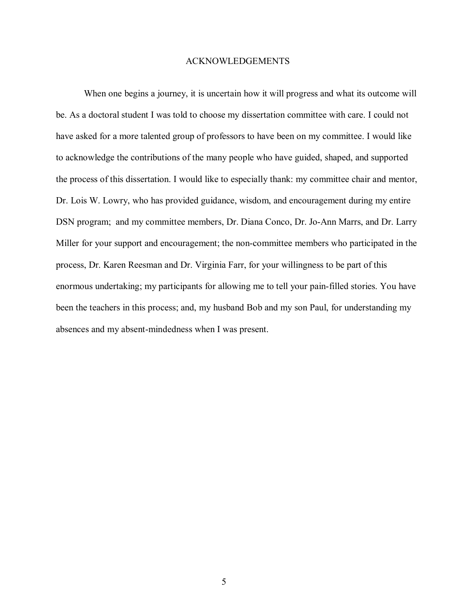#### ACKNOWLEDGEMENTS

 When one begins a journey, it is uncertain how it will progress and what its outcome will be. As a doctoral student I was told to choose my dissertation committee with care. I could not have asked for a more talented group of professors to have been on my committee. I would like to acknowledge the contributions of the many people who have guided, shaped, and supported the process of this dissertation. I would like to especially thank: my committee chair and mentor, Dr. Lois W. Lowry, who has provided guidance, wisdom, and encouragement during my entire DSN program; and my committee members, Dr. Diana Conco, Dr. Jo-Ann Marrs, and Dr. Larry Miller for your support and encouragement; the non-committee members who participated in the process, Dr. Karen Reesman and Dr. Virginia Farr, for your willingness to be part of this enormous undertaking; my participants for allowing me to tell your pain-filled stories. You have been the teachers in this process; and, my husband Bob and my son Paul, for understanding my absences and my absent-mindedness when I was present.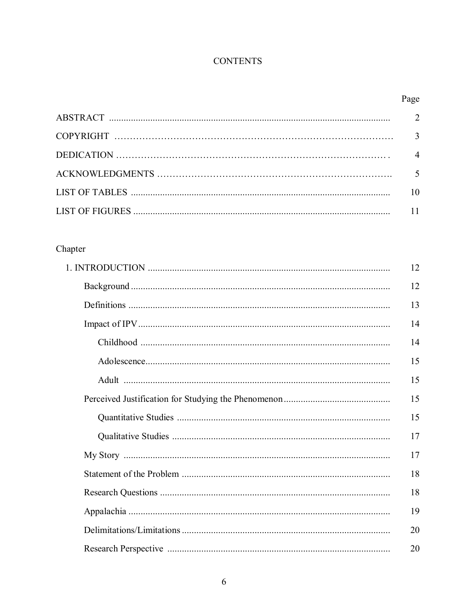## **CONTENTS**

## Page

| $\mathcal{R}$  |
|----------------|
| $\overline{4}$ |
|                |
| 10             |
|                |

## Chapter

| 12 |
|----|
| 12 |
| 13 |
| 14 |
| 14 |
| 15 |
| 15 |
| 15 |
| 15 |
| 17 |
| 17 |
| 18 |
| 18 |
| 19 |
| 20 |
| 20 |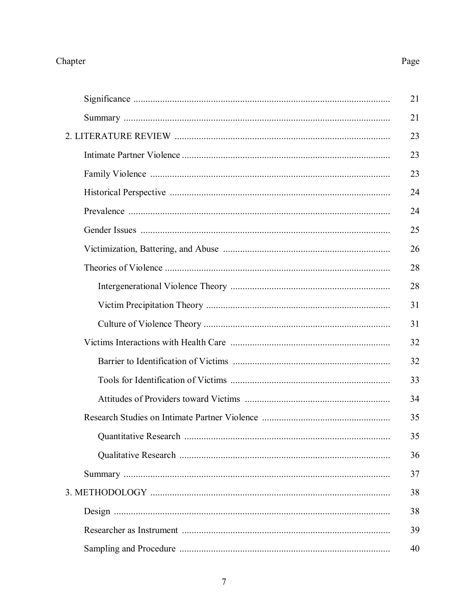# Chapter

# Page

| 21 |
|----|
| 21 |
| 23 |
| 23 |
| 23 |
| 24 |
| 24 |
| 25 |
| 26 |
| 28 |
| 28 |
| 31 |
| 31 |
| 32 |
| 32 |
| 33 |
| 34 |
| 35 |
| 35 |
| 36 |
| 37 |
| 38 |
| 38 |
| 39 |
| 40 |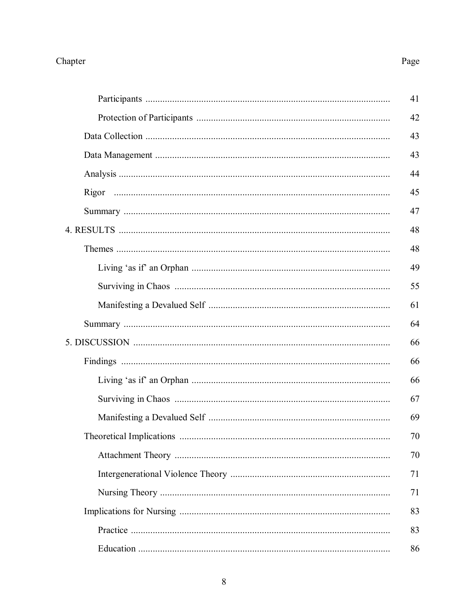# Chapter

# Page

| 41 |
|----|
| 42 |
| 43 |
| 43 |
| 44 |
| 45 |
| 47 |
| 48 |
| 48 |
| 49 |
| 55 |
| 61 |
| 64 |
| 66 |
| 66 |
| 66 |
| 67 |
| 69 |
| 70 |
| 70 |
| 71 |
| 71 |
| 83 |
| 83 |
| 86 |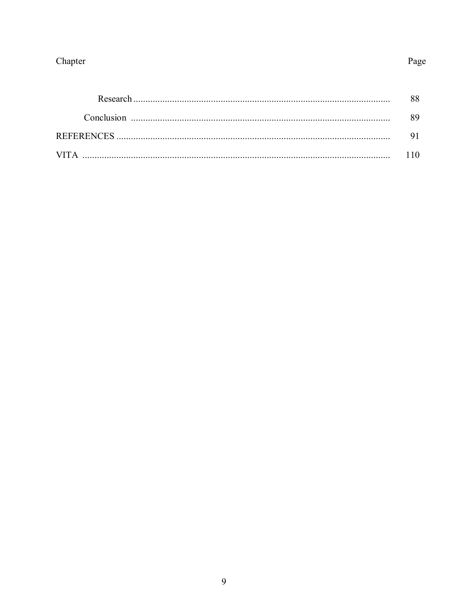# Chapter

| Research |  |
|----------|--|
|          |  |
|          |  |
| VIT A    |  |

Page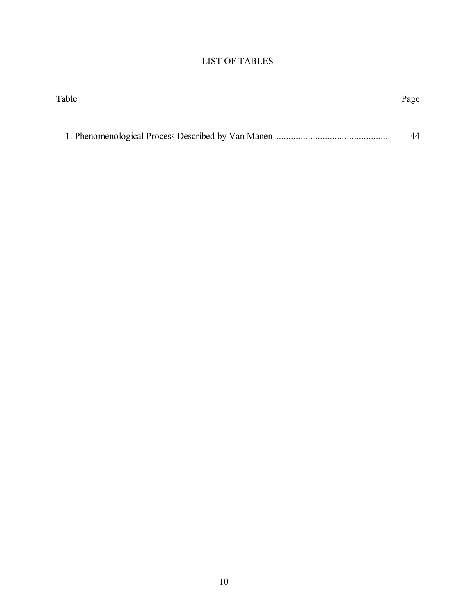### LIST OF TABLES

| Table | Page |
|-------|------|
|       |      |
|       | 44   |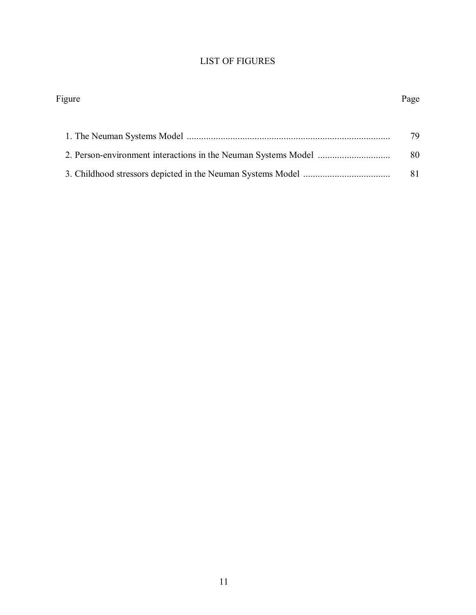### LIST OF FIGURES

| Figure | Page |
|--------|------|
|        |      |
|        | 79   |
|        | 80   |
|        |      |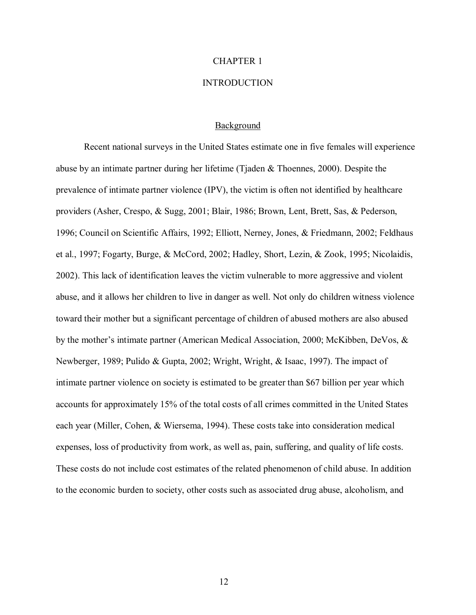### CHAPTER 1

#### **INTRODUCTION**

#### **Background**

 Recent national surveys in the United States estimate one in five females will experience abuse by an intimate partner during her lifetime (Tjaden & Thoennes, 2000). Despite the prevalence of intimate partner violence (IPV), the victim is often not identified by healthcare providers (Asher, Crespo, & Sugg, 2001; Blair, 1986; Brown, Lent, Brett, Sas, & Pederson, 1996; Council on Scientific Affairs, 1992; Elliott, Nerney, Jones, & Friedmann, 2002; Feldhaus et al., 1997; Fogarty, Burge, & McCord, 2002; Hadley, Short, Lezin, & Zook, 1995; Nicolaidis, 2002). This lack of identification leaves the victim vulnerable to more aggressive and violent abuse, and it allows her children to live in danger as well. Not only do children witness violence toward their mother but a significant percentage of children of abused mothers are also abused by the mother's intimate partner (American Medical Association, 2000; McKibben, DeVos,  $\&$ Newberger, 1989; Pulido & Gupta, 2002; Wright, Wright, & Isaac, 1997). The impact of intimate partner violence on society is estimated to be greater than \$67 billion per year which accounts for approximately 15% of the total costs of all crimes committed in the United States each year (Miller, Cohen, & Wiersema, 1994). These costs take into consideration medical expenses, loss of productivity from work, as well as, pain, suffering, and quality of life costs. These costs do not include cost estimates of the related phenomenon of child abuse. In addition to the economic burden to society, other costs such as associated drug abuse, alcoholism, and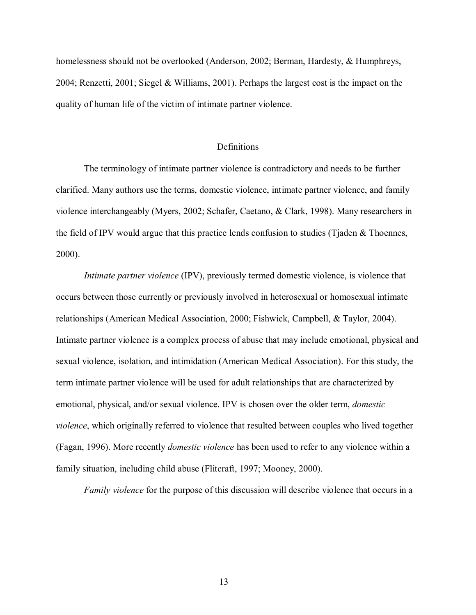homelessness should not be overlooked (Anderson, 2002; Berman, Hardesty, & Humphreys, 2004; Renzetti, 2001; Siegel & Williams, 2001). Perhaps the largest cost is the impact on the quality of human life of the victim of intimate partner violence.

#### Definitions

 The terminology of intimate partner violence is contradictory and needs to be further clarified. Many authors use the terms, domestic violence, intimate partner violence, and family violence interchangeably (Myers, 2002; Schafer, Caetano, & Clark, 1998). Many researchers in the field of IPV would argue that this practice lends confusion to studies (Tjaden & Thoennes, 2000).

*Intimate partner violence* (IPV), previously termed domestic violence, is violence that occurs between those currently or previously involved in heterosexual or homosexual intimate relationships (American Medical Association, 2000; Fishwick, Campbell, & Taylor, 2004). Intimate partner violence is a complex process of abuse that may include emotional, physical and sexual violence, isolation, and intimidation (American Medical Association). For this study, the term intimate partner violence will be used for adult relationships that are characterized by emotional, physical, and/or sexual violence. IPV is chosen over the older term, *domestic violence*, which originally referred to violence that resulted between couples who lived together (Fagan, 1996). More recently *domestic violence* has been used to refer to any violence within a family situation, including child abuse (Flitcraft, 1997; Mooney, 2000).

*Family violence* for the purpose of this discussion will describe violence that occurs in a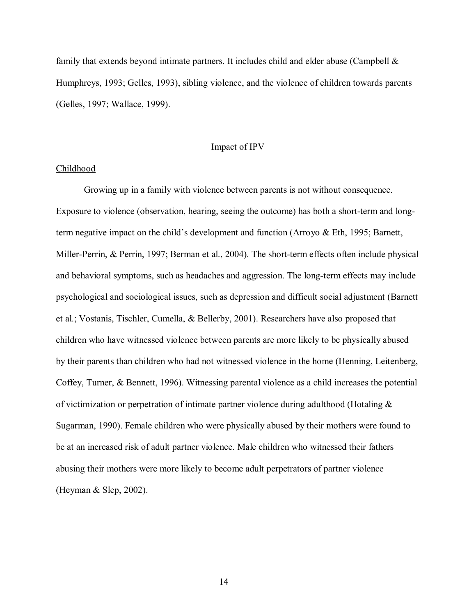family that extends beyond intimate partners. It includes child and elder abuse (Campbell  $\&$ Humphreys, 1993; Gelles, 1993), sibling violence, and the violence of children towards parents (Gelles, 1997; Wallace, 1999).

#### Impact of IPV

#### Childhood

 Growing up in a family with violence between parents is not without consequence. Exposure to violence (observation, hearing, seeing the outcome) has both a short-term and longterm negative impact on the child's development and function (Arroyo  $\&$  Eth, 1995; Barnett, Miller-Perrin, & Perrin, 1997; Berman et al., 2004). The short-term effects often include physical and behavioral symptoms, such as headaches and aggression. The long-term effects may include psychological and sociological issues, such as depression and difficult social adjustment (Barnett et al.; Vostanis, Tischler, Cumella, & Bellerby, 2001). Researchers have also proposed that children who have witnessed violence between parents are more likely to be physically abused by their parents than children who had not witnessed violence in the home (Henning, Leitenberg, Coffey, Turner, & Bennett, 1996). Witnessing parental violence as a child increases the potential of victimization or perpetration of intimate partner violence during adulthood (Hotaling & Sugarman, 1990). Female children who were physically abused by their mothers were found to be at an increased risk of adult partner violence. Male children who witnessed their fathers abusing their mothers were more likely to become adult perpetrators of partner violence (Heyman & Slep, 2002).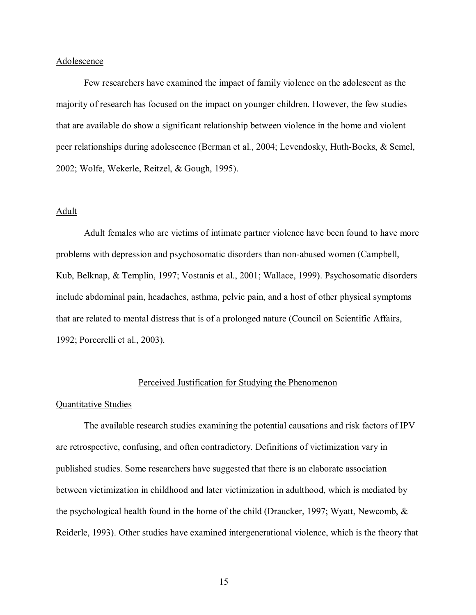#### Adolescence

 Few researchers have examined the impact of family violence on the adolescent as the majority of research has focused on the impact on younger children. However, the few studies that are available do show a significant relationship between violence in the home and violent peer relationships during adolescence (Berman et al., 2004; Levendosky, Huth-Bocks, & Semel, 2002; Wolfe, Wekerle, Reitzel, & Gough, 1995).

#### Adult

 Adult females who are victims of intimate partner violence have been found to have more problems with depression and psychosomatic disorders than non-abused women (Campbell, Kub, Belknap, & Templin, 1997; Vostanis et al., 2001; Wallace, 1999). Psychosomatic disorders include abdominal pain, headaches, asthma, pelvic pain, and a host of other physical symptoms that are related to mental distress that is of a prolonged nature (Council on Scientific Affairs, 1992; Porcerelli et al., 2003).

#### Perceived Justification for Studying the Phenomenon

#### Quantitative Studies

The available research studies examining the potential causations and risk factors of IPV are retrospective, confusing, and often contradictory. Definitions of victimization vary in published studies. Some researchers have suggested that there is an elaborate association between victimization in childhood and later victimization in adulthood, which is mediated by the psychological health found in the home of the child (Draucker, 1997; Wyatt, Newcomb, & Reiderle, 1993). Other studies have examined intergenerational violence, which is the theory that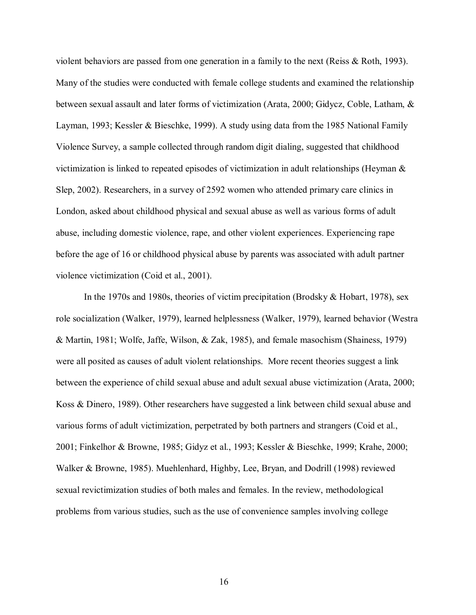violent behaviors are passed from one generation in a family to the next (Reiss & Roth, 1993). Many of the studies were conducted with female college students and examined the relationship between sexual assault and later forms of victimization (Arata, 2000; Gidycz, Coble, Latham, & Layman, 1993; Kessler & Bieschke, 1999). A study using data from the 1985 National Family Violence Survey, a sample collected through random digit dialing, suggested that childhood victimization is linked to repeated episodes of victimization in adult relationships (Heyman & Slep, 2002). Researchers, in a survey of 2592 women who attended primary care clinics in London, asked about childhood physical and sexual abuse as well as various forms of adult abuse, including domestic violence, rape, and other violent experiences. Experiencing rape before the age of 16 or childhood physical abuse by parents was associated with adult partner violence victimization (Coid et al., 2001).

In the 1970s and 1980s, theories of victim precipitation (Brodsky & Hobart, 1978), sex role socialization (Walker, 1979), learned helplessness (Walker, 1979), learned behavior (Westra & Martin, 1981; Wolfe, Jaffe, Wilson, & Zak, 1985), and female masochism (Shainess, 1979) were all posited as causes of adult violent relationships. More recent theories suggest a link between the experience of child sexual abuse and adult sexual abuse victimization (Arata, 2000; Koss & Dinero, 1989). Other researchers have suggested a link between child sexual abuse and various forms of adult victimization, perpetrated by both partners and strangers (Coid et al., 2001; Finkelhor & Browne, 1985; Gidyz et al., 1993; Kessler & Bieschke, 1999; Krahe, 2000; Walker & Browne, 1985). Muehlenhard, Highby, Lee, Bryan, and Dodrill (1998) reviewed sexual revictimization studies of both males and females. In the review, methodological problems from various studies, such as the use of convenience samples involving college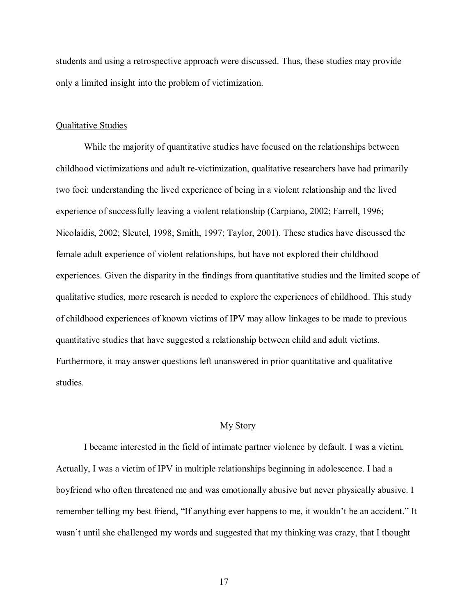students and using a retrospective approach were discussed. Thus, these studies may provide only a limited insight into the problem of victimization.

#### Qualitative Studies

 While the majority of quantitative studies have focused on the relationships between childhood victimizations and adult re-victimization, qualitative researchers have had primarily two foci: understanding the lived experience of being in a violent relationship and the lived experience of successfully leaving a violent relationship (Carpiano, 2002; Farrell, 1996; Nicolaidis, 2002; Sleutel, 1998; Smith, 1997; Taylor, 2001). These studies have discussed the female adult experience of violent relationships, but have not explored their childhood experiences. Given the disparity in the findings from quantitative studies and the limited scope of qualitative studies, more research is needed to explore the experiences of childhood. This study of childhood experiences of known victims of IPV may allow linkages to be made to previous quantitative studies that have suggested a relationship between child and adult victims. Furthermore, it may answer questions left unanswered in prior quantitative and qualitative studies.

#### My Story

I became interested in the field of intimate partner violence by default. I was a victim. Actually, I was a victim of IPV in multiple relationships beginning in adolescence. I had a boyfriend who often threatened me and was emotionally abusive but never physically abusive. I remember telling my best friend, "If anything ever happens to me, it wouldn't be an accident." It wasn't until she challenged my words and suggested that my thinking was crazy, that I thought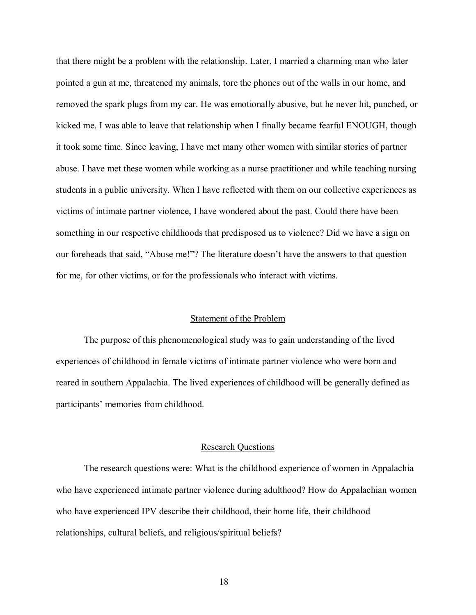that there might be a problem with the relationship. Later, I married a charming man who later pointed a gun at me, threatened my animals, tore the phones out of the walls in our home, and removed the spark plugs from my car. He was emotionally abusive, but he never hit, punched, or kicked me. I was able to leave that relationship when I finally became fearful ENOUGH, though it took some time. Since leaving, I have met many other women with similar stories of partner abuse. I have met these women while working as a nurse practitioner and while teaching nursing students in a public university. When I have reflected with them on our collective experiences as victims of intimate partner violence, I have wondered about the past. Could there have been something in our respective childhoods that predisposed us to violence? Did we have a sign on our foreheads that said, "Abuse me!"? The literature doesn't have the answers to that question for me, for other victims, or for the professionals who interact with victims.

#### Statement of the Problem

 The purpose of this phenomenological study was to gain understanding of the lived experiences of childhood in female victims of intimate partner violence who were born and reared in southern Appalachia. The lived experiences of childhood will be generally defined as participants' memories from childhood.

#### Research Questions

 The research questions were: What is the childhood experience of women in Appalachia who have experienced intimate partner violence during adulthood? How do Appalachian women who have experienced IPV describe their childhood, their home life, their childhood relationships, cultural beliefs, and religious/spiritual beliefs?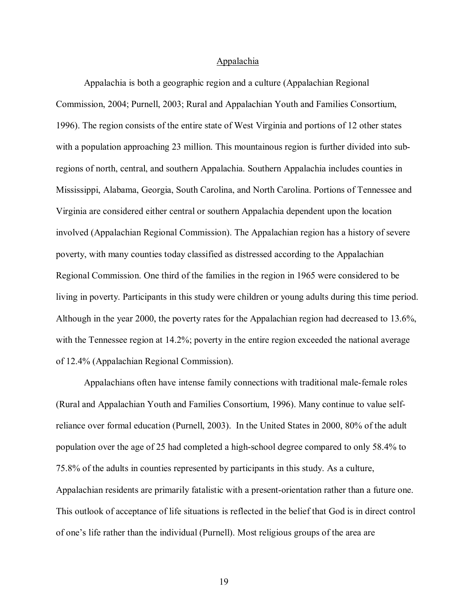#### Appalachia

 Appalachia is both a geographic region and a culture (Appalachian Regional Commission, 2004; Purnell, 2003; Rural and Appalachian Youth and Families Consortium, 1996). The region consists of the entire state of West Virginia and portions of 12 other states with a population approaching 23 million. This mountainous region is further divided into subregions of north, central, and southern Appalachia. Southern Appalachia includes counties in Mississippi, Alabama, Georgia, South Carolina, and North Carolina. Portions of Tennessee and Virginia are considered either central or southern Appalachia dependent upon the location involved (Appalachian Regional Commission). The Appalachian region has a history of severe poverty, with many counties today classified as distressed according to the Appalachian Regional Commission. One third of the families in the region in 1965 were considered to be living in poverty. Participants in this study were children or young adults during this time period. Although in the year 2000, the poverty rates for the Appalachian region had decreased to 13.6%, with the Tennessee region at 14.2%; poverty in the entire region exceeded the national average of 12.4% (Appalachian Regional Commission).

 Appalachians often have intense family connections with traditional male-female roles (Rural and Appalachian Youth and Families Consortium, 1996). Many continue to value selfreliance over formal education (Purnell, 2003). In the United States in 2000, 80% of the adult population over the age of 25 had completed a high-school degree compared to only 58.4% to 75.8% of the adults in counties represented by participants in this study. As a culture, Appalachian residents are primarily fatalistic with a present-orientation rather than a future one. This outlook of acceptance of life situations is reflected in the belief that God is in direct control of one's life rather than the individual (Purnell). Most religious groups of the area are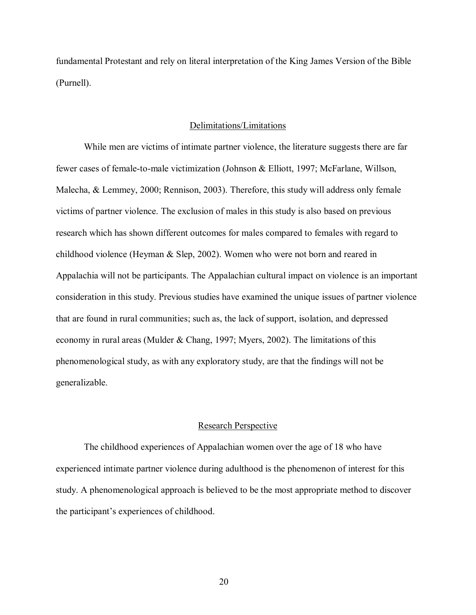fundamental Protestant and rely on literal interpretation of the King James Version of the Bible (Purnell).

#### Delimitations/Limitations

 While men are victims of intimate partner violence, the literature suggests there are far fewer cases of female-to-male victimization (Johnson & Elliott, 1997; McFarlane, Willson, Malecha, & Lemmey, 2000; Rennison, 2003). Therefore, this study will address only female victims of partner violence. The exclusion of males in this study is also based on previous research which has shown different outcomes for males compared to females with regard to childhood violence (Heyman & Slep, 2002). Women who were not born and reared in Appalachia will not be participants. The Appalachian cultural impact on violence is an important consideration in this study. Previous studies have examined the unique issues of partner violence that are found in rural communities; such as, the lack of support, isolation, and depressed economy in rural areas (Mulder & Chang, 1997; Myers, 2002). The limitations of this phenomenological study, as with any exploratory study, are that the findings will not be generalizable.

#### Research Perspective

 The childhood experiences of Appalachian women over the age of 18 who have experienced intimate partner violence during adulthood is the phenomenon of interest for this study. A phenomenological approach is believed to be the most appropriate method to discover the participant's experiences of childhood.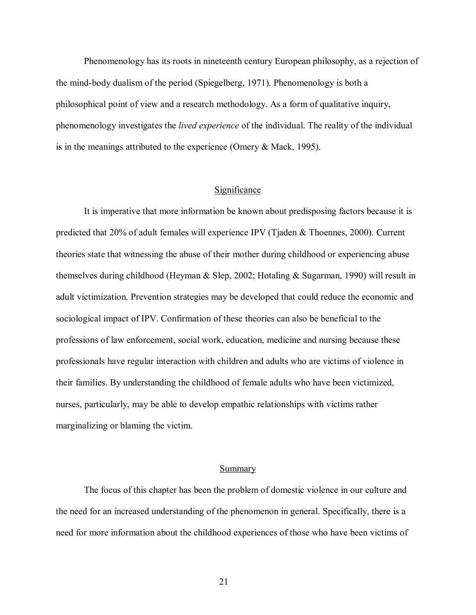Phenomenology has its roots in nineteenth century European philosophy, as a rejection of the mind-body dualism of the period (Spiegelberg, 1971). Phenomenology is both a philosophical point of view and a research methodology. As a form of qualitative inquiry, phenomenology investigates the *lived experience* of the individual. The reality of the individual is in the meanings attributed to the experience (Omery & Mack, 1995).

#### Significance

 It is imperative that more information be known about predisposing factors because it is predicted that 20% of adult females will experience IPV (Tjaden & Thoennes, 2000). Current theories state that witnessing the abuse of their mother during childhood or experiencing abuse themselves during childhood (Heyman & Slep, 2002; Hotaling & Sugarman, 1990) will result in adult victimization. Prevention strategies may be developed that could reduce the economic and sociological impact of IPV. Confirmation of these theories can also be beneficial to the professions of law enforcement, social work, education, medicine and nursing because these professionals have regular interaction with children and adults who are victims of violence in their families. By understanding the childhood of female adults who have been victimized, nurses, particularly, may be able to develop empathic relationships with victims rather marginalizing or blaming the victim.

#### Summary

The focus of this chapter has been the problem of domestic violence in our culture and the need for an increased understanding of the phenomenon in general. Specifically, there is a need for more information about the childhood experiences of those who have been victims of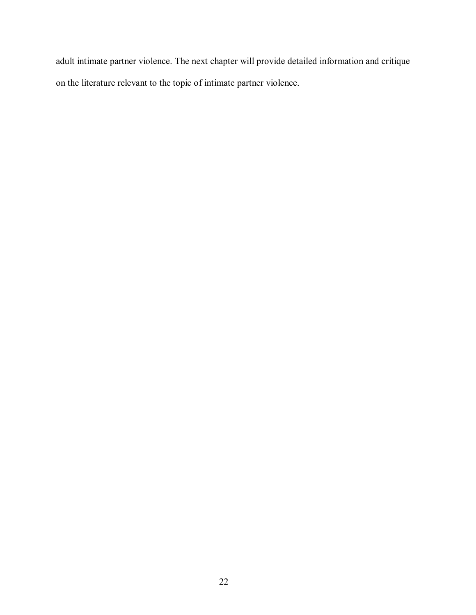adult intimate partner violence. The next chapter will provide detailed information and critique on the literature relevant to the topic of intimate partner violence.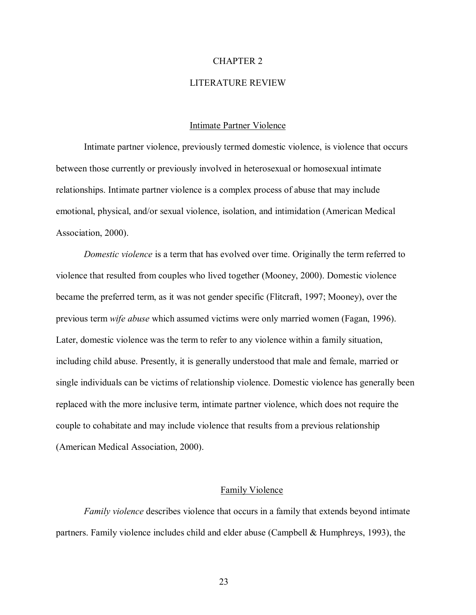#### CHAPTER 2

#### LITERATURE REVIEW

#### Intimate Partner Violence

Intimate partner violence, previously termed domestic violence, is violence that occurs between those currently or previously involved in heterosexual or homosexual intimate relationships. Intimate partner violence is a complex process of abuse that may include emotional, physical, and/or sexual violence, isolation, and intimidation (American Medical Association, 2000).

*Domestic violence* is a term that has evolved over time. Originally the term referred to violence that resulted from couples who lived together (Mooney, 2000). Domestic violence became the preferred term, as it was not gender specific (Flitcraft, 1997; Mooney), over the previous term *wife abuse* which assumed victims were only married women (Fagan, 1996). Later, domestic violence was the term to refer to any violence within a family situation, including child abuse. Presently, it is generally understood that male and female, married or single individuals can be victims of relationship violence. Domestic violence has generally been replaced with the more inclusive term, intimate partner violence, which does not require the couple to cohabitate and may include violence that results from a previous relationship (American Medical Association, 2000).

#### Family Violence

*Family violence* describes violence that occurs in a family that extends beyond intimate partners. Family violence includes child and elder abuse (Campbell & Humphreys, 1993), the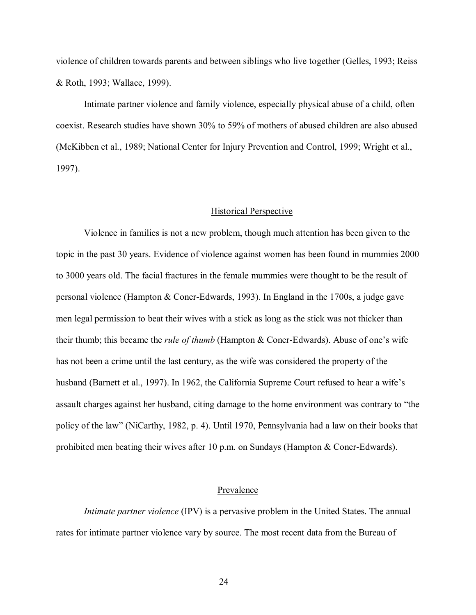violence of children towards parents and between siblings who live together (Gelles, 1993; Reiss & Roth, 1993; Wallace, 1999).

Intimate partner violence and family violence, especially physical abuse of a child, often coexist. Research studies have shown 30% to 59% of mothers of abused children are also abused (McKibben et al., 1989; National Center for Injury Prevention and Control, 1999; Wright et al., 1997).

#### Historical Perspective

Violence in families is not a new problem, though much attention has been given to the topic in the past 30 years. Evidence of violence against women has been found in mummies 2000 to 3000 years old. The facial fractures in the female mummies were thought to be the result of personal violence (Hampton & Coner-Edwards, 1993). In England in the 1700s, a judge gave men legal permission to beat their wives with a stick as long as the stick was not thicker than their thumb; this became the *rule of thumb* (Hampton & Coner-Edwards). Abuse of one's wife has not been a crime until the last century, as the wife was considered the property of the husband (Barnett et al., 1997). In 1962, the California Supreme Court refused to hear a wife's assault charges against her husband, citing damage to the home environment was contrary to "the policy of the lawî (NiCarthy, 1982, p. 4). Until 1970, Pennsylvania had a law on their books that prohibited men beating their wives after 10 p.m. on Sundays (Hampton & Coner-Edwards).

#### Prevalence

*Intimate partner violence* (IPV) is a pervasive problem in the United States. The annual rates for intimate partner violence vary by source. The most recent data from the Bureau of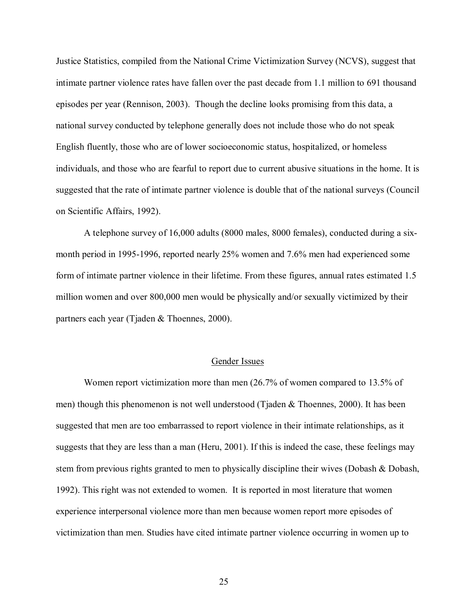Justice Statistics, compiled from the National Crime Victimization Survey (NCVS), suggest that intimate partner violence rates have fallen over the past decade from 1.1 million to 691 thousand episodes per year (Rennison, 2003). Though the decline looks promising from this data, a national survey conducted by telephone generally does not include those who do not speak English fluently, those who are of lower socioeconomic status, hospitalized, or homeless individuals, and those who are fearful to report due to current abusive situations in the home. It is suggested that the rate of intimate partner violence is double that of the national surveys (Council on Scientific Affairs, 1992).

A telephone survey of 16,000 adults (8000 males, 8000 females), conducted during a sixmonth period in 1995-1996, reported nearly 25% women and 7.6% men had experienced some form of intimate partner violence in their lifetime. From these figures, annual rates estimated 1.5 million women and over 800,000 men would be physically and/or sexually victimized by their partners each year (Tjaden & Thoennes, 2000).

#### Gender Issues

 Women report victimization more than men (26.7% of women compared to 13.5% of men) though this phenomenon is not well understood (Tjaden  $\&$  Thoennes, 2000). It has been suggested that men are too embarrassed to report violence in their intimate relationships, as it suggests that they are less than a man (Heru, 2001). If this is indeed the case, these feelings may stem from previous rights granted to men to physically discipline their wives (Dobash & Dobash, 1992). This right was not extended to women. It is reported in most literature that women experience interpersonal violence more than men because women report more episodes of victimization than men. Studies have cited intimate partner violence occurring in women up to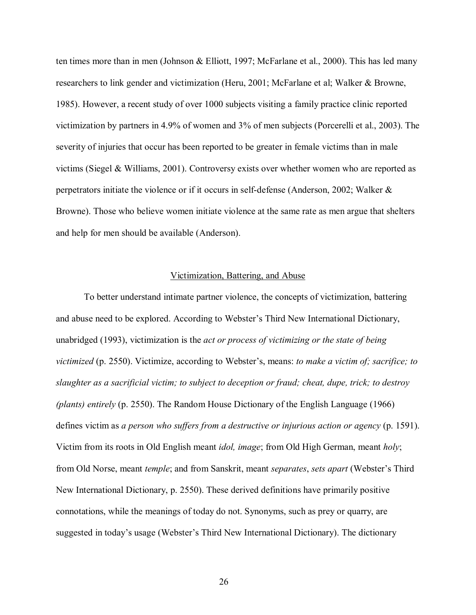ten times more than in men (Johnson & Elliott, 1997; McFarlane et al., 2000). This has led many researchers to link gender and victimization (Heru, 2001; McFarlane et al; Walker & Browne, 1985). However, a recent study of over 1000 subjects visiting a family practice clinic reported victimization by partners in 4.9% of women and 3% of men subjects (Porcerelli et al., 2003). The severity of injuries that occur has been reported to be greater in female victims than in male victims (Siegel & Williams, 2001). Controversy exists over whether women who are reported as perpetrators initiate the violence or if it occurs in self-defense (Anderson, 2002; Walker & Browne). Those who believe women initiate violence at the same rate as men argue that shelters and help for men should be available (Anderson).

#### Victimization, Battering, and Abuse

To better understand intimate partner violence, the concepts of victimization, battering and abuse need to be explored. According to Webster's Third New International Dictionary, unabridged (1993), victimization is the *act or process of victimizing or the state of being victimized* (p. 2550). Victimize, according to Webster's, means: *to make a victim of; sacrifice; to slaughter as a sacrificial victim; to subject to deception or fraud; cheat, dupe, trick; to destroy (plants) entirely* (p. 2550). The Random House Dictionary of the English Language (1966) defines victim as *a person who suffers from a destructive or injurious action or agency* (p. 1591). Victim from its roots in Old English meant *idol, image*; from Old High German, meant *holy*; from Old Norse, meant *temple*; and from Sanskrit, meant *separates*, *sets apart* (Websterís Third New International Dictionary, p. 2550). These derived definitions have primarily positive connotations, while the meanings of today do not. Synonyms, such as prey or quarry, are suggested in today's usage (Webster's Third New International Dictionary). The dictionary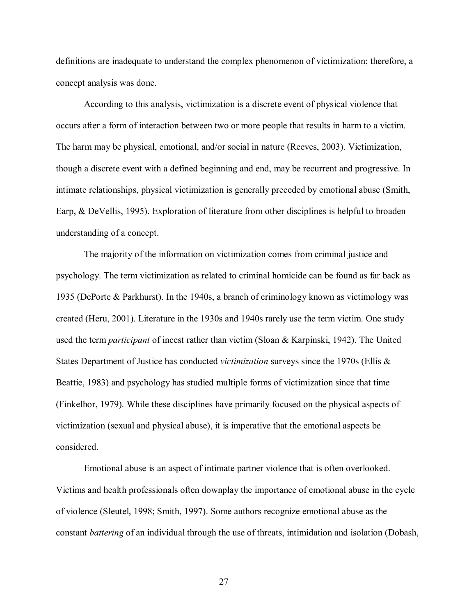definitions are inadequate to understand the complex phenomenon of victimization; therefore, a concept analysis was done.

According to this analysis, victimization is a discrete event of physical violence that occurs after a form of interaction between two or more people that results in harm to a victim. The harm may be physical, emotional, and/or social in nature (Reeves, 2003). Victimization, though a discrete event with a defined beginning and end, may be recurrent and progressive. In intimate relationships, physical victimization is generally preceded by emotional abuse (Smith, Earp, & DeVellis, 1995). Exploration of literature from other disciplines is helpful to broaden understanding of a concept.

The majority of the information on victimization comes from criminal justice and psychology. The term victimization as related to criminal homicide can be found as far back as 1935 (DePorte & Parkhurst). In the 1940s, a branch of criminology known as victimology was created (Heru, 2001). Literature in the 1930s and 1940s rarely use the term victim. One study used the term *participant* of incest rather than victim (Sloan & Karpinski, 1942). The United States Department of Justice has conducted *victimization* surveys since the 1970s (Ellis & Beattie, 1983) and psychology has studied multiple forms of victimization since that time (Finkelhor, 1979). While these disciplines have primarily focused on the physical aspects of victimization (sexual and physical abuse), it is imperative that the emotional aspects be considered.

 Emotional abuse is an aspect of intimate partner violence that is often overlooked. Victims and health professionals often downplay the importance of emotional abuse in the cycle of violence (Sleutel, 1998; Smith, 1997). Some authors recognize emotional abuse as the constant *battering* of an individual through the use of threats, intimidation and isolation (Dobash,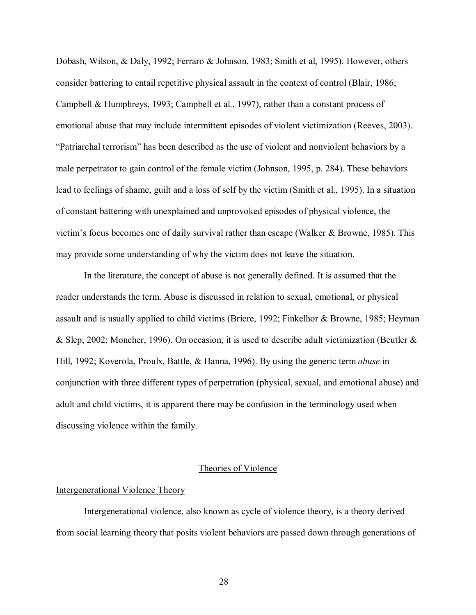Dobash, Wilson, & Daly, 1992; Ferraro & Johnson, 1983; Smith et al, 1995). However, others consider battering to entail repetitive physical assault in the context of control (Blair, 1986; Campbell & Humphreys, 1993; Campbell et al., 1997), rather than a constant process of emotional abuse that may include intermittent episodes of violent victimization (Reeves, 2003). ìPatriarchal terrorismî has been described as the use of violent and nonviolent behaviors by a male perpetrator to gain control of the female victim (Johnson, 1995, p. 284). These behaviors lead to feelings of shame, guilt and a loss of self by the victim (Smith et al., 1995). In a situation of constant battering with unexplained and unprovoked episodes of physical violence, the victimís focus becomes one of daily survival rather than escape (Walker & Browne, 1985). This may provide some understanding of why the victim does not leave the situation.

 In the literature, the concept of abuse is not generally defined. It is assumed that the reader understands the term. Abuse is discussed in relation to sexual, emotional, or physical assault and is usually applied to child victims (Briere, 1992; Finkelhor & Browne, 1985; Heyman & Slep, 2002; Moncher, 1996). On occasion, it is used to describe adult victimization (Beutler & Hill, 1992; Koverola, Proulx, Battle, & Hanna, 1996). By using the generic term *abuse* in conjunction with three different types of perpetration (physical, sexual, and emotional abuse) and adult and child victims, it is apparent there may be confusion in the terminology used when discussing violence within the family.

#### Theories of Violence

#### Intergenerational Violence Theory

 Intergenerational violence, also known as cycle of violence theory, is a theory derived from social learning theory that posits violent behaviors are passed down through generations of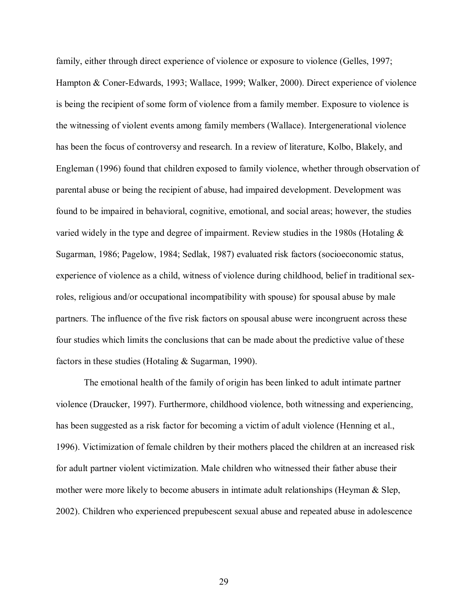family, either through direct experience of violence or exposure to violence (Gelles, 1997; Hampton & Coner-Edwards, 1993; Wallace, 1999; Walker, 2000). Direct experience of violence is being the recipient of some form of violence from a family member. Exposure to violence is the witnessing of violent events among family members (Wallace). Intergenerational violence has been the focus of controversy and research. In a review of literature, Kolbo, Blakely, and Engleman (1996) found that children exposed to family violence, whether through observation of parental abuse or being the recipient of abuse, had impaired development. Development was found to be impaired in behavioral, cognitive, emotional, and social areas; however, the studies varied widely in the type and degree of impairment. Review studies in the 1980s (Hotaling & Sugarman, 1986; Pagelow, 1984; Sedlak, 1987) evaluated risk factors (socioeconomic status, experience of violence as a child, witness of violence during childhood, belief in traditional sexroles, religious and/or occupational incompatibility with spouse) for spousal abuse by male partners. The influence of the five risk factors on spousal abuse were incongruent across these four studies which limits the conclusions that can be made about the predictive value of these factors in these studies (Hotaling & Sugarman, 1990).

The emotional health of the family of origin has been linked to adult intimate partner violence (Draucker, 1997). Furthermore, childhood violence, both witnessing and experiencing, has been suggested as a risk factor for becoming a victim of adult violence (Henning et al., 1996). Victimization of female children by their mothers placed the children at an increased risk for adult partner violent victimization. Male children who witnessed their father abuse their mother were more likely to become abusers in intimate adult relationships (Heyman  $\&$  Slep, 2002). Children who experienced prepubescent sexual abuse and repeated abuse in adolescence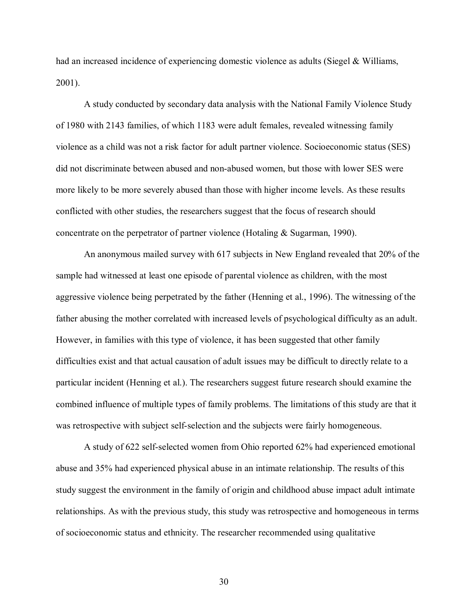had an increased incidence of experiencing domestic violence as adults (Siegel & Williams, 2001).

 A study conducted by secondary data analysis with the National Family Violence Study of 1980 with 2143 families, of which 1183 were adult females, revealed witnessing family violence as a child was not a risk factor for adult partner violence. Socioeconomic status (SES) did not discriminate between abused and non-abused women, but those with lower SES were more likely to be more severely abused than those with higher income levels. As these results conflicted with other studies, the researchers suggest that the focus of research should concentrate on the perpetrator of partner violence (Hotaling & Sugarman, 1990).

 An anonymous mailed survey with 617 subjects in New England revealed that 20% of the sample had witnessed at least one episode of parental violence as children, with the most aggressive violence being perpetrated by the father (Henning et al., 1996). The witnessing of the father abusing the mother correlated with increased levels of psychological difficulty as an adult. However, in families with this type of violence, it has been suggested that other family difficulties exist and that actual causation of adult issues may be difficult to directly relate to a particular incident (Henning et al.). The researchers suggest future research should examine the combined influence of multiple types of family problems. The limitations of this study are that it was retrospective with subject self-selection and the subjects were fairly homogeneous.

 A study of 622 self-selected women from Ohio reported 62% had experienced emotional abuse and 35% had experienced physical abuse in an intimate relationship. The results of this study suggest the environment in the family of origin and childhood abuse impact adult intimate relationships. As with the previous study, this study was retrospective and homogeneous in terms of socioeconomic status and ethnicity. The researcher recommended using qualitative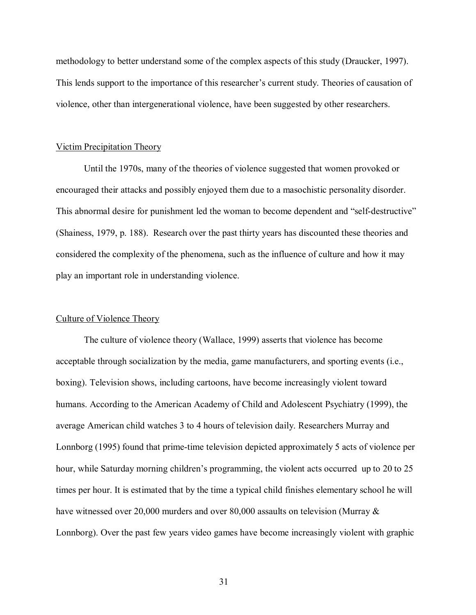methodology to better understand some of the complex aspects of this study (Draucker, 1997). This lends support to the importance of this researcher's current study. Theories of causation of violence, other than intergenerational violence, have been suggested by other researchers.

#### Victim Precipitation Theory

 Until the 1970s, many of the theories of violence suggested that women provoked or encouraged their attacks and possibly enjoyed them due to a masochistic personality disorder. This abnormal desire for punishment led the woman to become dependent and "self-destructive" (Shainess, 1979, p. 188). Research over the past thirty years has discounted these theories and considered the complexity of the phenomena, such as the influence of culture and how it may play an important role in understanding violence.

#### Culture of Violence Theory

 The culture of violence theory (Wallace, 1999) asserts that violence has become acceptable through socialization by the media, game manufacturers, and sporting events (i.e., boxing). Television shows, including cartoons, have become increasingly violent toward humans. According to the American Academy of Child and Adolescent Psychiatry (1999), the average American child watches 3 to 4 hours of television daily. Researchers Murray and Lonnborg (1995) found that prime-time television depicted approximately 5 acts of violence per hour, while Saturday morning children's programming, the violent acts occurred up to 20 to 25 times per hour. It is estimated that by the time a typical child finishes elementary school he will have witnessed over 20,000 murders and over 80,000 assaults on television (Murray  $\&$ Lonnborg). Over the past few years video games have become increasingly violent with graphic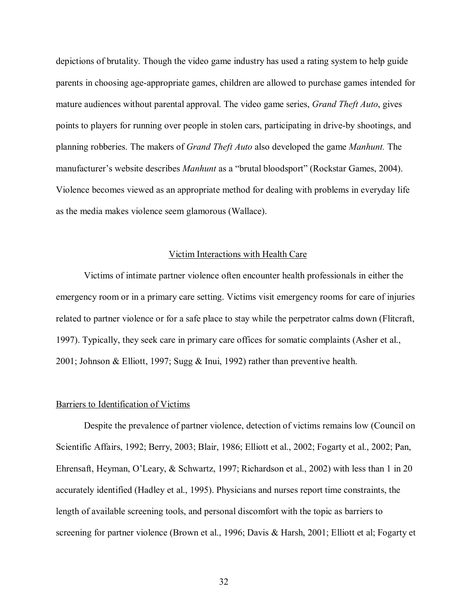depictions of brutality. Though the video game industry has used a rating system to help guide parents in choosing age-appropriate games, children are allowed to purchase games intended for mature audiences without parental approval. The video game series, *Grand Theft Auto*, gives points to players for running over people in stolen cars, participating in drive-by shootings, and planning robberies. The makers of *Grand Theft Auto* also developed the game *Manhunt.* The manufacturer's website describes *Manhunt* as a "brutal bloodsport" (Rockstar Games, 2004). Violence becomes viewed as an appropriate method for dealing with problems in everyday life as the media makes violence seem glamorous (Wallace).

#### Victim Interactions with Health Care

 Victims of intimate partner violence often encounter health professionals in either the emergency room or in a primary care setting. Victims visit emergency rooms for care of injuries related to partner violence or for a safe place to stay while the perpetrator calms down (Flitcraft, 1997). Typically, they seek care in primary care offices for somatic complaints (Asher et al., 2001; Johnson & Elliott, 1997; Sugg & Inui, 1992) rather than preventive health.

#### Barriers to Identification of Victims

Despite the prevalence of partner violence, detection of victims remains low (Council on Scientific Affairs, 1992; Berry, 2003; Blair, 1986; Elliott et al., 2002; Fogarty et al., 2002; Pan, Ehrensaft, Heyman, O'Leary, & Schwartz, 1997; Richardson et al., 2002) with less than 1 in 20 accurately identified (Hadley et al., 1995). Physicians and nurses report time constraints, the length of available screening tools, and personal discomfort with the topic as barriers to screening for partner violence (Brown et al., 1996; Davis & Harsh, 2001; Elliott et al; Fogarty et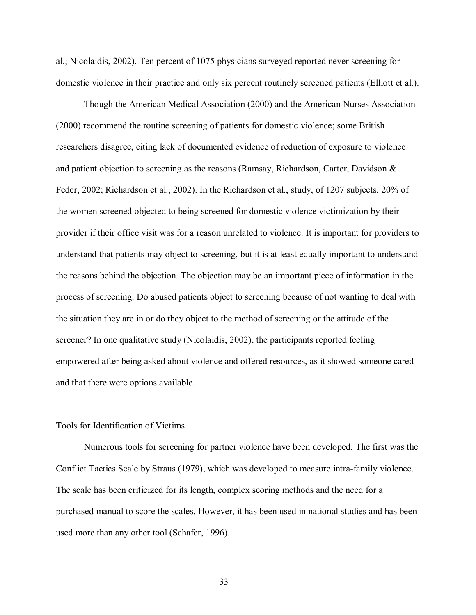al.; Nicolaidis, 2002). Ten percent of 1075 physicians surveyed reported never screening for domestic violence in their practice and only six percent routinely screened patients (Elliott et al.).

Though the American Medical Association (2000) and the American Nurses Association (2000) recommend the routine screening of patients for domestic violence; some British researchers disagree, citing lack of documented evidence of reduction of exposure to violence and patient objection to screening as the reasons (Ramsay, Richardson, Carter, Davidson & Feder, 2002; Richardson et al., 2002). In the Richardson et al., study, of 1207 subjects, 20% of the women screened objected to being screened for domestic violence victimization by their provider if their office visit was for a reason unrelated to violence. It is important for providers to understand that patients may object to screening, but it is at least equally important to understand the reasons behind the objection. The objection may be an important piece of information in the process of screening. Do abused patients object to screening because of not wanting to deal with the situation they are in or do they object to the method of screening or the attitude of the screener? In one qualitative study (Nicolaidis, 2002), the participants reported feeling empowered after being asked about violence and offered resources, as it showed someone cared and that there were options available.

#### Tools for Identification of Victims

 Numerous tools for screening for partner violence have been developed. The first was the Conflict Tactics Scale by Straus (1979), which was developed to measure intra-family violence. The scale has been criticized for its length, complex scoring methods and the need for a purchased manual to score the scales. However, it has been used in national studies and has been used more than any other tool (Schafer, 1996).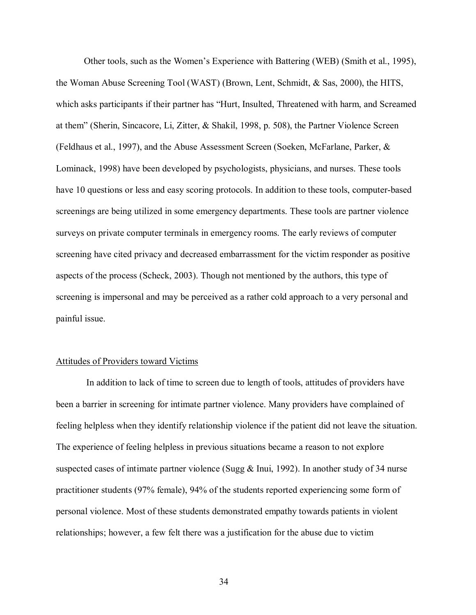Other tools, such as the Womenís Experience with Battering (WEB) (Smith et al., 1995), the Woman Abuse Screening Tool (WAST) (Brown, Lent, Schmidt, & Sas, 2000), the HITS, which asks participants if their partner has "Hurt, Insulted, Threatened with harm, and Screamed at themî (Sherin, Sincacore, Li, Zitter, & Shakil, 1998, p. 508), the Partner Violence Screen (Feldhaus et al., 1997), and the Abuse Assessment Screen (Soeken, McFarlane, Parker, & Lominack, 1998) have been developed by psychologists, physicians, and nurses. These tools have 10 questions or less and easy scoring protocols. In addition to these tools, computer-based screenings are being utilized in some emergency departments. These tools are partner violence surveys on private computer terminals in emergency rooms. The early reviews of computer screening have cited privacy and decreased embarrassment for the victim responder as positive aspects of the process (Scheck, 2003). Though not mentioned by the authors, this type of screening is impersonal and may be perceived as a rather cold approach to a very personal and painful issue.

#### Attitudes of Providers toward Victims

 In addition to lack of time to screen due to length of tools, attitudes of providers have been a barrier in screening for intimate partner violence. Many providers have complained of feeling helpless when they identify relationship violence if the patient did not leave the situation. The experience of feeling helpless in previous situations became a reason to not explore suspected cases of intimate partner violence (Sugg  $\&$  Inui, 1992). In another study of 34 nurse practitioner students (97% female), 94% of the students reported experiencing some form of personal violence. Most of these students demonstrated empathy towards patients in violent relationships; however, a few felt there was a justification for the abuse due to victim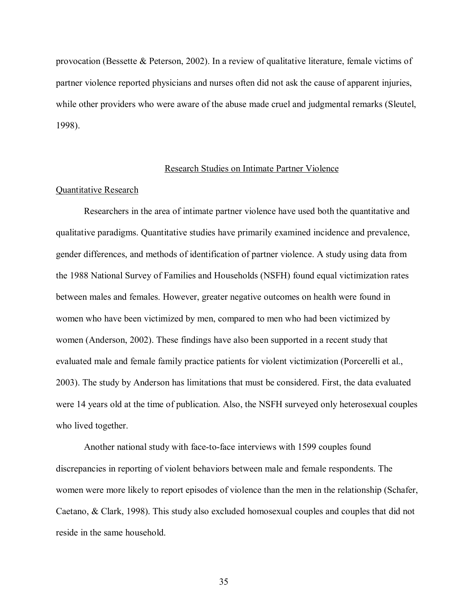provocation (Bessette & Peterson, 2002). In a review of qualitative literature, female victims of partner violence reported physicians and nurses often did not ask the cause of apparent injuries, while other providers who were aware of the abuse made cruel and judgmental remarks (Sleutel, 1998).

#### Research Studies on Intimate Partner Violence

#### Quantitative Research

Researchers in the area of intimate partner violence have used both the quantitative and qualitative paradigms. Quantitative studies have primarily examined incidence and prevalence, gender differences, and methods of identification of partner violence. A study using data from the 1988 National Survey of Families and Households (NSFH) found equal victimization rates between males and females. However, greater negative outcomes on health were found in women who have been victimized by men, compared to men who had been victimized by women (Anderson, 2002). These findings have also been supported in a recent study that evaluated male and female family practice patients for violent victimization (Porcerelli et al., 2003). The study by Anderson has limitations that must be considered. First, the data evaluated were 14 years old at the time of publication. Also, the NSFH surveyed only heterosexual couples who lived together.

Another national study with face-to-face interviews with 1599 couples found discrepancies in reporting of violent behaviors between male and female respondents. The women were more likely to report episodes of violence than the men in the relationship (Schafer, Caetano, & Clark, 1998). This study also excluded homosexual couples and couples that did not reside in the same household.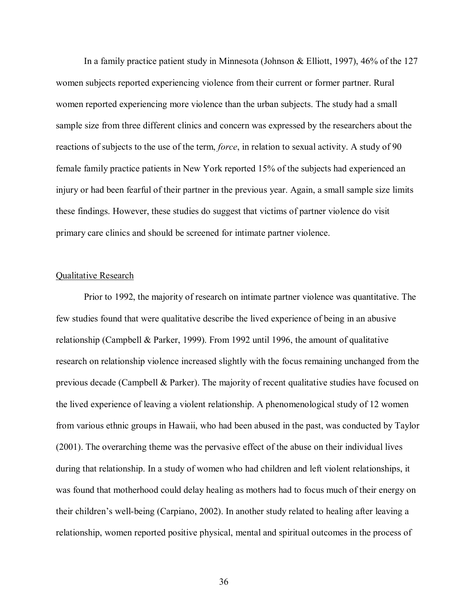In a family practice patient study in Minnesota (Johnson & Elliott, 1997), 46% of the 127 women subjects reported experiencing violence from their current or former partner. Rural women reported experiencing more violence than the urban subjects. The study had a small sample size from three different clinics and concern was expressed by the researchers about the reactions of subjects to the use of the term, *force*, in relation to sexual activity. A study of 90 female family practice patients in New York reported 15% of the subjects had experienced an injury or had been fearful of their partner in the previous year. Again, a small sample size limits these findings. However, these studies do suggest that victims of partner violence do visit primary care clinics and should be screened for intimate partner violence.

# Qualitative Research

 Prior to 1992, the majority of research on intimate partner violence was quantitative. The few studies found that were qualitative describe the lived experience of being in an abusive relationship (Campbell & Parker, 1999). From 1992 until 1996, the amount of qualitative research on relationship violence increased slightly with the focus remaining unchanged from the previous decade (Campbell & Parker). The majority of recent qualitative studies have focused on the lived experience of leaving a violent relationship. A phenomenological study of 12 women from various ethnic groups in Hawaii, who had been abused in the past, was conducted by Taylor (2001). The overarching theme was the pervasive effect of the abuse on their individual lives during that relationship. In a study of women who had children and left violent relationships, it was found that motherhood could delay healing as mothers had to focus much of their energy on their children's well-being (Carpiano, 2002). In another study related to healing after leaving a relationship, women reported positive physical, mental and spiritual outcomes in the process of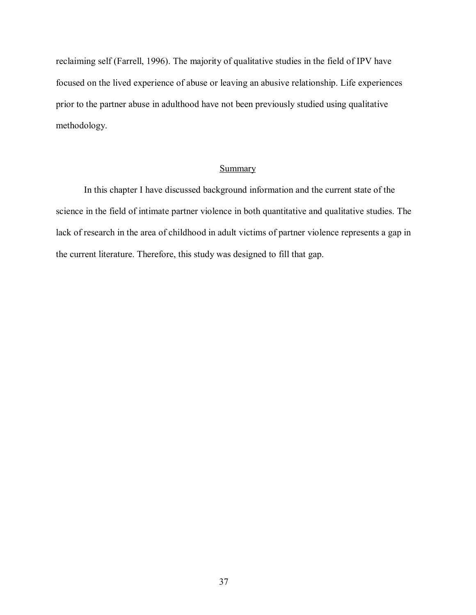reclaiming self (Farrell, 1996). The majority of qualitative studies in the field of IPV have focused on the lived experience of abuse or leaving an abusive relationship. Life experiences prior to the partner abuse in adulthood have not been previously studied using qualitative methodology.

# Summary

 In this chapter I have discussed background information and the current state of the science in the field of intimate partner violence in both quantitative and qualitative studies. The lack of research in the area of childhood in adult victims of partner violence represents a gap in the current literature. Therefore, this study was designed to fill that gap.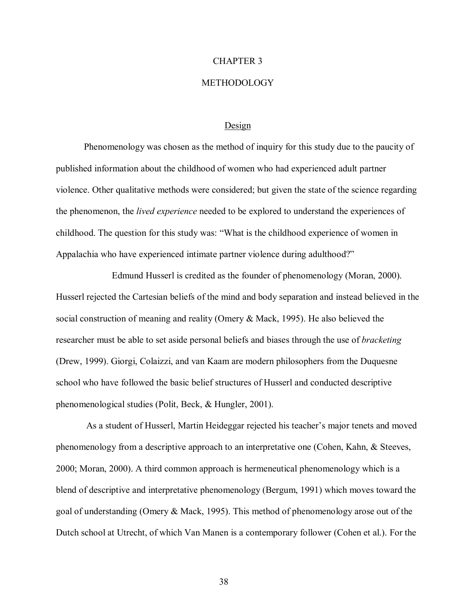# CHAPTER 3

# METHODOLOGY

#### Design

 Phenomenology was chosen as the method of inquiry for this study due to the paucity of published information about the childhood of women who had experienced adult partner violence. Other qualitative methods were considered; but given the state of the science regarding the phenomenon, the *lived experience* needed to be explored to understand the experiences of childhood. The question for this study was: "What is the childhood experience of women in Appalachia who have experienced intimate partner violence during adulthood?"

 Edmund Husserl is credited as the founder of phenomenology (Moran, 2000). Husserl rejected the Cartesian beliefs of the mind and body separation and instead believed in the social construction of meaning and reality (Omery & Mack, 1995). He also believed the researcher must be able to set aside personal beliefs and biases through the use of *bracketing* (Drew, 1999). Giorgi, Colaizzi, and van Kaam are modern philosophers from the Duquesne school who have followed the basic belief structures of Husserl and conducted descriptive phenomenological studies (Polit, Beck, & Hungler, 2001).

As a student of Husserl, Martin Heideggar rejected his teacher's major tenets and moved phenomenology from a descriptive approach to an interpretative one (Cohen, Kahn, & Steeves, 2000; Moran, 2000). A third common approach is hermeneutical phenomenology which is a blend of descriptive and interpretative phenomenology (Bergum, 1991) which moves toward the goal of understanding (Omery & Mack, 1995). This method of phenomenology arose out of the Dutch school at Utrecht, of which Van Manen is a contemporary follower (Cohen et al.). For the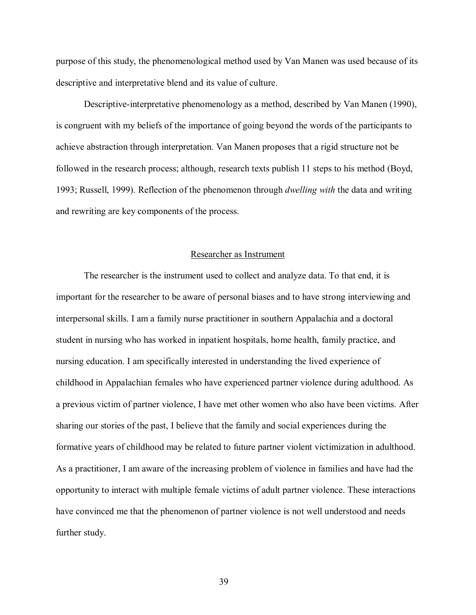purpose of this study, the phenomenological method used by Van Manen was used because of its descriptive and interpretative blend and its value of culture.

Descriptive-interpretative phenomenology as a method, described by Van Manen (1990), is congruent with my beliefs of the importance of going beyond the words of the participants to achieve abstraction through interpretation. Van Manen proposes that a rigid structure not be followed in the research process; although, research texts publish 11 steps to his method (Boyd, 1993; Russell, 1999). Reflection of the phenomenon through *dwelling with* the data and writing and rewriting are key components of the process.

#### Researcher as Instrument

 The researcher is the instrument used to collect and analyze data. To that end, it is important for the researcher to be aware of personal biases and to have strong interviewing and interpersonal skills. I am a family nurse practitioner in southern Appalachia and a doctoral student in nursing who has worked in inpatient hospitals, home health, family practice, and nursing education. I am specifically interested in understanding the lived experience of childhood in Appalachian females who have experienced partner violence during adulthood. As a previous victim of partner violence, I have met other women who also have been victims. After sharing our stories of the past, I believe that the family and social experiences during the formative years of childhood may be related to future partner violent victimization in adulthood. As a practitioner, I am aware of the increasing problem of violence in families and have had the opportunity to interact with multiple female victims of adult partner violence. These interactions have convinced me that the phenomenon of partner violence is not well understood and needs further study.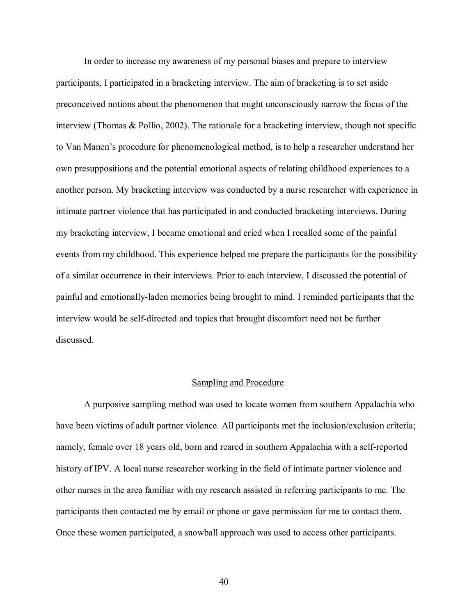In order to increase my awareness of my personal biases and prepare to interview participants, I participated in a bracketing interview. The aim of bracketing is to set aside preconceived notions about the phenomenon that might unconsciously narrow the focus of the interview (Thomas & Pollio, 2002). The rationale for a bracketing interview, though not specific to Van Manenís procedure for phenomenological method, is to help a researcher understand her own presuppositions and the potential emotional aspects of relating childhood experiences to a another person. My bracketing interview was conducted by a nurse researcher with experience in intimate partner violence that has participated in and conducted bracketing interviews. During my bracketing interview, I became emotional and cried when I recalled some of the painful events from my childhood. This experience helped me prepare the participants for the possibility of a similar occurrence in their interviews. Prior to each interview, I discussed the potential of painful and emotionally-laden memories being brought to mind. I reminded participants that the interview would be self-directed and topics that brought discomfort need not be further discussed.

# Sampling and Procedure

 A purposive sampling method was used to locate women from southern Appalachia who have been victims of adult partner violence. All participants met the inclusion/exclusion criteria; namely, female over 18 years old, born and reared in southern Appalachia with a self-reported history of IPV. A local nurse researcher working in the field of intimate partner violence and other nurses in the area familiar with my research assisted in referring participants to me. The participants then contacted me by email or phone or gave permission for me to contact them. Once these women participated, a snowball approach was used to access other participants.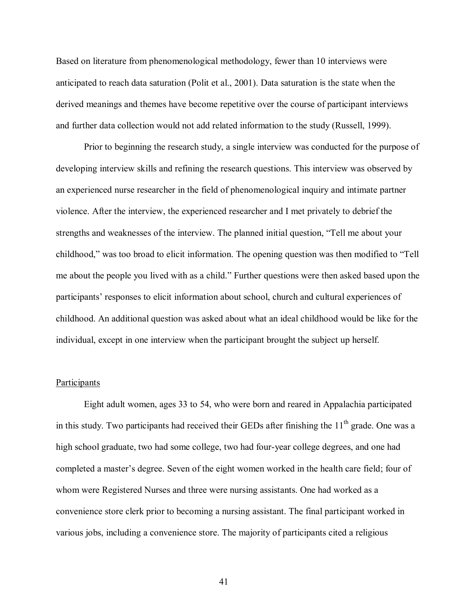Based on literature from phenomenological methodology, fewer than 10 interviews were anticipated to reach data saturation (Polit et al., 2001). Data saturation is the state when the derived meanings and themes have become repetitive over the course of participant interviews and further data collection would not add related information to the study (Russell, 1999).

Prior to beginning the research study, a single interview was conducted for the purpose of developing interview skills and refining the research questions. This interview was observed by an experienced nurse researcher in the field of phenomenological inquiry and intimate partner violence. After the interview, the experienced researcher and I met privately to debrief the strengths and weaknesses of the interview. The planned initial question, "Tell me about your childhood," was too broad to elicit information. The opening question was then modified to "Tell me about the people you lived with as a child." Further questions were then asked based upon the participants' responses to elicit information about school, church and cultural experiences of childhood. An additional question was asked about what an ideal childhood would be like for the individual, except in one interview when the participant brought the subject up herself.

# Participants

 Eight adult women, ages 33 to 54, who were born and reared in Appalachia participated in this study. Two participants had received their GEDs after finishing the  $11<sup>th</sup>$  grade. One was a high school graduate, two had some college, two had four-year college degrees, and one had completed a master's degree. Seven of the eight women worked in the health care field; four of whom were Registered Nurses and three were nursing assistants. One had worked as a convenience store clerk prior to becoming a nursing assistant. The final participant worked in various jobs, including a convenience store. The majority of participants cited a religious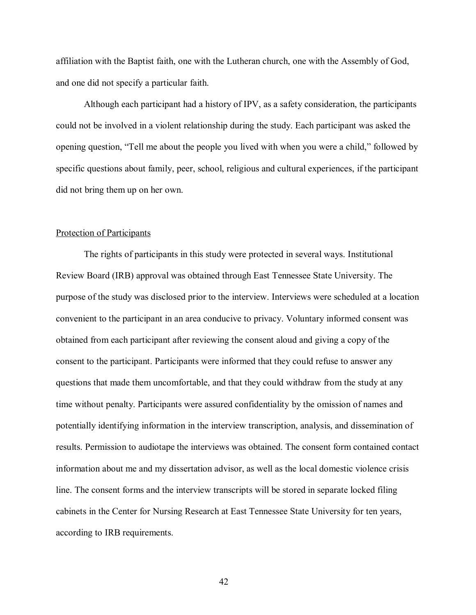affiliation with the Baptist faith, one with the Lutheran church, one with the Assembly of God, and one did not specify a particular faith.

Although each participant had a history of IPV, as a safety consideration, the participants could not be involved in a violent relationship during the study. Each participant was asked the opening question, "Tell me about the people you lived with when you were a child," followed by specific questions about family, peer, school, religious and cultural experiences, if the participant did not bring them up on her own.

## Protection of Participants

 The rights of participants in this study were protected in several ways. Institutional Review Board (IRB) approval was obtained through East Tennessee State University. The purpose of the study was disclosed prior to the interview. Interviews were scheduled at a location convenient to the participant in an area conducive to privacy. Voluntary informed consent was obtained from each participant after reviewing the consent aloud and giving a copy of the consent to the participant. Participants were informed that they could refuse to answer any questions that made them uncomfortable, and that they could withdraw from the study at any time without penalty. Participants were assured confidentiality by the omission of names and potentially identifying information in the interview transcription, analysis, and dissemination of results. Permission to audiotape the interviews was obtained. The consent form contained contact information about me and my dissertation advisor, as well as the local domestic violence crisis line. The consent forms and the interview transcripts will be stored in separate locked filing cabinets in the Center for Nursing Research at East Tennessee State University for ten years, according to IRB requirements.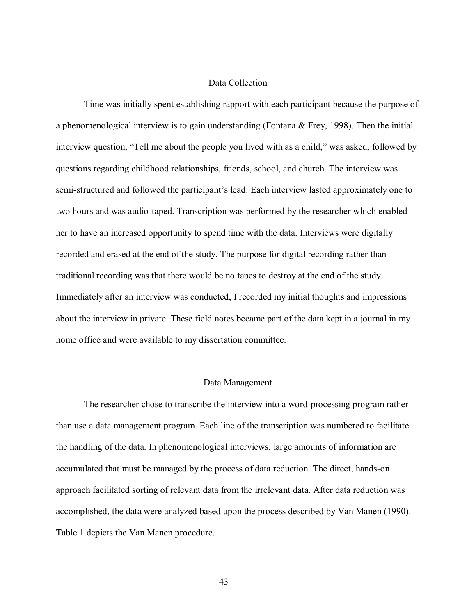# Data Collection

 Time was initially spent establishing rapport with each participant because the purpose of a phenomenological interview is to gain understanding (Fontana  $\&$  Frey, 1998). Then the initial interview question, "Tell me about the people you lived with as a child," was asked, followed by questions regarding childhood relationships, friends, school, and church. The interview was semi-structured and followed the participant's lead. Each interview lasted approximately one to two hours and was audio-taped. Transcription was performed by the researcher which enabled her to have an increased opportunity to spend time with the data. Interviews were digitally recorded and erased at the end of the study. The purpose for digital recording rather than traditional recording was that there would be no tapes to destroy at the end of the study. Immediately after an interview was conducted, I recorded my initial thoughts and impressions about the interview in private. These field notes became part of the data kept in a journal in my home office and were available to my dissertation committee.

# Data Management

 The researcher chose to transcribe the interview into a word-processing program rather than use a data management program. Each line of the transcription was numbered to facilitate the handling of the data. In phenomenological interviews, large amounts of information are accumulated that must be managed by the process of data reduction. The direct, hands-on approach facilitated sorting of relevant data from the irrelevant data. After data reduction was accomplished, the data were analyzed based upon the process described by Van Manen (1990). Table 1 depicts the Van Manen procedure.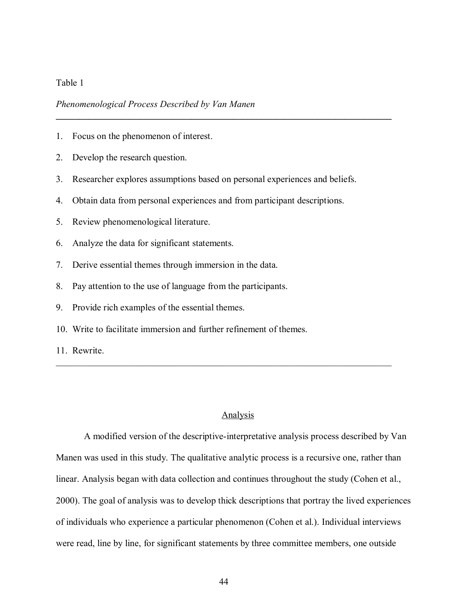# Table 1

# *Phenomenological Process Described by Van Manen*

- 1. Focus on the phenomenon of interest.
- 2. Develop the research question.
- 3. Researcher explores assumptions based on personal experiences and beliefs.

**\_\_\_\_\_\_\_\_\_\_\_\_\_\_\_\_\_\_\_\_\_\_\_\_\_\_\_\_\_\_\_\_\_\_\_\_\_\_\_\_\_\_\_\_\_\_\_\_\_\_\_\_\_\_\_\_\_\_\_\_\_\_\_\_\_\_\_\_\_\_\_\_** 

- 4. Obtain data from personal experiences and from participant descriptions.
- 5. Review phenomenological literature.
- 6. Analyze the data for significant statements.
- 7. Derive essential themes through immersion in the data.
- 8. Pay attention to the use of language from the participants.
- 9. Provide rich examples of the essential themes.
- 10. Write to facilitate immersion and further refinement of themes.
- 11. Rewrite.

# Analysis

 $\mathcal{L}_\text{max}$  , and the contribution of the contribution of the contribution of the contribution of the contribution of the contribution of the contribution of the contribution of the contribution of the contribution of t

 A modified version of the descriptive-interpretative analysis process described by Van Manen was used in this study. The qualitative analytic process is a recursive one, rather than linear. Analysis began with data collection and continues throughout the study (Cohen et al., 2000). The goal of analysis was to develop thick descriptions that portray the lived experiences of individuals who experience a particular phenomenon (Cohen et al.). Individual interviews were read, line by line, for significant statements by three committee members, one outside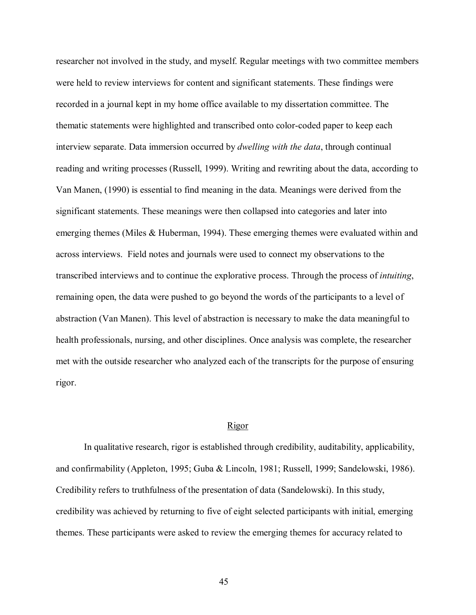researcher not involved in the study, and myself. Regular meetings with two committee members were held to review interviews for content and significant statements. These findings were recorded in a journal kept in my home office available to my dissertation committee. The thematic statements were highlighted and transcribed onto color-coded paper to keep each interview separate. Data immersion occurred by *dwelling with the data*, through continual reading and writing processes (Russell, 1999). Writing and rewriting about the data, according to Van Manen, (1990) is essential to find meaning in the data. Meanings were derived from the significant statements. These meanings were then collapsed into categories and later into emerging themes (Miles & Huberman, 1994). These emerging themes were evaluated within and across interviews. Field notes and journals were used to connect my observations to the transcribed interviews and to continue the explorative process. Through the process of *intuiting*, remaining open, the data were pushed to go beyond the words of the participants to a level of abstraction (Van Manen). This level of abstraction is necessary to make the data meaningful to health professionals, nursing, and other disciplines. Once analysis was complete, the researcher met with the outside researcher who analyzed each of the transcripts for the purpose of ensuring rigor.

# Rigor

 In qualitative research, rigor is established through credibility, auditability, applicability, and confirmability (Appleton, 1995; Guba & Lincoln, 1981; Russell, 1999; Sandelowski, 1986). Credibility refers to truthfulness of the presentation of data (Sandelowski). In this study, credibility was achieved by returning to five of eight selected participants with initial, emerging themes. These participants were asked to review the emerging themes for accuracy related to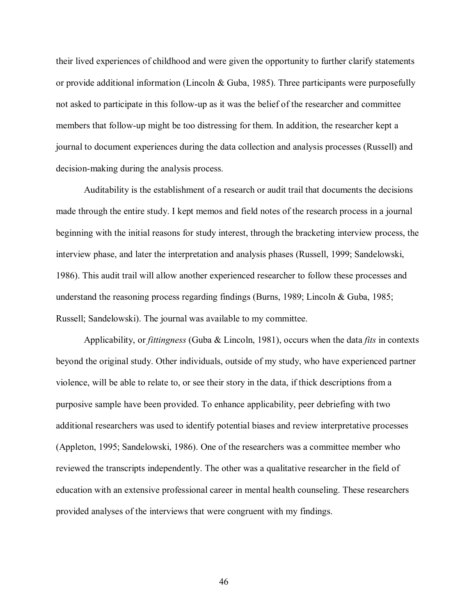their lived experiences of childhood and were given the opportunity to further clarify statements or provide additional information (Lincoln & Guba, 1985). Three participants were purposefully not asked to participate in this follow-up as it was the belief of the researcher and committee members that follow-up might be too distressing for them. In addition, the researcher kept a journal to document experiences during the data collection and analysis processes (Russell) and decision-making during the analysis process.

 Auditability is the establishment of a research or audit trail that documents the decisions made through the entire study. I kept memos and field notes of the research process in a journal beginning with the initial reasons for study interest, through the bracketing interview process, the interview phase, and later the interpretation and analysis phases (Russell, 1999; Sandelowski, 1986). This audit trail will allow another experienced researcher to follow these processes and understand the reasoning process regarding findings (Burns, 1989; Lincoln & Guba, 1985; Russell; Sandelowski). The journal was available to my committee.

 Applicability, or *fittingness* (Guba & Lincoln, 1981), occurs when the data *fits* in contexts beyond the original study. Other individuals, outside of my study, who have experienced partner violence, will be able to relate to, or see their story in the data, if thick descriptions from a purposive sample have been provided. To enhance applicability, peer debriefing with two additional researchers was used to identify potential biases and review interpretative processes (Appleton, 1995; Sandelowski, 1986). One of the researchers was a committee member who reviewed the transcripts independently. The other was a qualitative researcher in the field of education with an extensive professional career in mental health counseling. These researchers provided analyses of the interviews that were congruent with my findings.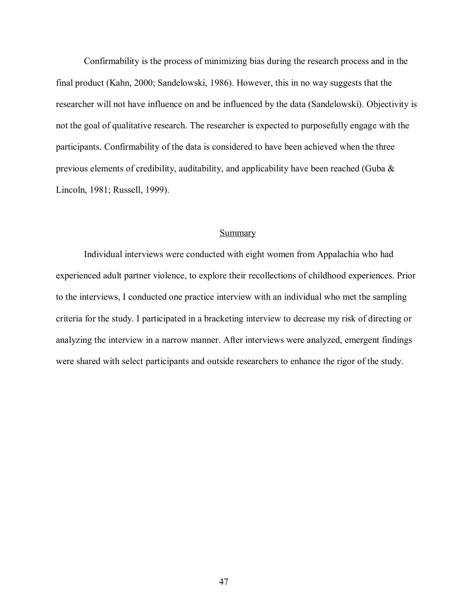Confirmability is the process of minimizing bias during the research process and in the final product (Kahn, 2000; Sandelowski, 1986). However, this in no way suggests that the researcher will not have influence on and be influenced by the data (Sandelowski). Objectivity is not the goal of qualitative research. The researcher is expected to purposefully engage with the participants. Confirmability of the data is considered to have been achieved when the three previous elements of credibility, auditability, and applicability have been reached (Guba & Lincoln, 1981; Russell, 1999).

# **Summary**

 Individual interviews were conducted with eight women from Appalachia who had experienced adult partner violence, to explore their recollections of childhood experiences. Prior to the interviews, I conducted one practice interview with an individual who met the sampling criteria for the study. I participated in a bracketing interview to decrease my risk of directing or analyzing the interview in a narrow manner. After interviews were analyzed, emergent findings were shared with select participants and outside researchers to enhance the rigor of the study.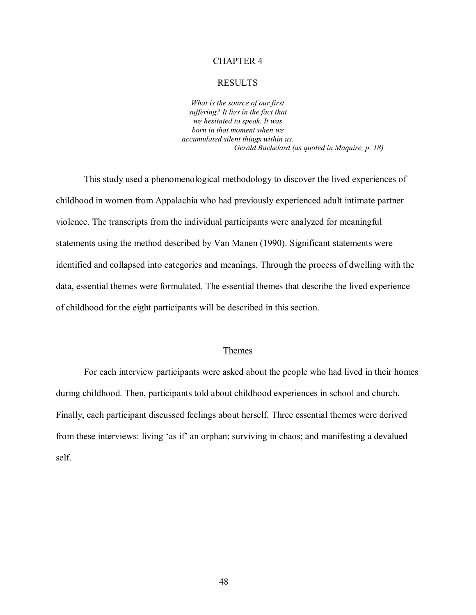# CHAPTER 4

#### RESULTS

*What is the source of our first suffering? It lies in the fact that we hesitated to speak. It was born in that moment when we accumulated silent things within us. Gerald Bachelard (as quoted in Maquire, p. 18)*

 This study used a phenomenological methodology to discover the lived experiences of childhood in women from Appalachia who had previously experienced adult intimate partner violence. The transcripts from the individual participants were analyzed for meaningful statements using the method described by Van Manen (1990). Significant statements were identified and collapsed into categories and meanings. Through the process of dwelling with the data, essential themes were formulated. The essential themes that describe the lived experience of childhood for the eight participants will be described in this section.

### Themes

 For each interview participants were asked about the people who had lived in their homes during childhood. Then, participants told about childhood experiences in school and church. Finally, each participant discussed feelings about herself. Three essential themes were derived from these interviews: living 'as if' an orphan; surviving in chaos; and manifesting a devalued self.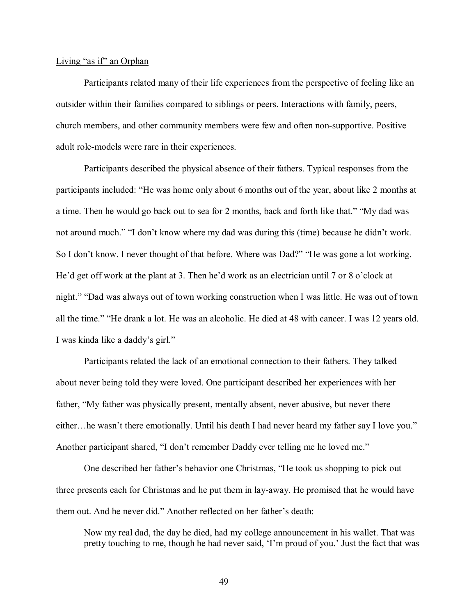### Living "as if" an Orphan

 Participants related many of their life experiences from the perspective of feeling like an outsider within their families compared to siblings or peers. Interactions with family, peers, church members, and other community members were few and often non-supportive. Positive adult role-models were rare in their experiences.

Participants described the physical absence of their fathers. Typical responses from the participants included: "He was home only about 6 months out of the year, about like 2 months at a time. Then he would go back out to sea for 2 months, back and forth like that." "My dad was not around much." "I don't know where my dad was during this (time) because he didn't work. So I don't know. I never thought of that before. Where was Dad?" "He was gone a lot working. He'd get off work at the plant at 3. Then he'd work as an electrician until 7 or 8 o'clock at night." "Dad was always out of town working construction when I was little. He was out of town all the time." "He drank a lot. He was an alcoholic. He died at 48 with cancer. I was 12 years old. I was kinda like a daddy's girl."

 Participants related the lack of an emotional connection to their fathers. They talked about never being told they were loved. One participant described her experiences with her father, "My father was physically present, mentally absent, never abusive, but never there either... he wasn't there emotionally. Until his death I had never heard my father say I love you." Another participant shared, "I don't remember Daddy ever telling me he loved me."

One described her father's behavior one Christmas, "He took us shopping to pick out three presents each for Christmas and he put them in lay-away. He promised that he would have them out. And he never did." Another reflected on her father's death:

 Now my real dad, the day he died, had my college announcement in his wallet. That was pretty touching to me, though he had never said, 'I'm proud of you.' Just the fact that was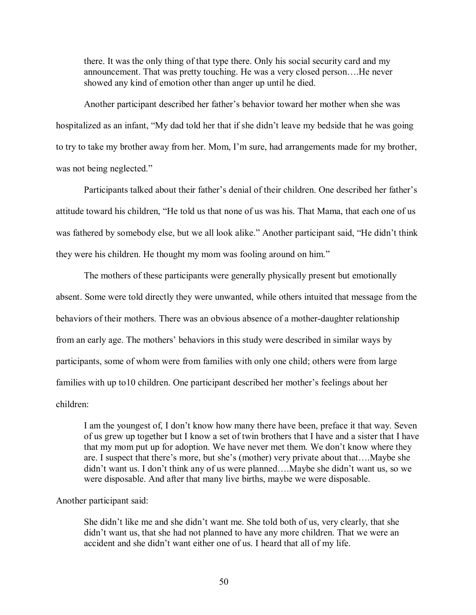there. It was the only thing of that type there. Only his social security card and my announcement. That was pretty touching. He was a very closed person....He never showed any kind of emotion other than anger up until he died.

Another participant described her father's behavior toward her mother when she was hospitalized as an infant, "My dad told her that if she didn't leave my bedside that he was going to try to take my brother away from her. Mom, I'm sure, had arrangements made for my brother, was not being neglected."

Participants talked about their father's denial of their children. One described her father's attitude toward his children, "He told us that none of us was his. That Mama, that each one of us was fathered by somebody else, but we all look alike." Another participant said, "He didn't think they were his children. He thought my mom was fooling around on him."

 The mothers of these participants were generally physically present but emotionally absent. Some were told directly they were unwanted, while others intuited that message from the behaviors of their mothers. There was an obvious absence of a mother-daughter relationship from an early age. The mothers' behaviors in this study were described in similar ways by participants, some of whom were from families with only one child; others were from large families with up to 10 children. One participant described her mother's feelings about her children:

I am the youngest of, I don't know how many there have been, preface it that way. Seven of us grew up together but I know a set of twin brothers that I have and a sister that I have that my mom put up for adoption. We have never met them. We don't know where they are. I suspect that there's more, but she's (mother) very private about that....Maybe she didn't want us. I don't think any of us were planned....Maybe she didn't want us, so we were disposable. And after that many live births, maybe we were disposable.

# Another participant said:

She didn't like me and she didn't want me. She told both of us, very clearly, that she didn't want us, that she had not planned to have any more children. That we were an accident and she didn't want either one of us. I heard that all of my life.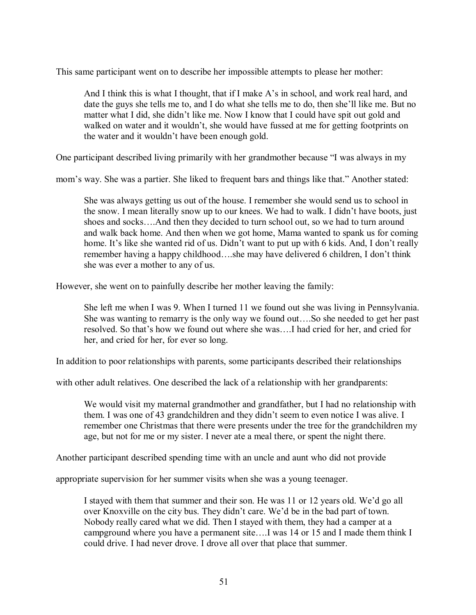This same participant went on to describe her impossible attempts to please her mother:

And I think this is what I thought, that if I make A's in school, and work real hard, and date the guys she tells me to, and I do what she tells me to do, then she'll like me. But no matter what I did, she didn't like me. Now I know that I could have spit out gold and walked on water and it wouldn't, she would have fussed at me for getting footprints on the water and it wouldn't have been enough gold.

One participant described living primarily with her grandmother because "I was always in my

mom's way. She was a partier. She liked to frequent bars and things like that." Another stated:

 She was always getting us out of the house. I remember she would send us to school in the snow. I mean literally snow up to our knees. We had to walk. I didn't have boots, just shoes and socks....And then they decided to turn school out, so we had to turn around and walk back home. And then when we got home, Mama wanted to spank us for coming home. It's like she wanted rid of us. Didn't want to put up with 6 kids. And, I don't really remember having a happy childhood....she may have delivered 6 children, I don't think she was ever a mother to any of us.

However, she went on to painfully describe her mother leaving the family:

 She left me when I was 9. When I turned 11 we found out she was living in Pennsylvania. She was wanting to remarry is the only way we found out....So she needed to get her past resolved. So that's how we found out where she was....I had cried for her, and cried for her, and cried for her, for ever so long.

In addition to poor relationships with parents, some participants described their relationships

with other adult relatives. One described the lack of a relationship with her grandparents:

 We would visit my maternal grandmother and grandfather, but I had no relationship with them. I was one of 43 grandchildren and they didn't seem to even notice I was alive. I remember one Christmas that there were presents under the tree for the grandchildren my age, but not for me or my sister. I never ate a meal there, or spent the night there.

Another participant described spending time with an uncle and aunt who did not provide

appropriate supervision for her summer visits when she was a young teenager.

I stayed with them that summer and their son. He was 11 or 12 years old. We'd go all over Knoxville on the city bus. They didn't care. We'd be in the bad part of town. Nobody really cared what we did. Then I stayed with them, they had a camper at a campground where you have a permanent site....I was 14 or 15 and I made them think I could drive. I had never drove. I drove all over that place that summer.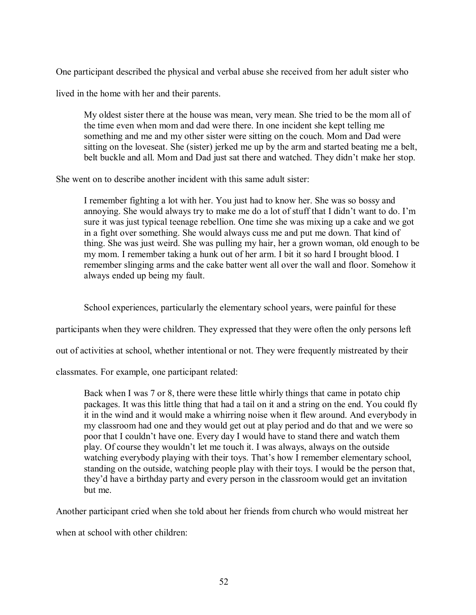One participant described the physical and verbal abuse she received from her adult sister who

lived in the home with her and their parents.

My oldest sister there at the house was mean, very mean. She tried to be the mom all of the time even when mom and dad were there. In one incident she kept telling me something and me and my other sister were sitting on the couch. Mom and Dad were sitting on the loveseat. She (sister) jerked me up by the arm and started beating me a belt, belt buckle and all. Mom and Dad just sat there and watched. They didn't make her stop.

She went on to describe another incident with this same adult sister:

I remember fighting a lot with her. You just had to know her. She was so bossy and annoving. She would always try to make me do a lot of stuff that I didn't want to do. I'm sure it was just typical teenage rebellion. One time she was mixing up a cake and we got in a fight over something. She would always cuss me and put me down. That kind of thing. She was just weird. She was pulling my hair, her a grown woman, old enough to be my mom. I remember taking a hunk out of her arm. I bit it so hard I brought blood. I remember slinging arms and the cake batter went all over the wall and floor. Somehow it always ended up being my fault.

School experiences, particularly the elementary school years, were painful for these

participants when they were children. They expressed that they were often the only persons left

out of activities at school, whether intentional or not. They were frequently mistreated by their

classmates. For example, one participant related:

 Back when I was 7 or 8, there were these little whirly things that came in potato chip packages. It was this little thing that had a tail on it and a string on the end. You could fly it in the wind and it would make a whirring noise when it flew around. And everybody in my classroom had one and they would get out at play period and do that and we were so poor that I couldn't have one. Every day I would have to stand there and watch them play. Of course they wouldnít let me touch it. I was always, always on the outside watching everybody playing with their toys. That's how I remember elementary school, standing on the outside, watching people play with their toys. I would be the person that, they'd have a birthday party and every person in the classroom would get an invitation but me.

Another participant cried when she told about her friends from church who would mistreat her

when at school with other children: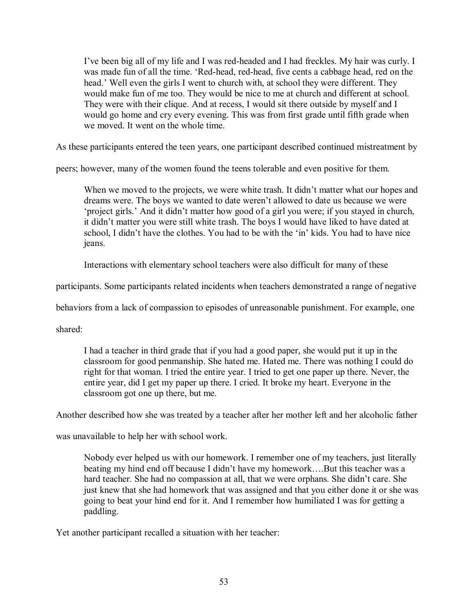I've been big all of my life and I was red-headed and I had freckles. My hair was curly. I was made fun of all the time. 'Red-head, red-head, five cents a cabbage head, red on the head.' Well even the girls I went to church with, at school they were different. They would make fun of me too. They would be nice to me at church and different at school. They were with their clique. And at recess, I would sit there outside by myself and I would go home and cry every evening. This was from first grade until fifth grade when we moved. It went on the whole time.

As these participants entered the teen years, one participant described continued mistreatment by

peers; however, many of the women found the teens tolerable and even positive for them.

When we moved to the projects, we were white trash. It didn't matter what our hopes and dreams were. The boys we wanted to date weren't allowed to date us because we were 'project girls.' And it didn't matter how good of a girl you were; if you stayed in church, it didn't matter you were still white trash. The boys I would have liked to have dated at school. I didn't have the clothes. You had to be with the  $\gamma$  kids. You had to have nice jeans.

Interactions with elementary school teachers were also difficult for many of these

participants. Some participants related incidents when teachers demonstrated a range of negative

behaviors from a lack of compassion to episodes of unreasonable punishment. For example, one

shared:

 I had a teacher in third grade that if you had a good paper, she would put it up in the classroom for good penmanship. She hated me. Hated me. There was nothing I could do right for that woman. I tried the entire year. I tried to get one paper up there. Never, the entire year, did I get my paper up there. I cried. It broke my heart. Everyone in the classroom got one up there, but me.

Another described how she was treated by a teacher after her mother left and her alcoholic father

was unavailable to help her with school work.

 Nobody ever helped us with our homework. I remember one of my teachers, just literally beating my hind end off because I didn't have my homework....But this teacher was a hard teacher. She had no compassion at all, that we were orphans. She didn't care. She just knew that she had homework that was assigned and that you either done it or she was going to beat your hind end for it. And I remember how humiliated I was for getting a paddling.

Yet another participant recalled a situation with her teacher: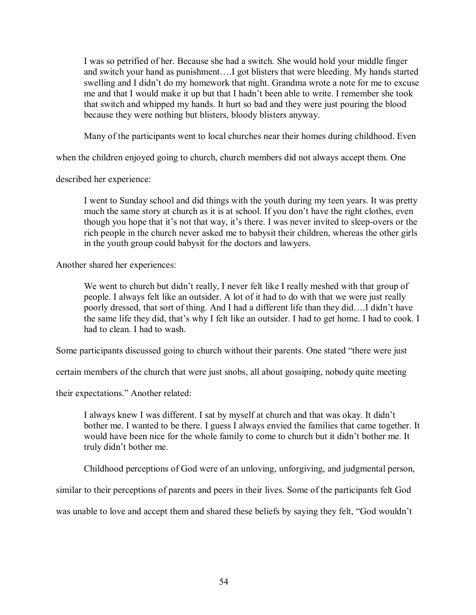I was so petrified of her. Because she had a switch. She would hold your middle finger and switch your hand as punishment....I got blisters that were bleeding. My hands started swelling and I didn't do my homework that night. Grandma wrote a note for me to excuse me and that I would make it up but that I hadn't been able to write. I remember she took that switch and whipped my hands. It hurt so bad and they were just pouring the blood because they were nothing but blisters, bloody blisters anyway.

Many of the participants went to local churches near their homes during childhood. Even

when the children enjoyed going to church, church members did not always accept them. One

described her experience:

I went to Sunday school and did things with the youth during my teen years. It was pretty much the same story at church as it is at school. If you don't have the right clothes, even though you hope that it's not that way, it's there. I was never invited to sleep-overs or the rich people in the church never asked me to babysit their children, whereas the other girls in the youth group could babysit for the doctors and lawyers.

Another shared her experiences:

We went to church but didn't really, I never felt like I really meshed with that group of people. I always felt like an outsider. A lot of it had to do with that we were just really poorly dressed, that sort of thing. And I had a different life than they did....I didn't have the same life they did, that's why I felt like an outsider. I had to get home. I had to cook. I had to clean. I had to wash.

Some participants discussed going to church without their parents. One stated "there were just"

certain members of the church that were just snobs, all about gossiping, nobody quite meeting

their expectations." Another related:

I always knew I was different. I sat by myself at church and that was okay. It didnít bother me. I wanted to be there. I guess I always envied the families that came together. It would have been nice for the whole family to come to church but it didn't bother me. It truly didn't bother me.

Childhood perceptions of God were of an unloving, unforgiving, and judgmental person,

similar to their perceptions of parents and peers in their lives. Some of the participants felt God

was unable to love and accept them and shared these beliefs by saying they felt, "God wouldn't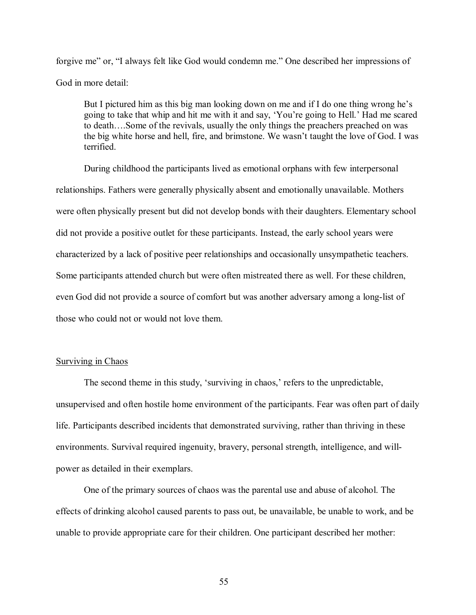forgive me" or, "I always felt like God would condemn me." One described her impressions of God in more detail:

But I pictured him as this big man looking down on me and if I do one thing wrong he's going to take that whip and hit me with it and say, 'You're going to Hell.' Had me scared to death....Some of the revivals, usually the only things the preachers preached on was the big white horse and hell, fire, and brimstone. We wasn't taught the love of God. I was terrified.

 During childhood the participants lived as emotional orphans with few interpersonal relationships. Fathers were generally physically absent and emotionally unavailable. Mothers were often physically present but did not develop bonds with their daughters. Elementary school did not provide a positive outlet for these participants. Instead, the early school years were characterized by a lack of positive peer relationships and occasionally unsympathetic teachers. Some participants attended church but were often mistreated there as well. For these children, even God did not provide a source of comfort but was another adversary among a long-list of those who could not or would not love them.

# **Surviving in Chaos**

The second theme in this study, 'surviving in chaos,' refers to the unpredictable, unsupervised and often hostile home environment of the participants. Fear was often part of daily life. Participants described incidents that demonstrated surviving, rather than thriving in these environments. Survival required ingenuity, bravery, personal strength, intelligence, and willpower as detailed in their exemplars.

 One of the primary sources of chaos was the parental use and abuse of alcohol. The effects of drinking alcohol caused parents to pass out, be unavailable, be unable to work, and be unable to provide appropriate care for their children. One participant described her mother: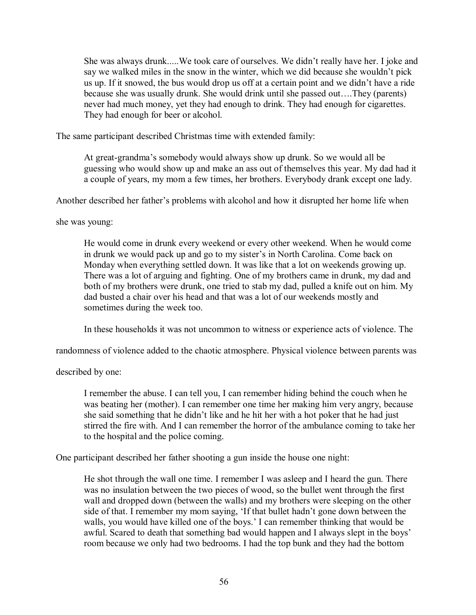She was always drunk.....We took care of ourselves. We didn't really have her. I joke and say we walked miles in the snow in the winter, which we did because she wouldn't pick us up. If it snowed, the bus would drop us off at a certain point and we didn't have a ride because she was usually drunk. She would drink until she passed out....They (parents) never had much money, yet they had enough to drink. They had enough for cigarettes. They had enough for beer or alcohol.

The same participant described Christmas time with extended family:

At great-grandmaís somebody would always show up drunk. So we would all be guessing who would show up and make an ass out of themselves this year. My dad had it a couple of years, my mom a few times, her brothers. Everybody drank except one lady.

Another described her father's problems with alcohol and how it disrupted her home life when

she was young:

He would come in drunk every weekend or every other weekend. When he would come in drunk we would pack up and go to my sister's in North Carolina. Come back on Monday when everything settled down. It was like that a lot on weekends growing up. There was a lot of arguing and fighting. One of my brothers came in drunk, my dad and both of my brothers were drunk, one tried to stab my dad, pulled a knife out on him. My dad busted a chair over his head and that was a lot of our weekends mostly and sometimes during the week too.

In these households it was not uncommon to witness or experience acts of violence. The

randomness of violence added to the chaotic atmosphere. Physical violence between parents was

described by one:

I remember the abuse. I can tell you, I can remember hiding behind the couch when he was beating her (mother). I can remember one time her making him very angry, because she said something that he didn't like and he hit her with a hot poker that he had just stirred the fire with. And I can remember the horror of the ambulance coming to take her to the hospital and the police coming.

One participant described her father shooting a gun inside the house one night:

He shot through the wall one time. I remember I was asleep and I heard the gun. There was no insulation between the two pieces of wood, so the bullet went through the first wall and dropped down (between the walls) and my brothers were sleeping on the other side of that. I remember my mom saying, 'If that bullet hadn't gone down between the walls, you would have killed one of the boys.' I can remember thinking that would be awful. Scared to death that something bad would happen and I always slept in the boys' room because we only had two bedrooms. I had the top bunk and they had the bottom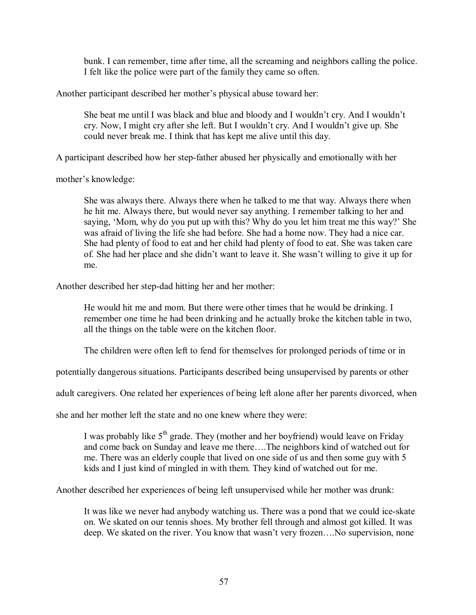bunk. I can remember, time after time, all the screaming and neighbors calling the police. I felt like the police were part of the family they came so often.

Another participant described her mother's physical abuse toward her:

She beat me until I was black and blue and bloody and I wouldn't cry. And I wouldn't cry. Now, I might cry after she left. But I wouldn't cry. And I wouldn't give up. She could never break me. I think that has kept me alive until this day.

A participant described how her step-father abused her physically and emotionally with her

mother's knowledge:

She was always there. Always there when he talked to me that way. Always there when he hit me. Always there, but would never say anything. I remember talking to her and saying, 'Mom, why do you put up with this? Why do you let him treat me this way?' She was afraid of living the life she had before. She had a home now. They had a nice car. She had plenty of food to eat and her child had plenty of food to eat. She was taken care of. She had her place and she didn't want to leave it. She wasn't willing to give it up for me.

Another described her step-dad hitting her and her mother:

He would hit me and mom. But there were other times that he would be drinking. I remember one time he had been drinking and he actually broke the kitchen table in two, all the things on the table were on the kitchen floor.

The children were often left to fend for themselves for prolonged periods of time or in

potentially dangerous situations. Participants described being unsupervised by parents or other

adult caregivers. One related her experiences of being left alone after her parents divorced, when

she and her mother left the state and no one knew where they were:

I was probably like  $5<sup>th</sup>$  grade. They (mother and her boyfriend) would leave on Friday and come back on Sunday and leave me there....The neighbors kind of watched out for me. There was an elderly couple that lived on one side of us and then some guy with 5 kids and I just kind of mingled in with them. They kind of watched out for me.

Another described her experiences of being left unsupervised while her mother was drunk:

It was like we never had anybody watching us. There was a pond that we could ice-skate on. We skated on our tennis shoes. My brother fell through and almost got killed. It was deep. We skated on the river. You know that wasn't very frozen....No supervision, none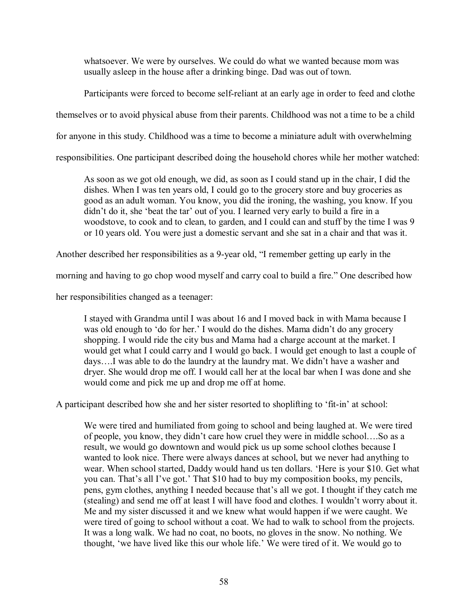whatsoever. We were by ourselves. We could do what we wanted because mom was usually asleep in the house after a drinking binge. Dad was out of town.

Participants were forced to become self-reliant at an early age in order to feed and clothe

themselves or to avoid physical abuse from their parents. Childhood was not a time to be a child

for anyone in this study. Childhood was a time to become a miniature adult with overwhelming

responsibilities. One participant described doing the household chores while her mother watched:

As soon as we got old enough, we did, as soon as I could stand up in the chair, I did the dishes. When I was ten years old, I could go to the grocery store and buy groceries as good as an adult woman. You know, you did the ironing, the washing, you know. If you didn't do it, she 'beat the tar' out of you. I learned very early to build a fire in a woodstove, to cook and to clean, to garden, and I could can and stuff by the time I was 9 or 10 years old. You were just a domestic servant and she sat in a chair and that was it.

Another described her responsibilities as a 9-year old, "I remember getting up early in the

morning and having to go chop wood myself and carry coal to build a fire." One described how

her responsibilities changed as a teenager:

I stayed with Grandma until I was about 16 and I moved back in with Mama because I was old enough to 'do for her.' I would do the dishes. Mama didn't do any grocery shopping. I would ride the city bus and Mama had a charge account at the market. I would get what I could carry and I would go back. I would get enough to last a couple of days....I was able to do the laundry at the laundry mat. We didn't have a washer and dryer. She would drop me off. I would call her at the local bar when I was done and she would come and pick me up and drop me off at home.

A participant described how she and her sister resorted to shoplifting to 'fit-in' at school:

We were tired and humiliated from going to school and being laughed at. We were tired of people, you know, they didn't care how cruel they were in middle school....So as a result, we would go downtown and would pick us up some school clothes because I wanted to look nice. There were always dances at school, but we never had anything to wear. When school started, Daddy would hand us ten dollars. 'Here is your \$10. Get what you can. That's all I've got.' That \$10 had to buy my composition books, my pencils, pens, gym clothes, anything I needed because that's all we got. I thought if they catch me (stealing) and send me off at least I will have food and clothes. I wouldn't worry about it. Me and my sister discussed it and we knew what would happen if we were caught. We were tired of going to school without a coat. We had to walk to school from the projects. It was a long walk. We had no coat, no boots, no gloves in the snow. No nothing. We thought, 'we have lived like this our whole life.' We were tired of it. We would go to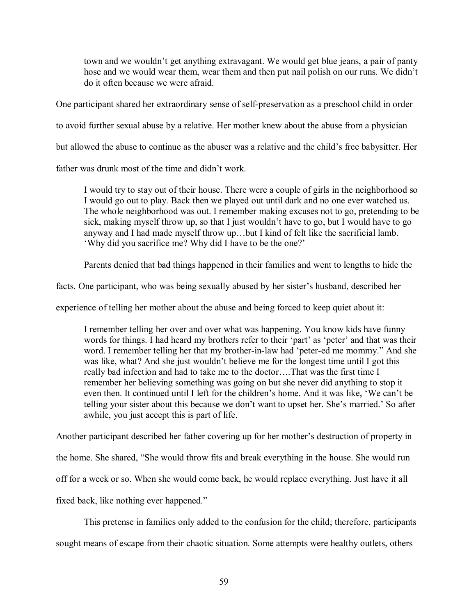town and we wouldn't get anything extravagant. We would get blue jeans, a pair of panty hose and we would wear them, wear them and then put nail polish on our runs. We didn't do it often because we were afraid.

One participant shared her extraordinary sense of self-preservation as a preschool child in order

to avoid further sexual abuse by a relative. Her mother knew about the abuse from a physician

but allowed the abuse to continue as the abuser was a relative and the child's free babysitter. Her

father was drunk most of the time and didn't work.

I would try to stay out of their house. There were a couple of girls in the neighborhood so I would go out to play. Back then we played out until dark and no one ever watched us. The whole neighborhood was out. I remember making excuses not to go, pretending to be sick, making myself throw up, so that I just wouldn't have to go, but I would have to go anyway and I had made myself throw up...but I kind of felt like the sacrificial lamb. 'Why did you sacrifice me? Why did I have to be the one?'

Parents denied that bad things happened in their families and went to lengths to hide the

facts. One participant, who was being sexually abused by her sister's husband, described her

experience of telling her mother about the abuse and being forced to keep quiet about it:

I remember telling her over and over what was happening. You know kids have funny words for things. I had heard my brothers refer to their 'part' as 'peter' and that was their word. I remember telling her that my brother-in-law had 'peter-ed me mommy." And she was like, what? And she just wouldn't believe me for the longest time until I got this really bad infection and had to take me to the doctor....That was the first time I remember her believing something was going on but she never did anything to stop it even then. It continued until I left for the children's home. And it was like, 'We can't be telling your sister about this because we don't want to upset her. She's married.' So after awhile, you just accept this is part of life.

Another participant described her father covering up for her mother's destruction of property in

the home. She shared, "She would throw fits and break everything in the house. She would run

off for a week or so. When she would come back, he would replace everything. Just have it all

fixed back, like nothing ever happened."

This pretense in families only added to the confusion for the child; therefore, participants

sought means of escape from their chaotic situation. Some attempts were healthy outlets, others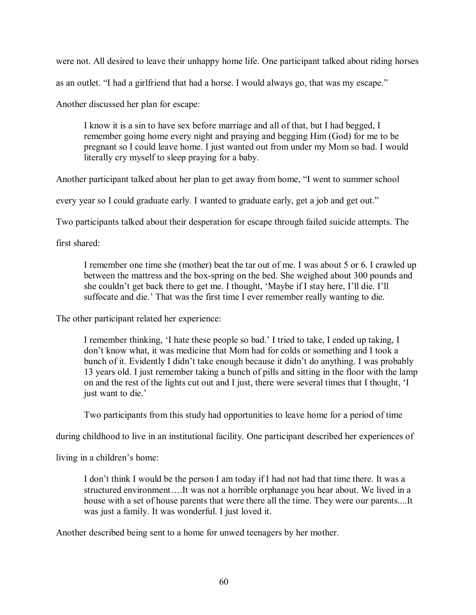were not. All desired to leave their unhappy home life. One participant talked about riding horses as an outlet. "I had a girlfriend that had a horse. I would always go, that was my escape."

Another discussed her plan for escape:

I know it is a sin to have sex before marriage and all of that, but I had begged, I remember going home every night and praying and begging Him (God) for me to be pregnant so I could leave home. I just wanted out from under my Mom so bad. I would literally cry myself to sleep praying for a baby.

Another participant talked about her plan to get away from home, "I went to summer school

every year so I could graduate early. I wanted to graduate early, get a job and get out."

Two participants talked about their desperation for escape through failed suicide attempts. The

first shared:

I remember one time she (mother) beat the tar out of me. I was about 5 or 6. I crawled up between the mattress and the box-spring on the bed. She weighed about 300 pounds and she couldn't get back there to get me. I thought, 'Maybe if I stay here, I'll die. I'll suffocate and die.<sup>7</sup> That was the first time I ever remember really wanting to die.

The other participant related her experience:

I remember thinking, 'I hate these people so bad.' I tried to take, I ended up taking, I don't know what, it was medicine that Mom had for colds or something and I took a bunch of it. Evidently I didn't take enough because it didn't do anything. I was probably 13 years old. I just remember taking a bunch of pills and sitting in the floor with the lamp on and the rest of the lights cut out and I just, there were several times that I thought, ëI just want to die.'

Two participants from this study had opportunities to leave home for a period of time

during childhood to live in an institutional facility. One participant described her experiences of

living in a children's home:

I don't think I would be the person I am today if I had not had that time there. It was a structured environment....It was not a horrible orphanage you hear about. We lived in a house with a set of house parents that were there all the time. They were our parents....It was just a family. It was wonderful. I just loved it.

Another described being sent to a home for unwed teenagers by her mother.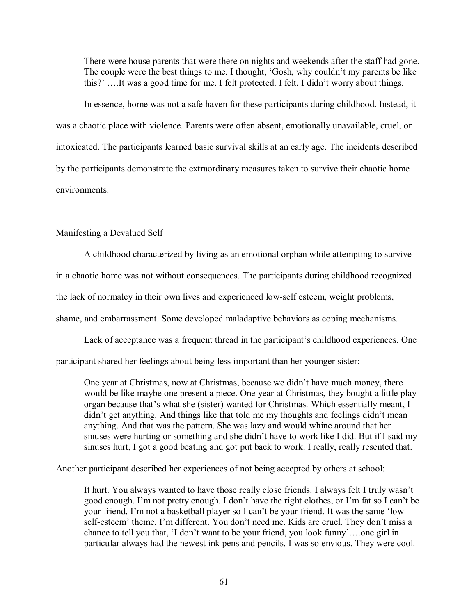There were house parents that were there on nights and weekends after the staff had gone. The couple were the best things to me. I thought, 'Gosh, why couldn't my parents be like this?'....It was a good time for me. I felt protected. I felt, I didn't worry about things.

 In essence, home was not a safe haven for these participants during childhood. Instead, it was a chaotic place with violence. Parents were often absent, emotionally unavailable, cruel, or intoxicated. The participants learned basic survival skills at an early age. The incidents described by the participants demonstrate the extraordinary measures taken to survive their chaotic home environments.

# Manifesting a Devalued Self

 A childhood characterized by living as an emotional orphan while attempting to survive in a chaotic home was not without consequences. The participants during childhood recognized the lack of normalcy in their own lives and experienced low-self esteem, weight problems, shame, and embarrassment. Some developed maladaptive behaviors as coping mechanisms.

Lack of acceptance was a frequent thread in the participant's childhood experiences. One participant shared her feelings about being less important than her younger sister:

One year at Christmas, now at Christmas, because we didn't have much money, there would be like maybe one present a piece. One year at Christmas, they bought a little play organ because that's what she (sister) wanted for Christmas. Which essentially meant, I didn't get anything. And things like that told me my thoughts and feelings didn't mean anything. And that was the pattern. She was lazy and would whine around that her sinuses were hurting or something and she didn't have to work like I did. But if I said my sinuses hurt, I got a good beating and got put back to work. I really, really resented that.

Another participant described her experiences of not being accepted by others at school:

It hurt. You always wanted to have those really close friends. I always felt I truly wasn't good enough. I'm not pretty enough. I don't have the right clothes, or I'm fat so I can't be your friend. I'm not a basketball player so I can't be your friend. It was the same 'low self-esteem' theme. I'm different. You don't need me. Kids are cruel. They don't miss a chance to tell you that, 'I don't want to be your friend, you look funny'....one girl in particular always had the newest ink pens and pencils. I was so envious. They were cool.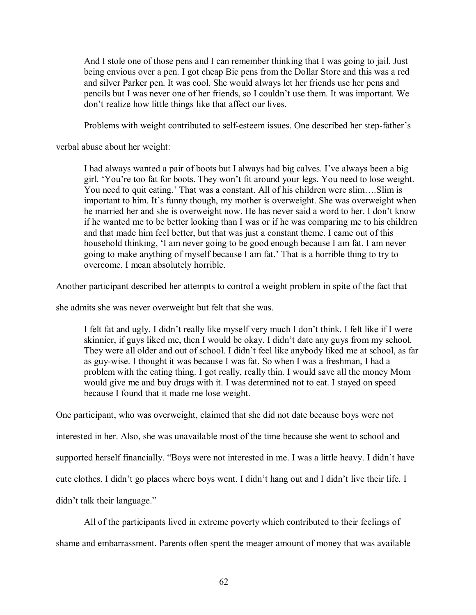And I stole one of those pens and I can remember thinking that I was going to jail. Just being envious over a pen. I got cheap Bic pens from the Dollar Store and this was a red and silver Parker pen. It was cool. She would always let her friends use her pens and pencils but I was never one of her friends, so I couldn't use them. It was important. We don't realize how little things like that affect our lives.

Problems with weight contributed to self-esteem issues. One described her step-father's

verbal abuse about her weight:

I had always wanted a pair of boots but I always had big calves. I've always been a big girl. 'You're too fat for boots. They won't fit around your legs. You need to lose weight. You need to quit eating.' That was a constant. All of his children were slim....Slim is important to him. It's funny though, my mother is overweight. She was overweight when he married her and she is overweight now. He has never said a word to her. I don't know if he wanted me to be better looking than I was or if he was comparing me to his children and that made him feel better, but that was just a constant theme. I came out of this household thinking, ëI am never going to be good enough because I am fat. I am never going to make anything of myself because I am fat.' That is a horrible thing to try to overcome. I mean absolutely horrible.

Another participant described her attempts to control a weight problem in spite of the fact that

she admits she was never overweight but felt that she was.

I felt fat and ugly. I didn't really like myself very much I don't think. I felt like if I were skinnier, if guys liked me, then I would be okay. I didn't date any guys from my school. They were all older and out of school. I didn't feel like anybody liked me at school, as far as guy-wise. I thought it was because I was fat. So when I was a freshman, I had a problem with the eating thing. I got really, really thin. I would save all the money Mom would give me and buy drugs with it. I was determined not to eat. I stayed on speed because I found that it made me lose weight.

One participant, who was overweight, claimed that she did not date because boys were not interested in her. Also, she was unavailable most of the time because she went to school and supported herself financially. "Boys were not interested in me. I was a little heavy. I didn't have cute clothes. I didn't go places where boys went. I didn't hang out and I didn't live their life. I didn't talk their language."

 All of the participants lived in extreme poverty which contributed to their feelings of shame and embarrassment. Parents often spent the meager amount of money that was available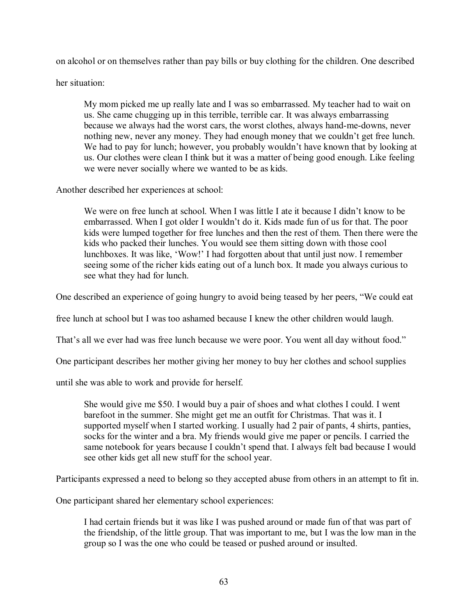on alcohol or on themselves rather than pay bills or buy clothing for the children. One described

her situation:

My mom picked me up really late and I was so embarrassed. My teacher had to wait on us. She came chugging up in this terrible, terrible car. It was always embarrassing because we always had the worst cars, the worst clothes, always hand-me-downs, never nothing new, never any money. They had enough money that we couldn't get free lunch. We had to pay for lunch; however, you probably wouldn't have known that by looking at us. Our clothes were clean I think but it was a matter of being good enough. Like feeling we were never socially where we wanted to be as kids.

Another described her experiences at school:

We were on free lunch at school. When I was little I ate it because I didn't know to be embarrassed. When I got older I wouldn't do it. Kids made fun of us for that. The poor kids were lumped together for free lunches and then the rest of them. Then there were the kids who packed their lunches. You would see them sitting down with those cool lunchboxes. It was like, 'Wow!' I had forgotten about that until just now. I remember seeing some of the richer kids eating out of a lunch box. It made you always curious to see what they had for lunch.

One described an experience of going hungry to avoid being teased by her peers, "We could eat

free lunch at school but I was too ashamed because I knew the other children would laugh.

That's all we ever had was free lunch because we were poor. You went all day without food."

One participant describes her mother giving her money to buy her clothes and school supplies

until she was able to work and provide for herself.

She would give me \$50. I would buy a pair of shoes and what clothes I could. I went barefoot in the summer. She might get me an outfit for Christmas. That was it. I supported myself when I started working. I usually had 2 pair of pants, 4 shirts, panties, socks for the winter and a bra. My friends would give me paper or pencils. I carried the same notebook for years because I couldn't spend that. I always felt bad because I would see other kids get all new stuff for the school year.

Participants expressed a need to belong so they accepted abuse from others in an attempt to fit in.

One participant shared her elementary school experiences:

I had certain friends but it was like I was pushed around or made fun of that was part of the friendship, of the little group. That was important to me, but I was the low man in the group so I was the one who could be teased or pushed around or insulted.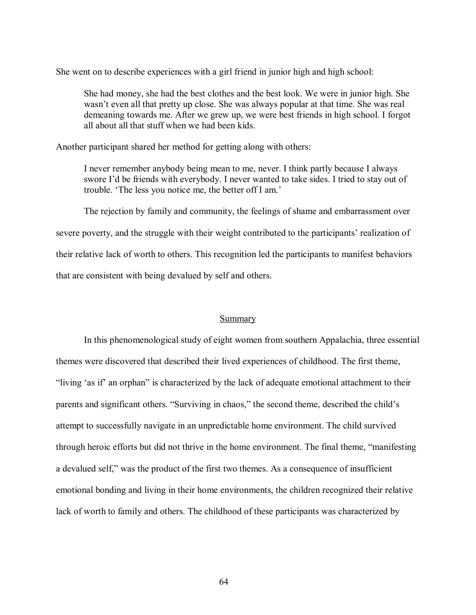She went on to describe experiences with a girl friend in junior high and high school:

She had money, she had the best clothes and the best look. We were in junior high. She wasn't even all that pretty up close. She was always popular at that time. She was real demeaning towards me. After we grew up, we were best friends in high school. I forgot all about all that stuff when we had been kids.

Another participant shared her method for getting along with others:

I never remember anybody being mean to me, never. I think partly because I always swore I'd be friends with everybody. I never wanted to take sides. I tried to stay out of trouble. The less you notice me, the better off I am.'

 The rejection by family and community, the feelings of shame and embarrassment over severe poverty, and the struggle with their weight contributed to the participants' realization of their relative lack of worth to others. This recognition led the participants to manifest behaviors that are consistent with being devalued by self and others.

# Summary

In this phenomenological study of eight women from southern Appalachia, three essential themes were discovered that described their lived experiences of childhood. The first theme, "living 'as if' an orphan" is characterized by the lack of adequate emotional attachment to their parents and significant others. "Surviving in chaos," the second theme, described the child's attempt to successfully navigate in an unpredictable home environment. The child survived through heroic efforts but did not thrive in the home environment. The final theme, "manifesting a devalued self," was the product of the first two themes. As a consequence of insufficient emotional bonding and living in their home environments, the children recognized their relative lack of worth to family and others. The childhood of these participants was characterized by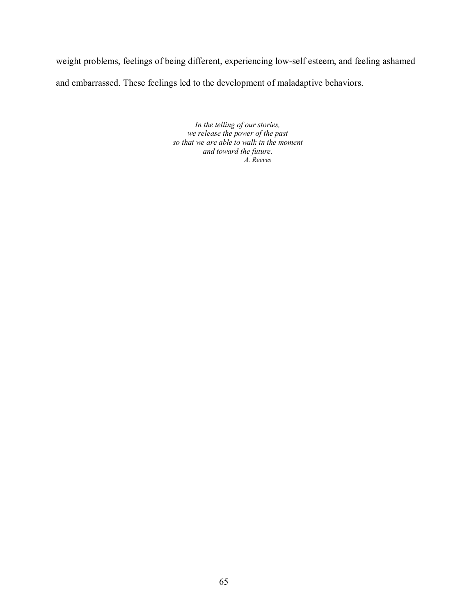weight problems, feelings of being different, experiencing low-self esteem, and feeling ashamed and embarrassed. These feelings led to the development of maladaptive behaviors.

> *In the telling of our stories, we release the power of the past so that we are able to walk in the moment and toward the future. A. Reeves*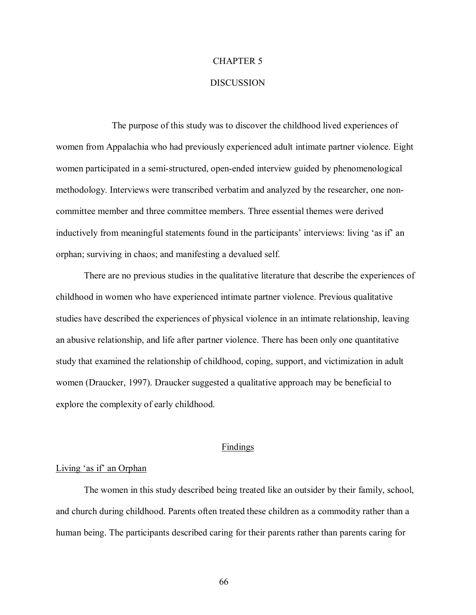# CHAPTER 5

#### **DISCUSSION**

 The purpose of this study was to discover the childhood lived experiences of women from Appalachia who had previously experienced adult intimate partner violence. Eight women participated in a semi-structured, open-ended interview guided by phenomenological methodology. Interviews were transcribed verbatim and analyzed by the researcher, one noncommittee member and three committee members. Three essential themes were derived inductively from meaningful statements found in the participants' interviews: living 'as if' an orphan; surviving in chaos; and manifesting a devalued self.

There are no previous studies in the qualitative literature that describe the experiences of childhood in women who have experienced intimate partner violence. Previous qualitative studies have described the experiences of physical violence in an intimate relationship, leaving an abusive relationship, and life after partner violence. There has been only one quantitative study that examined the relationship of childhood, coping, support, and victimization in adult women (Draucker, 1997). Draucker suggested a qualitative approach may be beneficial to explore the complexity of early childhood.

### **Findings**

## Living 'as if' an Orphan

 The women in this study described being treated like an outsider by their family, school, and church during childhood. Parents often treated these children as a commodity rather than a human being. The participants described caring for their parents rather than parents caring for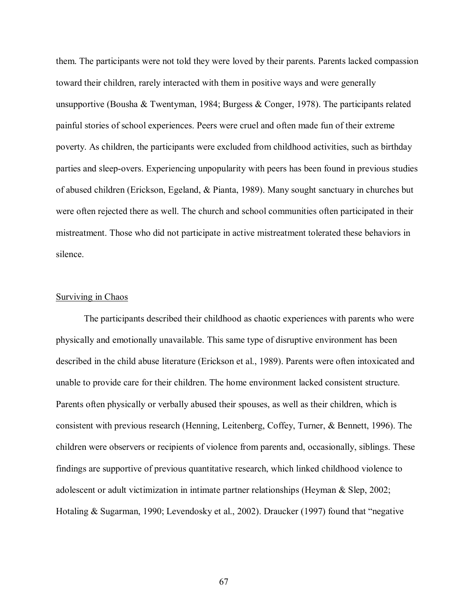them. The participants were not told they were loved by their parents. Parents lacked compassion toward their children, rarely interacted with them in positive ways and were generally unsupportive (Bousha & Twentyman, 1984; Burgess & Conger, 1978). The participants related painful stories of school experiences. Peers were cruel and often made fun of their extreme poverty. As children, the participants were excluded from childhood activities, such as birthday parties and sleep-overs. Experiencing unpopularity with peers has been found in previous studies of abused children (Erickson, Egeland, & Pianta, 1989). Many sought sanctuary in churches but were often rejected there as well. The church and school communities often participated in their mistreatment. Those who did not participate in active mistreatment tolerated these behaviors in silence.

# Surviving in Chaos

 The participants described their childhood as chaotic experiences with parents who were physically and emotionally unavailable. This same type of disruptive environment has been described in the child abuse literature (Erickson et al., 1989). Parents were often intoxicated and unable to provide care for their children. The home environment lacked consistent structure. Parents often physically or verbally abused their spouses, as well as their children, which is consistent with previous research (Henning, Leitenberg, Coffey, Turner, & Bennett, 1996). The children were observers or recipients of violence from parents and, occasionally, siblings. These findings are supportive of previous quantitative research, which linked childhood violence to adolescent or adult victimization in intimate partner relationships (Heyman  $\&$  Slep, 2002; Hotaling & Sugarman, 1990; Levendosky et al., 2002). Draucker (1997) found that "negative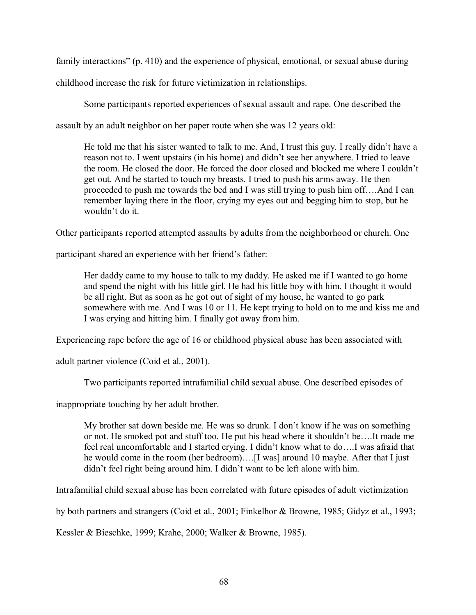family interactions"  $(p, 410)$  and the experience of physical, emotional, or sexual abuse during

childhood increase the risk for future victimization in relationships.

Some participants reported experiences of sexual assault and rape. One described the

assault by an adult neighbor on her paper route when she was 12 years old:

He told me that his sister wanted to talk to me. And, I trust this guy. I really didn't have a reason not to. I went upstairs (in his home) and didn't see her anywhere. I tried to leave the room. He closed the door. He forced the door closed and blocked me where I couldn't get out. And he started to touch my breasts. I tried to push his arms away. He then proceeded to push me towards the bed and I was still trying to push him off....And I can remember laying there in the floor, crying my eyes out and begging him to stop, but he wouldn't do it.

Other participants reported attempted assaults by adults from the neighborhood or church. One

participant shared an experience with her friend's father:

 Her daddy came to my house to talk to my daddy. He asked me if I wanted to go home and spend the night with his little girl. He had his little boy with him. I thought it would be all right. But as soon as he got out of sight of my house, he wanted to go park somewhere with me. And I was 10 or 11. He kept trying to hold on to me and kiss me and I was crying and hitting him. I finally got away from him.

Experiencing rape before the age of 16 or childhood physical abuse has been associated with

adult partner violence (Coid et al., 2001).

Two participants reported intrafamilial child sexual abuse. One described episodes of

inappropriate touching by her adult brother.

My brother sat down beside me. He was so drunk. I don't know if he was on something or not. He smoked pot and stuff too. He put his head where it shouldn't be....It made me feel real uncomfortable and I started crying. I didn't know what to  $do$ .... I was afraid that he would come in the room (her bedroom)....[I was] around 10 maybe. After that I just didn't feel right being around him. I didn't want to be left alone with him.

Intrafamilial child sexual abuse has been correlated with future episodes of adult victimization

by both partners and strangers (Coid et al., 2001; Finkelhor & Browne, 1985; Gidyz et al., 1993;

Kessler & Bieschke, 1999; Krahe, 2000; Walker & Browne, 1985).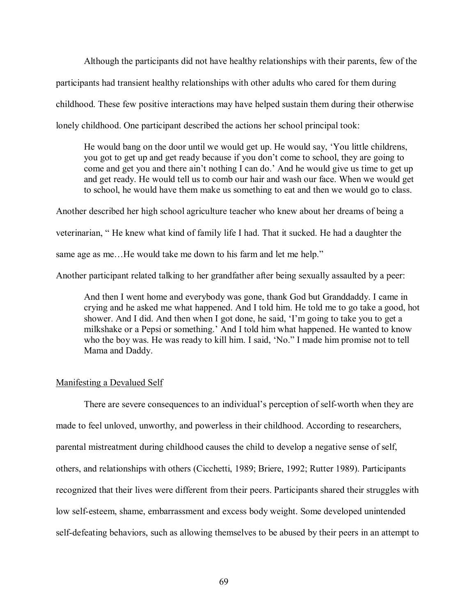Although the participants did not have healthy relationships with their parents, few of the participants had transient healthy relationships with other adults who cared for them during childhood. These few positive interactions may have helped sustain them during their otherwise lonely childhood. One participant described the actions her school principal took:

He would bang on the door until we would get up. He would say, 'You little childrens, you got to get up and get ready because if you don't come to school, they are going to come and get you and there ain't nothing I can do.' And he would give us time to get up and get ready. He would tell us to comb our hair and wash our face. When we would get to school, he would have them make us something to eat and then we would go to class.

Another described her high school agriculture teacher who knew about her dreams of being a veterinarian, "He knew what kind of family life I had. That it sucked. He had a daughter the same age as me...He would take me down to his farm and let me help."

Another participant related talking to her grandfather after being sexually assaulted by a peer:

 And then I went home and everybody was gone, thank God but Granddaddy. I came in crying and he asked me what happened. And I told him. He told me to go take a good, hot shower. And I did. And then when I got done, he said, 'I'm going to take you to get a milkshake or a Pepsi or something.' And I told him what happened. He wanted to know who the boy was. He was ready to kill him. I said, 'No." I made him promise not to tell Mama and Daddy.

# Manifesting a Devalued Self

There are severe consequences to an individual's perception of self-worth when they are made to feel unloved, unworthy, and powerless in their childhood. According to researchers, parental mistreatment during childhood causes the child to develop a negative sense of self, others, and relationships with others (Cicchetti, 1989; Briere, 1992; Rutter 1989). Participants recognized that their lives were different from their peers. Participants shared their struggles with low self-esteem, shame, embarrassment and excess body weight. Some developed unintended self-defeating behaviors, such as allowing themselves to be abused by their peers in an attempt to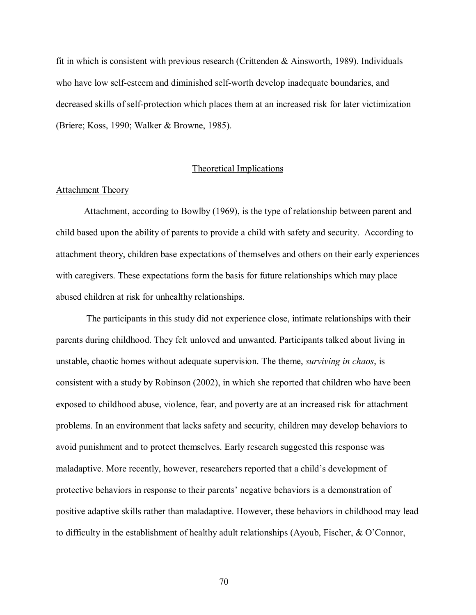fit in which is consistent with previous research (Crittenden & Ainsworth, 1989). Individuals who have low self-esteem and diminished self-worth develop inadequate boundaries, and decreased skills of self-protection which places them at an increased risk for later victimization (Briere; Koss, 1990; Walker & Browne, 1985).

# Theoretical Implications

## Attachment Theory

 Attachment, according to Bowlby (1969), is the type of relationship between parent and child based upon the ability of parents to provide a child with safety and security. According to attachment theory, children base expectations of themselves and others on their early experiences with caregivers. These expectations form the basis for future relationships which may place abused children at risk for unhealthy relationships.

 The participants in this study did not experience close, intimate relationships with their parents during childhood. They felt unloved and unwanted. Participants talked about living in unstable, chaotic homes without adequate supervision. The theme, *surviving in chaos*, is consistent with a study by Robinson (2002), in which she reported that children who have been exposed to childhood abuse, violence, fear, and poverty are at an increased risk for attachment problems. In an environment that lacks safety and security, children may develop behaviors to avoid punishment and to protect themselves. Early research suggested this response was maladaptive. More recently, however, researchers reported that a child's development of protective behaviors in response to their parentsí negative behaviors is a demonstration of positive adaptive skills rather than maladaptive. However, these behaviors in childhood may lead to difficulty in the establishment of healthy adult relationships (Ayoub, Fischer,  $\&$  O'Connor,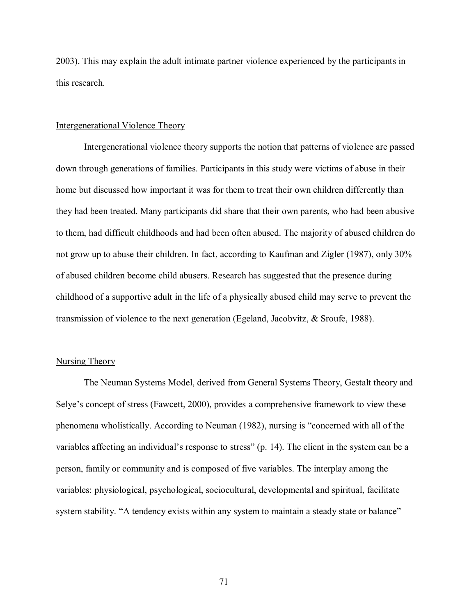2003). This may explain the adult intimate partner violence experienced by the participants in this research.

# Intergenerational Violence Theory

 Intergenerational violence theory supports the notion that patterns of violence are passed down through generations of families. Participants in this study were victims of abuse in their home but discussed how important it was for them to treat their own children differently than they had been treated. Many participants did share that their own parents, who had been abusive to them, had difficult childhoods and had been often abused. The majority of abused children do not grow up to abuse their children. In fact, according to Kaufman and Zigler (1987), only 30% of abused children become child abusers. Research has suggested that the presence during childhood of a supportive adult in the life of a physically abused child may serve to prevent the transmission of violence to the next generation (Egeland, Jacobvitz, & Sroufe, 1988).

### Nursing Theory

 The Neuman Systems Model, derived from General Systems Theory, Gestalt theory and Selye's concept of stress (Fawcett, 2000), provides a comprehensive framework to view these phenomena wholistically. According to Neuman (1982), nursing is "concerned with all of the variables affecting an individual's response to stress" (p. 14). The client in the system can be a person, family or community and is composed of five variables. The interplay among the variables: physiological, psychological, sociocultural, developmental and spiritual, facilitate system stability. "A tendency exists within any system to maintain a steady state or balance"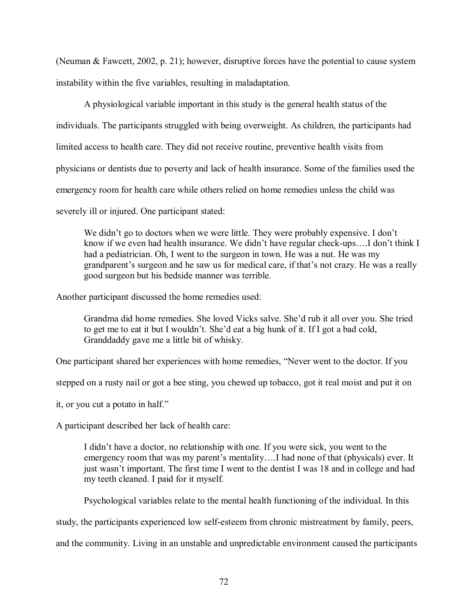(Neuman & Fawcett, 2002, p. 21); however, disruptive forces have the potential to cause system instability within the five variables, resulting in maladaptation.

 A physiological variable important in this study is the general health status of the individuals. The participants struggled with being overweight. As children, the participants had limited access to health care. They did not receive routine, preventive health visits from physicians or dentists due to poverty and lack of health insurance. Some of the families used the emergency room for health care while others relied on home remedies unless the child was severely ill or injured. One participant stated:

We didn't go to doctors when we were little. They were probably expensive. I don't know if we even had health insurance. We didn't have regular check-ups....I don't think I had a pediatrician. Oh, I went to the surgeon in town. He was a nut. He was my grandparent's surgeon and he saw us for medical care, if that's not crazy. He was a really good surgeon but his bedside manner was terrible.

Another participant discussed the home remedies used:

Grandma did home remedies. She loved Vicks salve. She'd rub it all over you. She tried to get me to eat it but I wouldn't. She'd eat a big hunk of it. If I got a bad cold, Granddaddy gave me a little bit of whisky.

One participant shared her experiences with home remedies, "Never went to the doctor. If you

stepped on a rusty nail or got a bee sting, you chewed up tobacco, got it real moist and put it on

it, or you cut a potato in half."

A participant described her lack of health care:

I didn't have a doctor, no relationship with one. If you were sick, you went to the emergency room that was my parent's mentality....I had none of that (physicals) ever. It just wasn't important. The first time I went to the dentist I was 18 and in college and had my teeth cleaned. I paid for it myself.

Psychological variables relate to the mental health functioning of the individual. In this

study, the participants experienced low self-esteem from chronic mistreatment by family, peers,

and the community. Living in an unstable and unpredictable environment caused the participants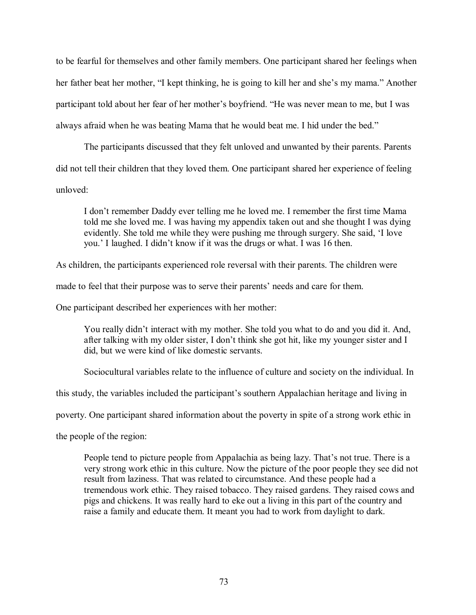to be fearful for themselves and other family members. One participant shared her feelings when her father beat her mother, "I kept thinking, he is going to kill her and she's my mama." Another participant told about her fear of her mother's boyfriend. "He was never mean to me, but I was always afraid when he was beating Mama that he would beat me. I hid under the bed."

 The participants discussed that they felt unloved and unwanted by their parents. Parents did not tell their children that they loved them. One participant shared her experience of feeling unloved:

I don't remember Daddy ever telling me he loved me. I remember the first time Mama told me she loved me. I was having my appendix taken out and she thought I was dying evidently. She told me while they were pushing me through surgery. She said, ëI love you.' I laughed. I didn't know if it was the drugs or what. I was 16 then.

As children, the participants experienced role reversal with their parents. The children were

made to feel that their purpose was to serve their parents' needs and care for them.

One participant described her experiences with her mother:

You really didn't interact with my mother. She told you what to do and you did it. And, after talking with my older sister, I don't think she got hit, like my younger sister and I did, but we were kind of like domestic servants.

Sociocultural variables relate to the influence of culture and society on the individual. In

this study, the variables included the participant's southern Appalachian heritage and living in

poverty. One participant shared information about the poverty in spite of a strong work ethic in

the people of the region:

People tend to picture people from Appalachia as being lazy. That's not true. There is a very strong work ethic in this culture. Now the picture of the poor people they see did not result from laziness. That was related to circumstance. And these people had a tremendous work ethic. They raised tobacco. They raised gardens. They raised cows and pigs and chickens. It was really hard to eke out a living in this part of the country and raise a family and educate them. It meant you had to work from daylight to dark.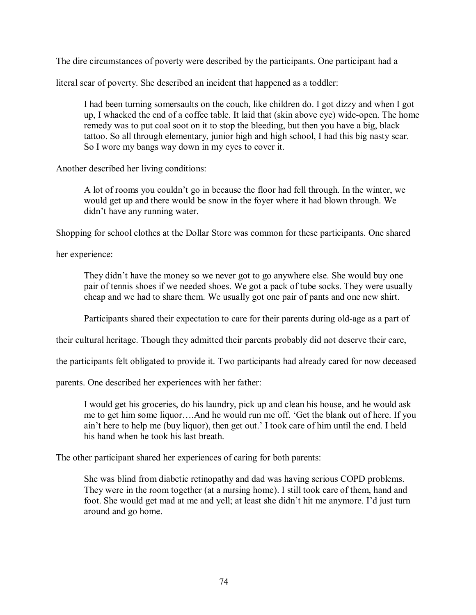The dire circumstances of poverty were described by the participants. One participant had a

literal scar of poverty. She described an incident that happened as a toddler:

 I had been turning somersaults on the couch, like children do. I got dizzy and when I got up, I whacked the end of a coffee table. It laid that (skin above eye) wide-open. The home remedy was to put coal soot on it to stop the bleeding, but then you have a big, black tattoo. So all through elementary, junior high and high school, I had this big nasty scar. So I wore my bangs way down in my eyes to cover it.

Another described her living conditions:

 A lot of rooms you couldnít go in because the floor had fell through. In the winter, we would get up and there would be snow in the foyer where it had blown through. We didn't have any running water.

Shopping for school clothes at the Dollar Store was common for these participants. One shared

her experience:

They didn't have the money so we never got to go anywhere else. She would buy one pair of tennis shoes if we needed shoes. We got a pack of tube socks. They were usually cheap and we had to share them. We usually got one pair of pants and one new shirt.

Participants shared their expectation to care for their parents during old-age as a part of

their cultural heritage. Though they admitted their parents probably did not deserve their care,

the participants felt obligated to provide it. Two participants had already cared for now deceased

parents. One described her experiences with her father:

 I would get his groceries, do his laundry, pick up and clean his house, and he would ask me to get him some liquor....And he would run me off. 'Get the blank out of here. If you ain't here to help me (buy liquor), then get out.' I took care of him until the end. I held his hand when he took his last breath.

The other participant shared her experiences of caring for both parents:

 She was blind from diabetic retinopathy and dad was having serious COPD problems. They were in the room together (at a nursing home). I still took care of them, hand and foot. She would get mad at me and yell; at least she didn't hit me anymore. I'd just turn around and go home.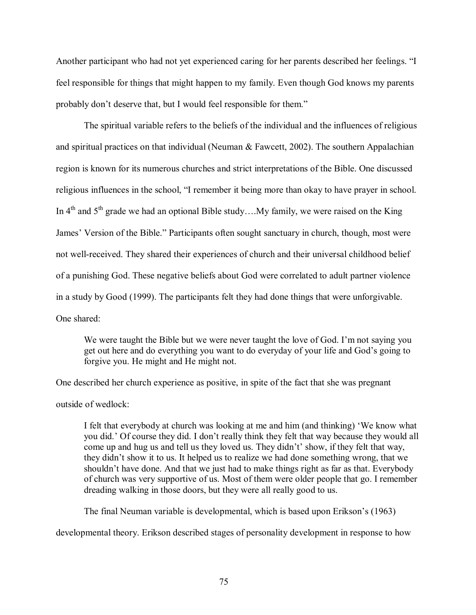Another participant who had not yet experienced caring for her parents described her feelings. "I feel responsible for things that might happen to my family. Even though God knows my parents probably don't deserve that, but I would feel responsible for them."

 The spiritual variable refers to the beliefs of the individual and the influences of religious and spiritual practices on that individual (Neuman & Fawcett, 2002). The southern Appalachian region is known for its numerous churches and strict interpretations of the Bible. One discussed religious influences in the school, "I remember it being more than okay to have prayer in school. In  $4<sup>th</sup>$  and  $5<sup>th</sup>$  grade we had an optional Bible study... My family, we were raised on the King James' Version of the Bible." Participants often sought sanctuary in church, though, most were not well-received. They shared their experiences of church and their universal childhood belief of a punishing God. These negative beliefs about God were correlated to adult partner violence in a study by Good (1999). The participants felt they had done things that were unforgivable. One shared:

We were taught the Bible but we were never taught the love of God. I'm not saying you get out here and do everything you want to do everyday of your life and God's going to forgive you. He might and He might not.

One described her church experience as positive, in spite of the fact that she was pregnant outside of wedlock:

I felt that everybody at church was looking at me and him (and thinking) We know what you did.<sup>7</sup> Of course they did. I don<sup>2</sup>t really think they felt that way because they would all come up and hug us and tell us they loved us. They didn't' show, if they felt that way, they didn't show it to us. It helped us to realize we had done something wrong, that we shouldn't have done. And that we just had to make things right as far as that. Everybody of church was very supportive of us. Most of them were older people that go. I remember dreading walking in those doors, but they were all really good to us.

The final Neuman variable is developmental, which is based upon Erikson's (1963)

developmental theory. Erikson described stages of personality development in response to how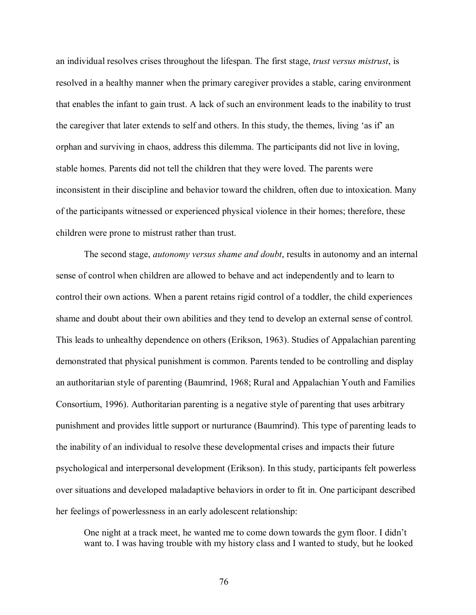an individual resolves crises throughout the lifespan. The first stage, *trust versus mistrust*, is resolved in a healthy manner when the primary caregiver provides a stable, caring environment that enables the infant to gain trust. A lack of such an environment leads to the inability to trust the caregiver that later extends to self and others. In this study, the themes, living 'as if' an orphan and surviving in chaos, address this dilemma. The participants did not live in loving, stable homes. Parents did not tell the children that they were loved. The parents were inconsistent in their discipline and behavior toward the children, often due to intoxication. Many of the participants witnessed or experienced physical violence in their homes; therefore, these children were prone to mistrust rather than trust.

 The second stage, *autonomy versus shame and doubt*, results in autonomy and an internal sense of control when children are allowed to behave and act independently and to learn to control their own actions. When a parent retains rigid control of a toddler, the child experiences shame and doubt about their own abilities and they tend to develop an external sense of control. This leads to unhealthy dependence on others (Erikson, 1963). Studies of Appalachian parenting demonstrated that physical punishment is common. Parents tended to be controlling and display an authoritarian style of parenting (Baumrind, 1968; Rural and Appalachian Youth and Families Consortium, 1996). Authoritarian parenting is a negative style of parenting that uses arbitrary punishment and provides little support or nurturance (Baumrind). This type of parenting leads to the inability of an individual to resolve these developmental crises and impacts their future psychological and interpersonal development (Erikson). In this study, participants felt powerless over situations and developed maladaptive behaviors in order to fit in. One participant described her feelings of powerlessness in an early adolescent relationship:

 One night at a track meet, he wanted me to come down towards the gym floor. I didnít want to. I was having trouble with my history class and I wanted to study, but he looked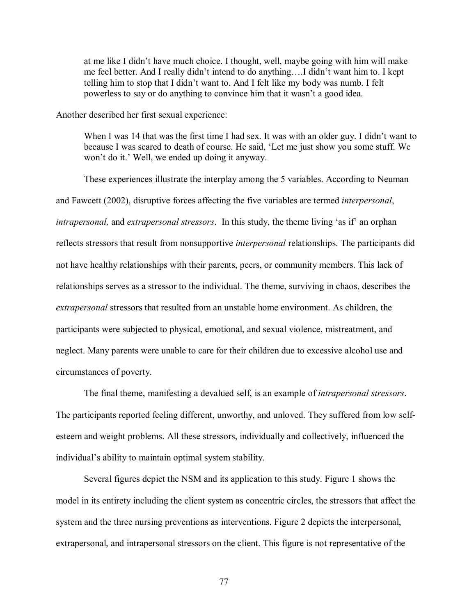at me like I didn't have much choice. I thought, well, maybe going with him will make me feel better. And I really didn't intend to do anything....I didn't want him to. I kept telling him to stop that I didn't want to. And I felt like my body was numb. I felt powerless to say or do anything to convince him that it wasn't a good idea.

Another described her first sexual experience:

When I was 14 that was the first time I had sex. It was with an older guy. I didn't want to because I was scared to death of course. He said, 'Let me just show you some stuff. We won't do it.' Well, we ended up doing it anyway.

These experiences illustrate the interplay among the 5 variables. According to Neuman and Fawcett (2002), disruptive forces affecting the five variables are termed *interpersonal*, *intrapersonal,* and *extrapersonal stressors*. In this study, the theme living 'as if' an orphan reflects stressors that result from nonsupportive *interpersonal* relationships. The participants did not have healthy relationships with their parents, peers, or community members. This lack of relationships serves as a stressor to the individual. The theme, surviving in chaos, describes the *extrapersonal* stressors that resulted from an unstable home environment. As children, the participants were subjected to physical, emotional, and sexual violence, mistreatment, and neglect. Many parents were unable to care for their children due to excessive alcohol use and circumstances of poverty.

The final theme, manifesting a devalued self, is an example of *intrapersonal stressors*. The participants reported feeling different, unworthy, and unloved. They suffered from low selfesteem and weight problems. All these stressors, individually and collectively, influenced the individual's ability to maintain optimal system stability.

Several figures depict the NSM and its application to this study. Figure 1 shows the model in its entirety including the client system as concentric circles, the stressors that affect the system and the three nursing preventions as interventions. Figure 2 depicts the interpersonal, extrapersonal, and intrapersonal stressors on the client. This figure is not representative of the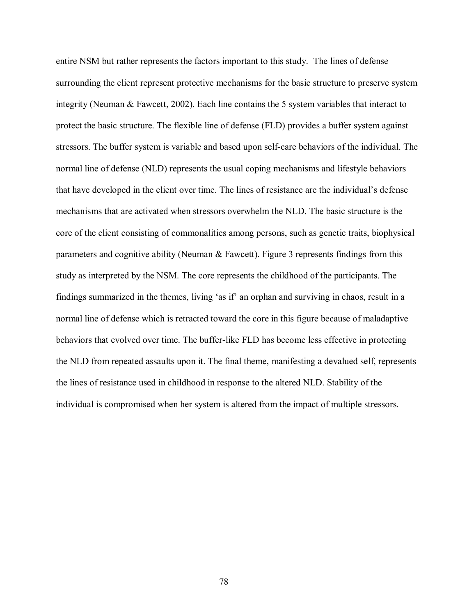entire NSM but rather represents the factors important to this study. The lines of defense surrounding the client represent protective mechanisms for the basic structure to preserve system integrity (Neuman & Fawcett, 2002). Each line contains the 5 system variables that interact to protect the basic structure. The flexible line of defense (FLD) provides a buffer system against stressors. The buffer system is variable and based upon self-care behaviors of the individual. The normal line of defense (NLD) represents the usual coping mechanisms and lifestyle behaviors that have developed in the client over time. The lines of resistance are the individual's defense mechanisms that are activated when stressors overwhelm the NLD. The basic structure is the core of the client consisting of commonalities among persons, such as genetic traits, biophysical parameters and cognitive ability (Neuman & Fawcett). Figure 3 represents findings from this study as interpreted by the NSM. The core represents the childhood of the participants. The findings summarized in the themes, living 'as if' an orphan and surviving in chaos, result in a normal line of defense which is retracted toward the core in this figure because of maladaptive behaviors that evolved over time. The buffer-like FLD has become less effective in protecting the NLD from repeated assaults upon it. The final theme, manifesting a devalued self, represents the lines of resistance used in childhood in response to the altered NLD. Stability of the individual is compromised when her system is altered from the impact of multiple stressors.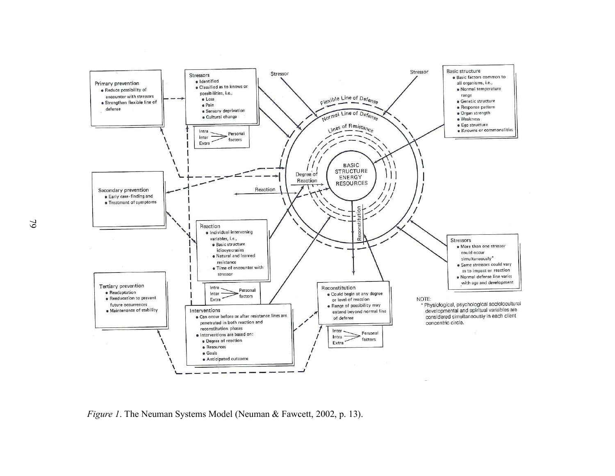

*Figure 1*. The Neuman Systems Model (Neuman & Fawcett, 2002, p. 13).

19 TO  $\mathcal{O}$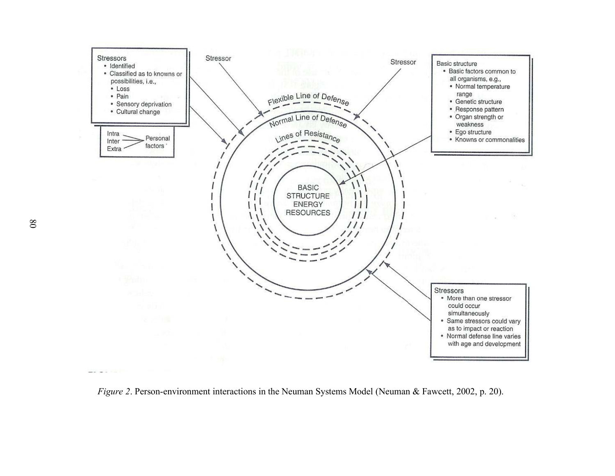

*Figure 2*. Person-environment interactions in the Neuman Systems Model (Neuman & Fawcett, 2002, p. 20).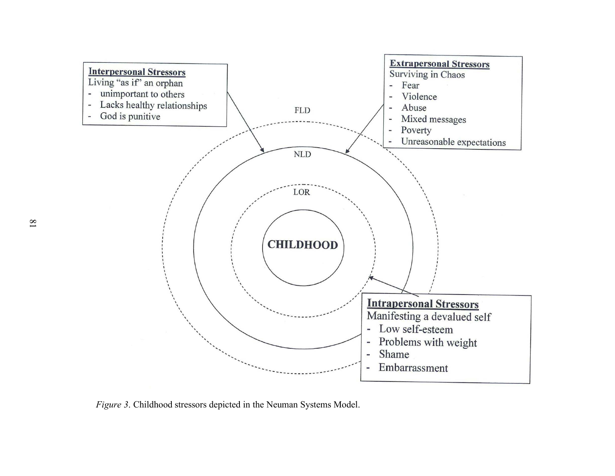

*Figure 3*. Childhood stressors depicted in the Neuman Systems Model.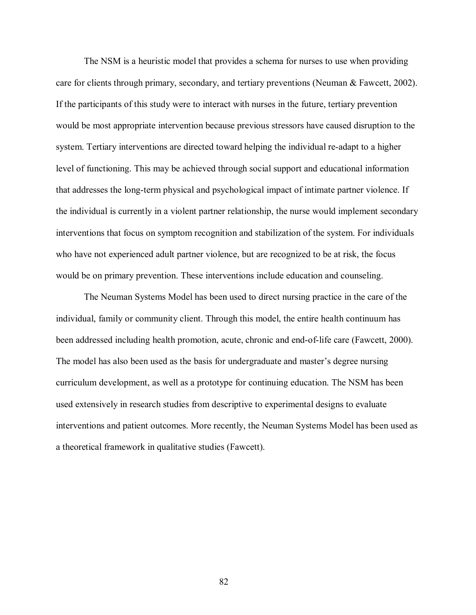The NSM is a heuristic model that provides a schema for nurses to use when providing care for clients through primary, secondary, and tertiary preventions (Neuman & Fawcett, 2002). If the participants of this study were to interact with nurses in the future, tertiary prevention would be most appropriate intervention because previous stressors have caused disruption to the system. Tertiary interventions are directed toward helping the individual re-adapt to a higher level of functioning. This may be achieved through social support and educational information that addresses the long-term physical and psychological impact of intimate partner violence. If the individual is currently in a violent partner relationship, the nurse would implement secondary interventions that focus on symptom recognition and stabilization of the system. For individuals who have not experienced adult partner violence, but are recognized to be at risk, the focus would be on primary prevention. These interventions include education and counseling.

The Neuman Systems Model has been used to direct nursing practice in the care of the individual, family or community client. Through this model, the entire health continuum has been addressed including health promotion, acute, chronic and end-of-life care (Fawcett, 2000). The model has also been used as the basis for undergraduate and master's degree nursing curriculum development, as well as a prototype for continuing education. The NSM has been used extensively in research studies from descriptive to experimental designs to evaluate interventions and patient outcomes. More recently, the Neuman Systems Model has been used as a theoretical framework in qualitative studies (Fawcett).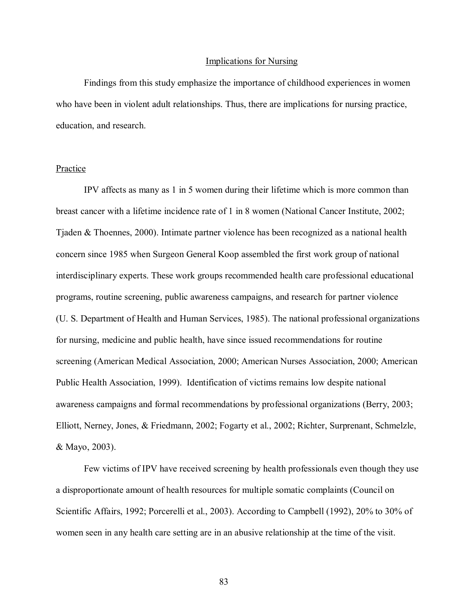#### Implications for Nursing

Findings from this study emphasize the importance of childhood experiences in women who have been in violent adult relationships. Thus, there are implications for nursing practice, education, and research.

# Practice

 IPV affects as many as 1 in 5 women during their lifetime which is more common than breast cancer with a lifetime incidence rate of 1 in 8 women (National Cancer Institute, 2002; Tjaden & Thoennes, 2000). Intimate partner violence has been recognized as a national health concern since 1985 when Surgeon General Koop assembled the first work group of national interdisciplinary experts. These work groups recommended health care professional educational programs, routine screening, public awareness campaigns, and research for partner violence (U. S. Department of Health and Human Services, 1985). The national professional organizations for nursing, medicine and public health, have since issued recommendations for routine screening (American Medical Association, 2000; American Nurses Association, 2000; American Public Health Association, 1999). Identification of victims remains low despite national awareness campaigns and formal recommendations by professional organizations (Berry, 2003; Elliott, Nerney, Jones, & Friedmann, 2002; Fogarty et al., 2002; Richter, Surprenant, Schmelzle, & Mayo, 2003).

Few victims of IPV have received screening by health professionals even though they use a disproportionate amount of health resources for multiple somatic complaints (Council on Scientific Affairs, 1992; Porcerelli et al., 2003). According to Campbell (1992), 20% to 30% of women seen in any health care setting are in an abusive relationship at the time of the visit.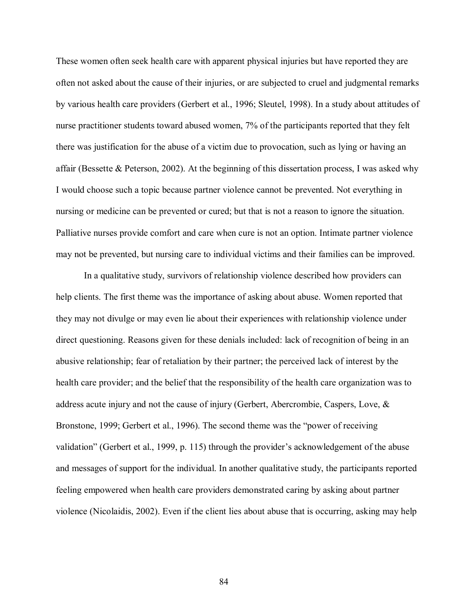These women often seek health care with apparent physical injuries but have reported they are often not asked about the cause of their injuries, or are subjected to cruel and judgmental remarks by various health care providers (Gerbert et al., 1996; Sleutel, 1998). In a study about attitudes of nurse practitioner students toward abused women, 7% of the participants reported that they felt there was justification for the abuse of a victim due to provocation, such as lying or having an affair (Bessette & Peterson, 2002). At the beginning of this dissertation process, I was asked why I would choose such a topic because partner violence cannot be prevented. Not everything in nursing or medicine can be prevented or cured; but that is not a reason to ignore the situation. Palliative nurses provide comfort and care when cure is not an option. Intimate partner violence may not be prevented, but nursing care to individual victims and their families can be improved.

In a qualitative study, survivors of relationship violence described how providers can help clients. The first theme was the importance of asking about abuse. Women reported that they may not divulge or may even lie about their experiences with relationship violence under direct questioning. Reasons given for these denials included: lack of recognition of being in an abusive relationship; fear of retaliation by their partner; the perceived lack of interest by the health care provider; and the belief that the responsibility of the health care organization was to address acute injury and not the cause of injury (Gerbert, Abercrombie, Caspers, Love, & Bronstone, 1999; Gerbert et al., 1996). The second theme was the "power of receiving validation" (Gerbert et al., 1999, p. 115) through the provider's acknowledgement of the abuse and messages of support for the individual. In another qualitative study, the participants reported feeling empowered when health care providers demonstrated caring by asking about partner violence (Nicolaidis, 2002). Even if the client lies about abuse that is occurring, asking may help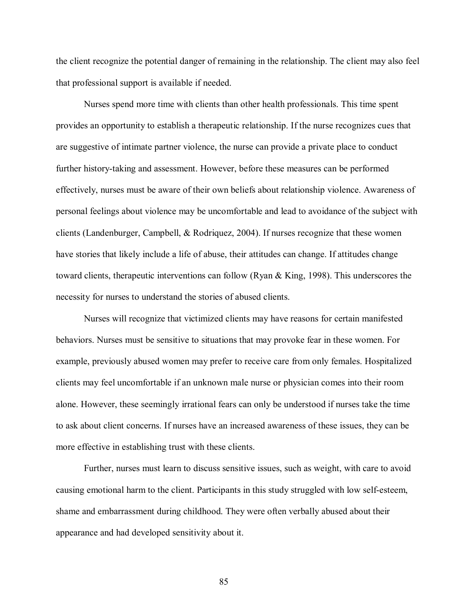the client recognize the potential danger of remaining in the relationship. The client may also feel that professional support is available if needed.

Nurses spend more time with clients than other health professionals. This time spent provides an opportunity to establish a therapeutic relationship. If the nurse recognizes cues that are suggestive of intimate partner violence, the nurse can provide a private place to conduct further history-taking and assessment. However, before these measures can be performed effectively, nurses must be aware of their own beliefs about relationship violence. Awareness of personal feelings about violence may be uncomfortable and lead to avoidance of the subject with clients (Landenburger, Campbell, & Rodriquez, 2004). If nurses recognize that these women have stories that likely include a life of abuse, their attitudes can change. If attitudes change toward clients, therapeutic interventions can follow (Ryan & King, 1998). This underscores the necessity for nurses to understand the stories of abused clients.

 Nurses will recognize that victimized clients may have reasons for certain manifested behaviors. Nurses must be sensitive to situations that may provoke fear in these women. For example, previously abused women may prefer to receive care from only females. Hospitalized clients may feel uncomfortable if an unknown male nurse or physician comes into their room alone. However, these seemingly irrational fears can only be understood if nurses take the time to ask about client concerns. If nurses have an increased awareness of these issues, they can be more effective in establishing trust with these clients.

Further, nurses must learn to discuss sensitive issues, such as weight, with care to avoid causing emotional harm to the client. Participants in this study struggled with low self-esteem, shame and embarrassment during childhood. They were often verbally abused about their appearance and had developed sensitivity about it.

85 and the state of the state of the state of the state of the state of the state of the state of the state of the state of the state of the state of the state of the state of the state of the state of the state of the sta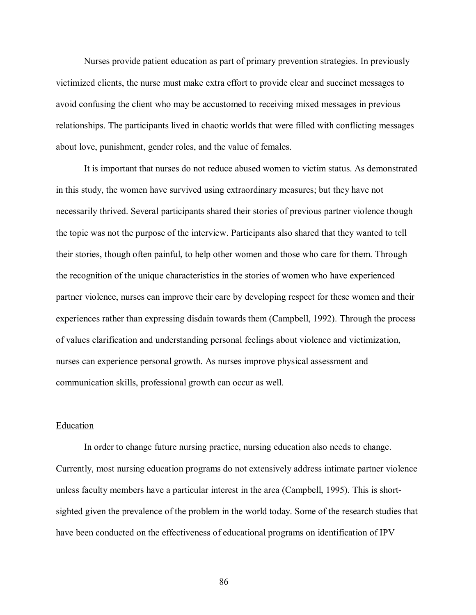Nurses provide patient education as part of primary prevention strategies. In previously victimized clients, the nurse must make extra effort to provide clear and succinct messages to avoid confusing the client who may be accustomed to receiving mixed messages in previous relationships. The participants lived in chaotic worlds that were filled with conflicting messages about love, punishment, gender roles, and the value of females.

It is important that nurses do not reduce abused women to victim status. As demonstrated in this study, the women have survived using extraordinary measures; but they have not necessarily thrived. Several participants shared their stories of previous partner violence though the topic was not the purpose of the interview. Participants also shared that they wanted to tell their stories, though often painful, to help other women and those who care for them. Through the recognition of the unique characteristics in the stories of women who have experienced partner violence, nurses can improve their care by developing respect for these women and their experiences rather than expressing disdain towards them (Campbell, 1992). Through the process of values clarification and understanding personal feelings about violence and victimization, nurses can experience personal growth. As nurses improve physical assessment and communication skills, professional growth can occur as well.

## Education

 In order to change future nursing practice, nursing education also needs to change. Currently, most nursing education programs do not extensively address intimate partner violence unless faculty members have a particular interest in the area (Campbell, 1995). This is shortsighted given the prevalence of the problem in the world today. Some of the research studies that have been conducted on the effectiveness of educational programs on identification of IPV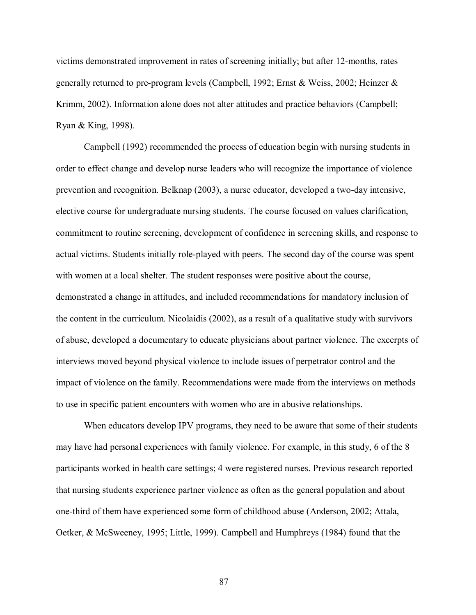victims demonstrated improvement in rates of screening initially; but after 12-months, rates generally returned to pre-program levels (Campbell, 1992; Ernst & Weiss, 2002; Heinzer & Krimm, 2002). Information alone does not alter attitudes and practice behaviors (Campbell; Ryan & King, 1998).

Campbell (1992) recommended the process of education begin with nursing students in order to effect change and develop nurse leaders who will recognize the importance of violence prevention and recognition. Belknap (2003), a nurse educator, developed a two-day intensive, elective course for undergraduate nursing students. The course focused on values clarification, commitment to routine screening, development of confidence in screening skills, and response to actual victims. Students initially role-played with peers. The second day of the course was spent with women at a local shelter. The student responses were positive about the course, demonstrated a change in attitudes, and included recommendations for mandatory inclusion of the content in the curriculum. Nicolaidis (2002), as a result of a qualitative study with survivors of abuse, developed a documentary to educate physicians about partner violence. The excerpts of interviews moved beyond physical violence to include issues of perpetrator control and the impact of violence on the family. Recommendations were made from the interviews on methods to use in specific patient encounters with women who are in abusive relationships.

 When educators develop IPV programs, they need to be aware that some of their students may have had personal experiences with family violence. For example, in this study, 6 of the 8 participants worked in health care settings; 4 were registered nurses. Previous research reported that nursing students experience partner violence as often as the general population and about one-third of them have experienced some form of childhood abuse (Anderson, 2002; Attala, Oetker, & McSweeney, 1995; Little, 1999). Campbell and Humphreys (1984) found that the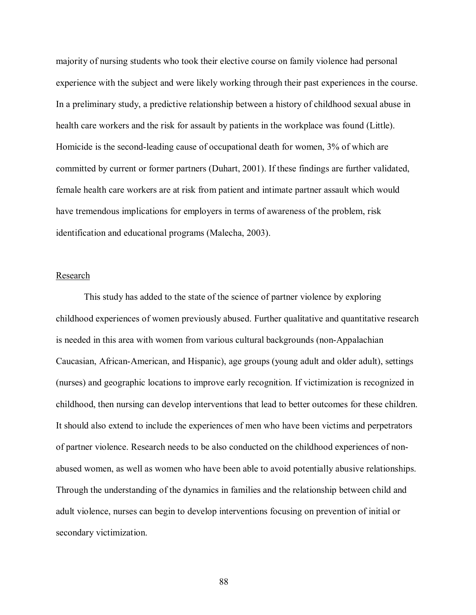majority of nursing students who took their elective course on family violence had personal experience with the subject and were likely working through their past experiences in the course. In a preliminary study, a predictive relationship between a history of childhood sexual abuse in health care workers and the risk for assault by patients in the workplace was found (Little). Homicide is the second-leading cause of occupational death for women, 3% of which are committed by current or former partners (Duhart, 2001). If these findings are further validated, female health care workers are at risk from patient and intimate partner assault which would have tremendous implications for employers in terms of awareness of the problem, risk identification and educational programs (Malecha, 2003).

## Research

 This study has added to the state of the science of partner violence by exploring childhood experiences of women previously abused. Further qualitative and quantitative research is needed in this area with women from various cultural backgrounds (non-Appalachian Caucasian, African-American, and Hispanic), age groups (young adult and older adult), settings (nurses) and geographic locations to improve early recognition. If victimization is recognized in childhood, then nursing can develop interventions that lead to better outcomes for these children. It should also extend to include the experiences of men who have been victims and perpetrators of partner violence. Research needs to be also conducted on the childhood experiences of nonabused women, as well as women who have been able to avoid potentially abusive relationships. Through the understanding of the dynamics in families and the relationship between child and adult violence, nurses can begin to develop interventions focusing on prevention of initial or secondary victimization.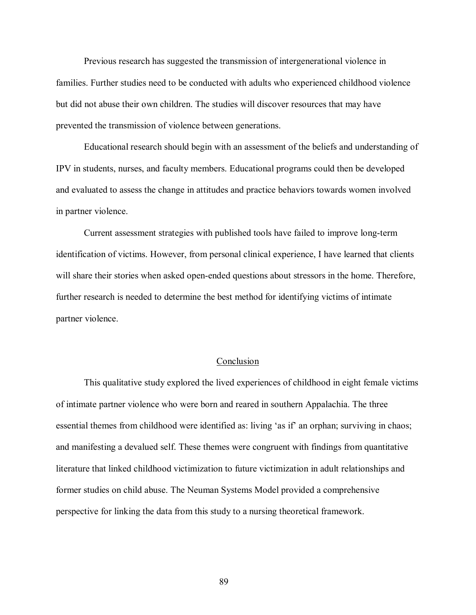Previous research has suggested the transmission of intergenerational violence in families. Further studies need to be conducted with adults who experienced childhood violence but did not abuse their own children. The studies will discover resources that may have prevented the transmission of violence between generations.

 Educational research should begin with an assessment of the beliefs and understanding of IPV in students, nurses, and faculty members. Educational programs could then be developed and evaluated to assess the change in attitudes and practice behaviors towards women involved in partner violence.

 Current assessment strategies with published tools have failed to improve long-term identification of victims. However, from personal clinical experience, I have learned that clients will share their stories when asked open-ended questions about stressors in the home. Therefore, further research is needed to determine the best method for identifying victims of intimate partner violence.

# Conclusion

 This qualitative study explored the lived experiences of childhood in eight female victims of intimate partner violence who were born and reared in southern Appalachia. The three essential themes from childhood were identified as: living 'as if' an orphan; surviving in chaos; and manifesting a devalued self. These themes were congruent with findings from quantitative literature that linked childhood victimization to future victimization in adult relationships and former studies on child abuse. The Neuman Systems Model provided a comprehensive perspective for linking the data from this study to a nursing theoretical framework.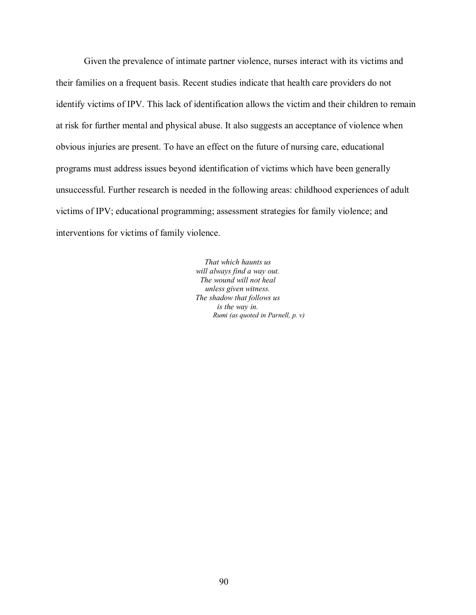Given the prevalence of intimate partner violence, nurses interact with its victims and their families on a frequent basis. Recent studies indicate that health care providers do not identify victims of IPV. This lack of identification allows the victim and their children to remain at risk for further mental and physical abuse. It also suggests an acceptance of violence when obvious injuries are present. To have an effect on the future of nursing care, educational programs must address issues beyond identification of victims which have been generally unsuccessful. Further research is needed in the following areas: childhood experiences of adult victims of IPV; educational programming; assessment strategies for family violence; and interventions for victims of family violence.

> *That which haunts us will always find a way out. The wound will not heal unless given witness. The shadow that follows us is the way in. Rumi (as quoted in Parnell, p. v)*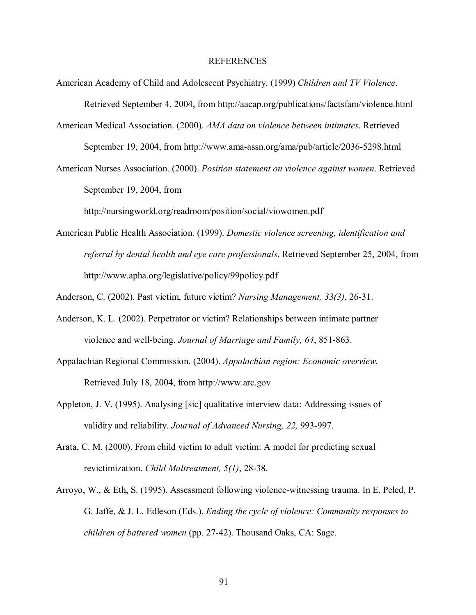#### REFERENCES

- American Academy of Child and Adolescent Psychiatry. (1999) *Children and TV Violence*. Retrieved September 4, 2004, from http://aacap.org/publications/factsfam/violence.html
- American Medical Association. (2000). *AMA data on violence between intimates*. Retrieved September 19, 2004, from http://www.ama-assn.org/ama/pub/article/2036-5298.html
- American Nurses Association. (2000). *Position statement on violence against women*. Retrieved September 19, 2004, from

http://nursingworld.org/readroom/position/social/viowomen.pdf

- American Public Health Association. (1999). *Domestic violence screening, identification and referral by dental health and eye care professionals*. Retrieved September 25, 2004, from http://www.apha.org/legislative/policy/99policy.pdf
- Anderson, C. (2002). Past victim, future victim? *Nursing Management, 33(3)*, 26-31.
- Anderson, K. L. (2002). Perpetrator or victim? Relationships between intimate partner violence and well-being. *Journal of Marriage and Family, 64*, 851-863.
- Appalachian Regional Commission. (2004). *Appalachian region: Economic overview*. Retrieved July 18, 2004, from http://www.arc.gov
- Appleton, J. V. (1995). Analysing [sic] qualitative interview data: Addressing issues of validity and reliability. *Journal of Advanced Nursing, 22,* 993-997.
- Arata, C. M. (2000). From child victim to adult victim: A model for predicting sexual revictimization. *Child Maltreatment, 5(1)*, 28-38.
- Arroyo, W., & Eth, S. (1995). Assessment following violence-witnessing trauma. In E. Peled, P. G. Jaffe, & J. L. Edleson (Eds.), *Ending the cycle of violence: Community responses to children of battered women* (pp. 27-42). Thousand Oaks, CA: Sage.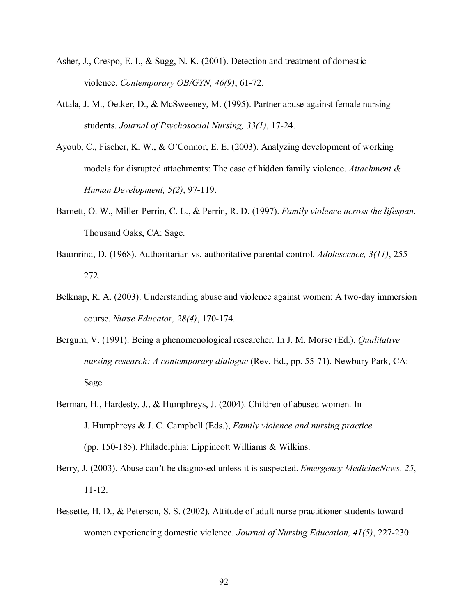- Asher, J., Crespo, E. I., & Sugg, N. K. (2001). Detection and treatment of domestic violence. *Contemporary OB/GYN, 46(9)*, 61-72.
- Attala, J. M., Oetker, D., & McSweeney, M. (1995). Partner abuse against female nursing students. *Journal of Psychosocial Nursing, 33(1)*, 17-24.
- Ayoub, C., Fischer, K. W.,  $& O'Connor, E. E. (2003)$ . Analyzing development of working models for disrupted attachments: The case of hidden family violence. *Attachment & Human Development, 5(2)*, 97-119.
- Barnett, O. W., Miller-Perrin, C. L., & Perrin, R. D. (1997). *Family violence across the lifespan*. Thousand Oaks, CA: Sage.
- Baumrind, D. (1968). Authoritarian vs. authoritative parental control. *Adolescence, 3(11)*, 255- 272.
- Belknap, R. A. (2003). Understanding abuse and violence against women: A two-day immersion course. *Nurse Educator, 28(4)*, 170-174.
- Bergum, V. (1991). Being a phenomenological researcher. In J. M. Morse (Ed.), *Qualitative nursing research: A contemporary dialogue* (Rev. Ed., pp. 55-71). Newbury Park, CA: Sage.
- Berman, H., Hardesty, J., & Humphreys, J. (2004). Children of abused women. In J. Humphreys & J. C. Campbell (Eds.), *Family violence and nursing practice*  (pp. 150-185). Philadelphia: Lippincott Williams & Wilkins.
- Berry, J. (2003). Abuse can't be diagnosed unless it is suspected. *Emergency MedicineNews*, 25, 11-12.
- Bessette, H. D., & Peterson, S. S. (2002). Attitude of adult nurse practitioner students toward women experiencing domestic violence. *Journal of Nursing Education, 41(5)*, 227-230.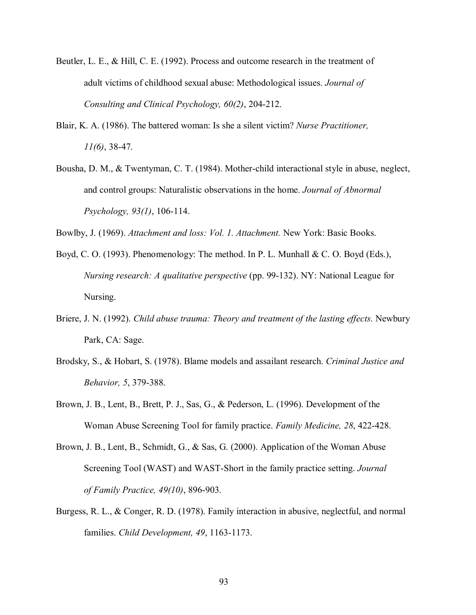- Beutler, L. E., & Hill, C. E. (1992). Process and outcome research in the treatment of adult victims of childhood sexual abuse: Methodological issues. *Journal of Consulting and Clinical Psychology, 60(2)*, 204-212.
- Blair, K. A. (1986). The battered woman: Is she a silent victim? *Nurse Practitioner, 11(6)*, 38-47.
- Bousha, D. M., & Twentyman, C. T. (1984). Mother-child interactional style in abuse, neglect, and control groups: Naturalistic observations in the home. *Journal of Abnormal Psychology, 93(1)*, 106-114.

Bowlby, J. (1969). *Attachment and loss: Vol. 1. Attachment.* New York: Basic Books.

- Boyd, C. O. (1993). Phenomenology: The method. In P. L. Munhall & C. O. Boyd (Eds.), *Nursing research: A qualitative perspective* (pp. 99-132). NY: National League for Nursing.
- Briere, J. N. (1992). *Child abuse trauma: Theory and treatment of the lasting effects*. Newbury Park, CA: Sage.
- Brodsky, S., & Hobart, S. (1978). Blame models and assailant research. *Criminal Justice and Behavior, 5*, 379-388.
- Brown, J. B., Lent, B., Brett, P. J., Sas, G., & Pederson, L. (1996). Development of the Woman Abuse Screening Tool for family practice. *Family Medicine, 28*, 422-428.
- Brown, J. B., Lent, B., Schmidt, G., & Sas, G. (2000). Application of the Woman Abuse Screening Tool (WAST) and WAST-Short in the family practice setting. *Journal of Family Practice, 49(10)*, 896-903.
- Burgess, R. L., & Conger, R. D. (1978). Family interaction in abusive, neglectful, and normal families. *Child Development, 49*, 1163-1173.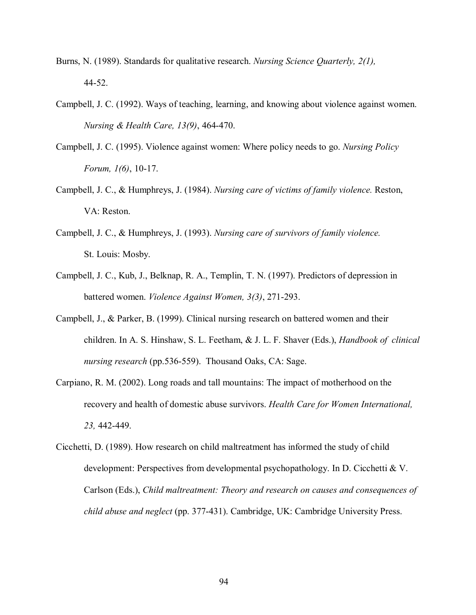- Burns, N. (1989). Standards for qualitative research. *Nursing Science Quarterly, 2(1),*  44-52.
- Campbell, J. C. (1992). Ways of teaching, learning, and knowing about violence against women. *Nursing & Health Care, 13(9)*, 464-470.
- Campbell, J. C. (1995). Violence against women: Where policy needs to go. *Nursing Policy Forum, 1(6)*, 10-17.
- Campbell, J. C., & Humphreys, J. (1984). *Nursing care of victims of family violence.* Reston, VA: Reston.
- Campbell, J. C., & Humphreys, J. (1993). *Nursing care of survivors of family violence.* St. Louis: Mosby.
- Campbell, J. C., Kub, J., Belknap, R. A., Templin, T. N. (1997). Predictors of depression in battered women. *Violence Against Women, 3(3)*, 271-293.
- Campbell, J., & Parker, B. (1999). Clinical nursing research on battered women and their children. In A. S. Hinshaw, S. L. Feetham, & J. L. F. Shaver (Eds.), *Handbook of clinical nursing research* (pp.536-559). Thousand Oaks, CA: Sage.
- Carpiano, R. M. (2002). Long roads and tall mountains: The impact of motherhood on the recovery and health of domestic abuse survivors. *Health Care for Women International, 23,* 442-449.
- Cicchetti, D. (1989). How research on child maltreatment has informed the study of child development: Perspectives from developmental psychopathology. In D. Cicchetti & V. Carlson (Eds.), *Child maltreatment: Theory and research on causes and consequences of child abuse and neglect* (pp. 377-431). Cambridge, UK: Cambridge University Press.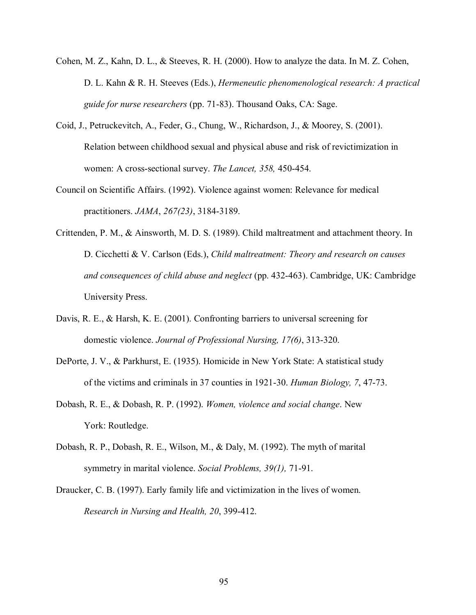- Cohen, M. Z., Kahn, D. L., & Steeves, R. H. (2000). How to analyze the data. In M. Z. Cohen, D. L. Kahn & R. H. Steeves (Eds.), *Hermeneutic phenomenological research: A practical guide for nurse researchers* (pp. 71-83). Thousand Oaks, CA: Sage.
- Coid, J., Petruckevitch, A., Feder, G., Chung, W., Richardson, J., & Moorey, S. (2001). Relation between childhood sexual and physical abuse and risk of revictimization in women: A cross-sectional survey. *The Lancet, 358,* 450-454.
- Council on Scientific Affairs. (1992). Violence against women: Relevance for medical practitioners. *JAMA*, *267(23)*, 3184-3189.
- Crittenden, P. M., & Ainsworth, M. D. S. (1989). Child maltreatment and attachment theory. In D. Cicchetti & V. Carlson (Eds.), *Child maltreatment: Theory and research on causes and consequences of child abuse and neglect* (pp. 432-463). Cambridge, UK: Cambridge University Press.
- Davis, R. E., & Harsh, K. E. (2001). Confronting barriers to universal screening for domestic violence. *Journal of Professional Nursing, 17(6)*, 313-320.
- DePorte, J. V., & Parkhurst, E. (1935). Homicide in New York State: A statistical study of the victims and criminals in 37 counties in 1921-30. *Human Biology, 7*, 47-73.
- Dobash, R. E., & Dobash, R. P. (1992). *Women, violence and social change*. New York: Routledge.
- Dobash, R. P., Dobash, R. E., Wilson, M., & Daly, M. (1992). The myth of marital symmetry in marital violence. *Social Problems, 39(1),* 71-91.
- Draucker, C. B. (1997). Early family life and victimization in the lives of women.  *Research in Nursing and Health, 20*, 399-412.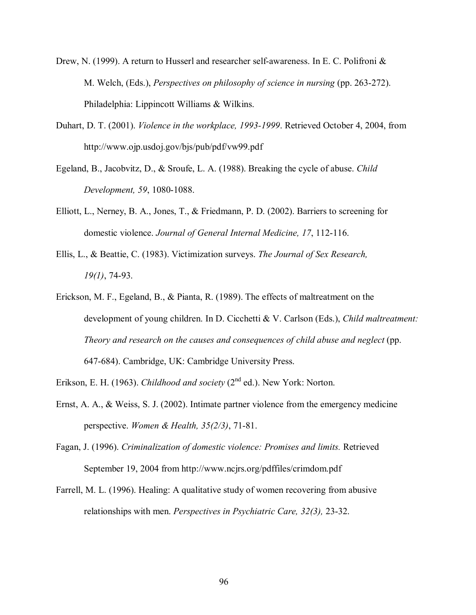- Drew, N. (1999). A return to Husserl and researcher self-awareness. In E. C. Polifroni & M. Welch, (Eds.), *Perspectives on philosophy of science in nursing* (pp. 263-272). Philadelphia: Lippincott Williams & Wilkins.
- Duhart, D. T. (2001). *Violence in the workplace, 1993-1999*. Retrieved October 4, 2004, from http://www.ojp.usdoj.gov/bjs/pub/pdf/vw99.pdf
- Egeland, B., Jacobvitz, D., & Sroufe, L. A. (1988). Breaking the cycle of abuse. *Child Development, 59*, 1080-1088.
- Elliott, L., Nerney, B. A., Jones, T., & Friedmann, P. D. (2002). Barriers to screening for domestic violence. *Journal of General Internal Medicine, 17*, 112-116.
- Ellis, L., & Beattie, C. (1983). Victimization surveys. *The Journal of Sex Research, 19(1)*, 74-93.
- Erickson, M. F., Egeland, B., & Pianta, R. (1989). The effects of maltreatment on the development of young children. In D. Cicchetti & V. Carlson (Eds.), *Child maltreatment: Theory and research on the causes and consequences of child abuse and neglect* (pp. 647-684). Cambridge, UK: Cambridge University Press.
- Erikson, E. H. (1963). *Childhood and society* (2<sup>nd</sup> ed.). New York: Norton.
- Ernst, A. A., & Weiss, S. J. (2002). Intimate partner violence from the emergency medicine perspective. *Women & Health, 35(2/3)*, 71-81.
- Fagan, J. (1996). *Criminalization of domestic violence: Promises and limits.* Retrieved September 19, 2004 from http://www.ncjrs.org/pdffiles/crimdom.pdf
- Farrell, M. L. (1996). Healing: A qualitative study of women recovering from abusive relationships with men. *Perspectives in Psychiatric Care, 32(3),* 23-32.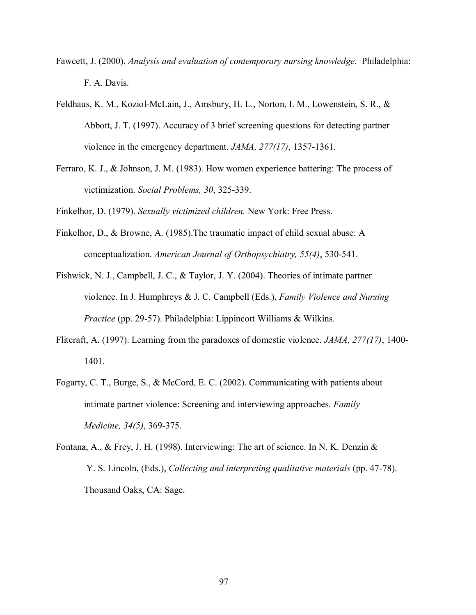- Fawcett, J. (2000). *Analysis and evaluation of contemporary nursing knowledge*. Philadelphia: F. A. Davis.
- Feldhaus, K. M., Koziol-McLain, J., Amsbury, H. L., Norton, I. M., Lowenstein, S. R., & Abbott, J. T. (1997). Accuracy of 3 brief screening questions for detecting partner violence in the emergency department. *JAMA, 277(17)*, 1357-1361.
- Ferraro, K. J., & Johnson, J. M. (1983). How women experience battering: The process of victimization. *Social Problems, 30*, 325-339.

Finkelhor, D. (1979). *Sexually victimized children.* New York: Free Press.

Finkelhor, D., & Browne, A. (1985).The traumatic impact of child sexual abuse: A conceptualization. *American Journal of Orthopsychiatry, 55(4)*, 530-541.

Fishwick, N. J., Campbell, J. C., & Taylor, J. Y. (2004). Theories of intimate partner violence. In J. Humphreys & J. C. Campbell (Eds.), *Family Violence and Nursing Practice* (pp. 29-57). Philadelphia: Lippincott Williams & Wilkins.

- Flitcraft, A. (1997). Learning from the paradoxes of domestic violence. *JAMA, 277(17)*, 1400- 1401.
- Fogarty, C. T., Burge, S., & McCord, E. C. (2002). Communicating with patients about intimate partner violence: Screening and interviewing approaches. *Family Medicine, 34(5)*, 369-375.
- Fontana, A., & Frey, J. H. (1998). Interviewing: The art of science. In N. K. Denzin & Y. S. Lincoln, (Eds.), *Collecting and interpreting qualitative materials* (pp. 47-78). Thousand Oaks, CA: Sage.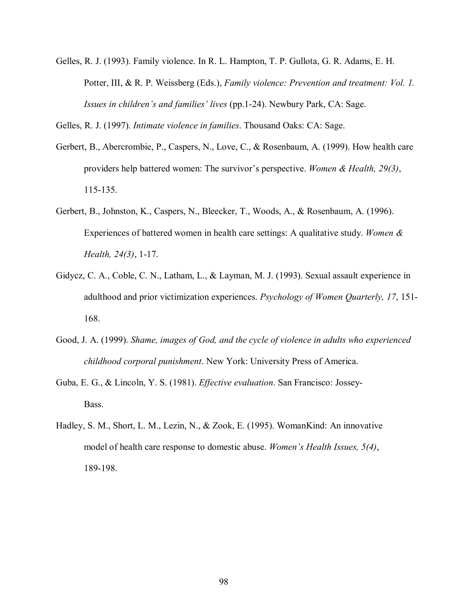Gelles, R. J. (1993). Family violence. In R. L. Hampton, T. P. Gullota, G. R. Adams, E. H. Potter, III, & R. P. Weissberg (Eds.), *Family violence: Prevention and treatment: Vol. 1. Issues in children's and families' lives (pp.1-24).* Newbury Park, CA: Sage.

Gelles, R. J. (1997). *Intimate violence in families*. Thousand Oaks: CA: Sage.

- Gerbert, B., Abercrombie, P., Caspers, N., Love, C., & Rosenbaum, A. (1999). How health care providers help battered women: The survivor's perspective. *Women & Health, 29(3)*, 115-135.
- Gerbert, B., Johnston, K., Caspers, N., Bleecker, T., Woods, A., & Rosenbaum, A. (1996). Experiences of battered women in health care settings: A qualitative study. *Women & Health, 24(3)*, 1-17.
- Gidycz, C. A., Coble, C. N., Latham, L., & Layman, M. J. (1993). Sexual assault experience in adulthood and prior victimization experiences. *Psychology of Women Quarterly, 17*, 151- 168.
- Good, J. A. (1999). *Shame, images of God, and the cycle of violence in adults who experienced childhood corporal punishment*. New York: University Press of America.
- Guba, E. G., & Lincoln, Y. S. (1981). *Effective evaluation*. San Francisco: Jossey- Bass.
- Hadley, S. M., Short, L. M., Lezin, N., & Zook, E. (1995). WomanKind: An innovative model of health care response to domestic abuse. *Women's Health Issues, 5(4)*, 189-198.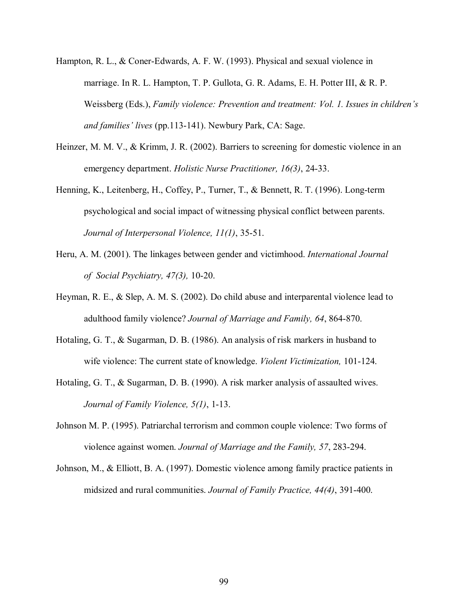- Hampton, R. L., & Coner-Edwards, A. F. W. (1993). Physical and sexual violence in marriage. In R. L. Hampton, T. P. Gullota, G. R. Adams, E. H. Potter III, & R. P. Weissberg (Eds.), *Family violence: Prevention and treatment: Vol. 1. Issues in childrenís and families' lives (pp.113-141).* Newbury Park, CA: Sage.
- Heinzer, M. M. V., & Krimm, J. R. (2002). Barriers to screening for domestic violence in an emergency department. *Holistic Nurse Practitioner, 16(3)*, 24-33.
- Henning, K., Leitenberg, H., Coffey, P., Turner, T., & Bennett, R. T. (1996). Long-term psychological and social impact of witnessing physical conflict between parents.  *Journal of Interpersonal Violence, 11(1)*, 35-51.
- Heru, A. M. (2001). The linkages between gender and victimhood. *International Journal of Social Psychiatry, 47(3),* 10-20.
- Heyman, R. E., & Slep, A. M. S. (2002). Do child abuse and interparental violence lead to adulthood family violence? *Journal of Marriage and Family, 64*, 864-870.
- Hotaling, G. T., & Sugarman, D. B. (1986). An analysis of risk markers in husband to wife violence: The current state of knowledge. *Violent Victimization,* 101-124.
- Hotaling, G. T., & Sugarman, D. B. (1990). A risk marker analysis of assaulted wives.  *Journal of Family Violence, 5(1)*, 1-13.
- Johnson M. P. (1995). Patriarchal terrorism and common couple violence: Two forms of violence against women. *Journal of Marriage and the Family, 57*, 283-294.
- Johnson, M., & Elliott, B. A. (1997). Domestic violence among family practice patients in midsized and rural communities. *Journal of Family Practice, 44(4)*, 391-400.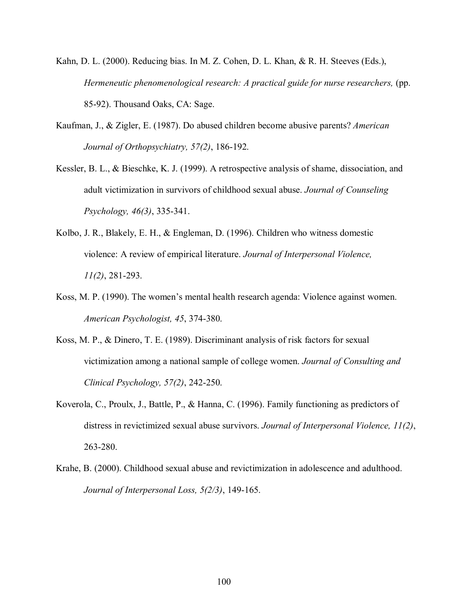- Kahn, D. L. (2000). Reducing bias. In M. Z. Cohen, D. L. Khan, & R. H. Steeves (Eds.), *Hermeneutic phenomenological research: A practical guide for nurse researchers,* (pp. 85-92). Thousand Oaks, CA: Sage.
- Kaufman, J., & Zigler, E. (1987). Do abused children become abusive parents? *American Journal of Orthopsychiatry, 57(2)*, 186-192.
- Kessler, B. L., & Bieschke, K. J. (1999). A retrospective analysis of shame, dissociation, and adult victimization in survivors of childhood sexual abuse. *Journal of Counseling Psychology, 46(3)*, 335-341.
- Kolbo, J. R., Blakely, E. H., & Engleman, D. (1996). Children who witness domestic violence: A review of empirical literature. *Journal of Interpersonal Violence, 11(2)*, 281-293.
- Koss, M. P. (1990). The women's mental health research agenda: Violence against women. *American Psychologist, 45*, 374-380.
- Koss, M. P., & Dinero, T. E. (1989). Discriminant analysis of risk factors for sexual victimization among a national sample of college women. *Journal of Consulting and Clinical Psychology, 57(2)*, 242-250.
- Koverola, C., Proulx, J., Battle, P., & Hanna, C. (1996). Family functioning as predictors of distress in revictimized sexual abuse survivors. *Journal of Interpersonal Violence, 11(2)*, 263-280.
- Krahe, B. (2000). Childhood sexual abuse and revictimization in adolescence and adulthood. *Journal of Interpersonal Loss, 5(2/3)*, 149-165.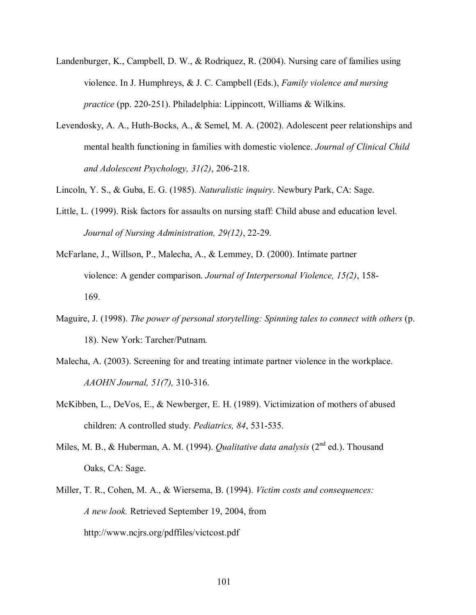- Landenburger, K., Campbell, D. W., & Rodriquez, R. (2004). Nursing care of families using violence. In J. Humphreys, & J. C. Campbell (Eds.), *Family violence and nursing practice* (pp. 220-251). Philadelphia: Lippincott, Williams & Wilkins.
- Levendosky, A. A., Huth-Bocks, A., & Semel, M. A. (2002). Adolescent peer relationships and mental health functioning in families with domestic violence. *Journal of Clinical Child and Adolescent Psychology, 31(2)*, 206-218.
- Lincoln, Y. S., & Guba, E. G. (1985). *Naturalistic inquiry*. Newbury Park, CA: Sage.
- Little, L. (1999). Risk factors for assaults on nursing staff: Child abuse and education level. *Journal of Nursing Administration, 29(12)*, 22-29.
- McFarlane, J., Willson, P., Malecha, A., & Lemmey, D. (2000). Intimate partner violence: A gender comparison. *Journal of Interpersonal Violence, 15(2)*, 158- 169.
- Maguire, J. (1998). *The power of personal storytelling: Spinning tales to connect with others* (p. 18). New York: Tarcher/Putnam.
- Malecha, A. (2003). Screening for and treating intimate partner violence in the workplace. *AAOHN Journal, 51(7),* 310-316.
- McKibben, L., DeVos, E., & Newberger, E. H. (1989). Victimization of mothers of abused children: A controlled study. *Pediatrics, 84*, 531-535.
- Miles, M. B., & Huberman, A. M. (1994). *Qualitative data analysis* (2<sup>nd</sup> ed.). Thousand Oaks, CA: Sage.
- Miller, T. R., Cohen, M. A., & Wiersema, B. (1994). *Victim costs and consequences: A new look.* Retrieved September 19, 2004, from http://www.ncjrs.org/pdffiles/victcost.pdf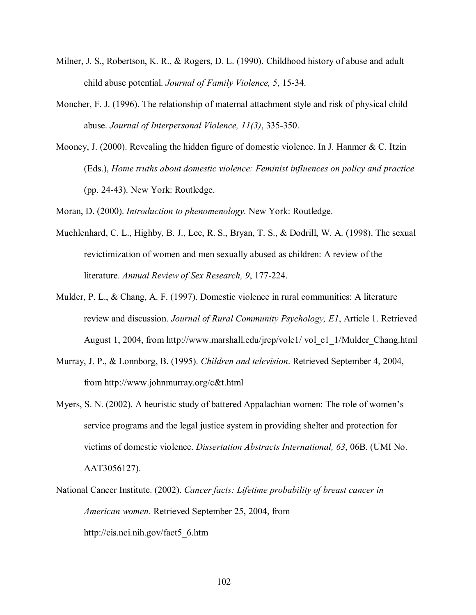- Milner, J. S., Robertson, K. R., & Rogers, D. L. (1990). Childhood history of abuse and adult child abuse potential. *Journal of Family Violence, 5*, 15-34.
- Moncher, F. J. (1996). The relationship of maternal attachment style and risk of physical child abuse. *Journal of Interpersonal Violence, 11(3)*, 335-350.
- Mooney, J. (2000). Revealing the hidden figure of domestic violence. In J. Hanmer & C. Itzin (Eds.), *Home truths about domestic violence: Feminist influences on policy and practice* (pp. 24-43). New York: Routledge.

Moran, D. (2000). *Introduction to phenomenology.* New York: Routledge.

- Muehlenhard, C. L., Highby, B. J., Lee, R. S., Bryan, T. S., & Dodrill, W. A. (1998). The sexual revictimization of women and men sexually abused as children: A review of the literature. *Annual Review of Sex Research, 9*, 177-224.
- Mulder, P. L., & Chang, A. F. (1997). Domestic violence in rural communities: A literature review and discussion. *Journal of Rural Community Psychology, E1*, Article 1. Retrieved August 1, 2004, from http://www.marshall.edu/jrcp/vole1/ vol\_e1\_1/Mulder\_Chang.html
- Murray, J. P., & Lonnborg, B. (1995). *Children and television*. Retrieved September 4, 2004, from http://www.johnmurray.org/c&t.html
- Myers, S. N. (2002). A heuristic study of battered Appalachian women: The role of women's service programs and the legal justice system in providing shelter and protection for victims of domestic violence. *Dissertation Abstracts International, 63*, 06B. (UMI No. AAT3056127).
- National Cancer Institute. (2002). *Cancer facts: Lifetime probability of breast cancer in American women*. Retrieved September 25, 2004, from http://cis.nci.nih.gov/fact5\_6.htm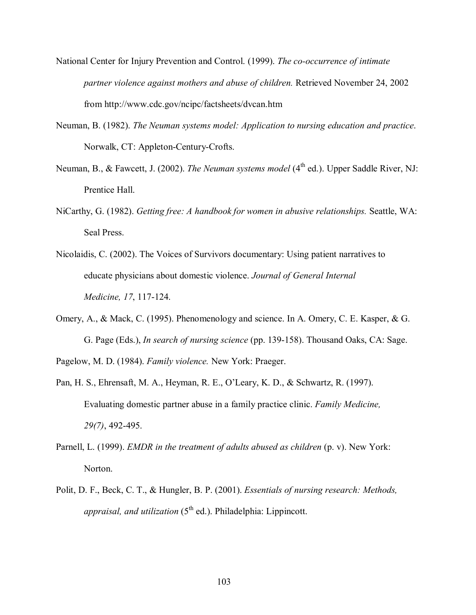- National Center for Injury Prevention and Control. (1999). *The co-occurrence of intimate partner violence against mothers and abuse of children.* Retrieved November 24, 2002 from http://www.cdc.gov/ncipc/factsheets/dvcan.htm
- Neuman, B. (1982). *The Neuman systems model: Application to nursing education and practice*. Norwalk, CT: Appleton-Century-Crofts.
- Neuman, B., & Fawcett, J. (2002). *The Neuman systems model* (4<sup>th</sup> ed.). Upper Saddle River, NJ: Prentice Hall.
- NiCarthy, G. (1982). *Getting free: A handbook for women in abusive relationships.* Seattle, WA: Seal Press.
- Nicolaidis, C. (2002). The Voices of Survivors documentary: Using patient narratives to educate physicians about domestic violence. *Journal of General Internal Medicine, 17*, 117-124.
- Omery, A., & Mack, C. (1995). Phenomenology and science. In A. Omery, C. E. Kasper, & G. G. Page (Eds.), *In search of nursing science* (pp. 139-158). Thousand Oaks, CA: Sage.

Pagelow, M. D. (1984). *Family violence.* New York: Praeger.

- Pan, H. S., Ehrensaft, M. A., Heyman, R. E., O'Leary, K. D., & Schwartz, R. (1997). Evaluating domestic partner abuse in a family practice clinic. *Family Medicine, 29(7)*, 492-495.
- Parnell, L. (1999). *EMDR in the treatment of adults abused as children* (p. v). New York: Norton.
- Polit, D. F., Beck, C. T., & Hungler, B. P. (2001). *Essentials of nursing research: Methods, appraisal, and utilization* (5<sup>th</sup> ed.). Philadelphia: Lippincott.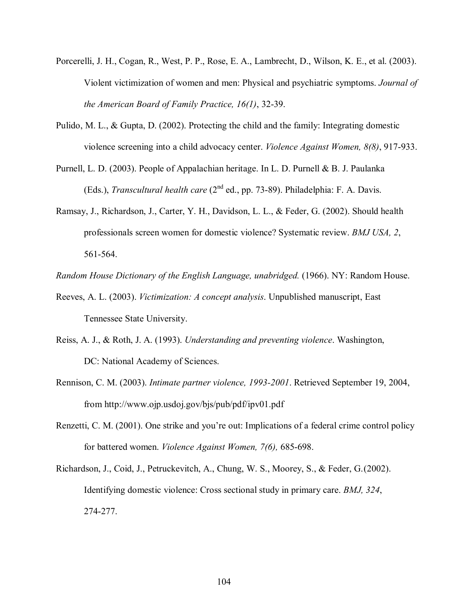- Porcerelli, J. H., Cogan, R., West, P. P., Rose, E. A., Lambrecht, D., Wilson, K. E., et al. (2003). Violent victimization of women and men: Physical and psychiatric symptoms. *Journal of the American Board of Family Practice, 16(1)*, 32-39.
- Pulido, M. L., & Gupta, D. (2002). Protecting the child and the family: Integrating domestic violence screening into a child advocacy center. *Violence Against Women, 8(8)*, 917-933.
- Purnell, L. D. (2003). People of Appalachian heritage. In L. D. Purnell & B. J. Paulanka (Eds.), *Transcultural health care* (2nd ed., pp. 73-89). Philadelphia: F. A. Davis.
- Ramsay, J., Richardson, J., Carter, Y. H., Davidson, L. L., & Feder, G. (2002). Should health professionals screen women for domestic violence? Systematic review. *BMJ USA, 2*, 561-564.

*Random House Dictionary of the English Language, unabridged.* (1966). NY: Random House.

- Reeves, A. L. (2003). *Victimization: A concept analysis*. Unpublished manuscript, East Tennessee State University.
- Reiss, A. J., & Roth, J. A. (1993). *Understanding and preventing violence*. Washington, DC: National Academy of Sciences.
- Rennison, C. M. (2003). *Intimate partner violence, 1993-2001*. Retrieved September 19, 2004, from http://www.ojp.usdoj.gov/bjs/pub/pdf/ipv01.pdf
- Renzetti, C. M. (2001). One strike and you're out: Implications of a federal crime control policy for battered women. *Violence Against Women, 7(6),* 685-698.
- Richardson, J., Coid, J., Petruckevitch, A., Chung, W. S., Moorey, S., & Feder, G. (2002). Identifying domestic violence: Cross sectional study in primary care. *BMJ, 324*, 274-277.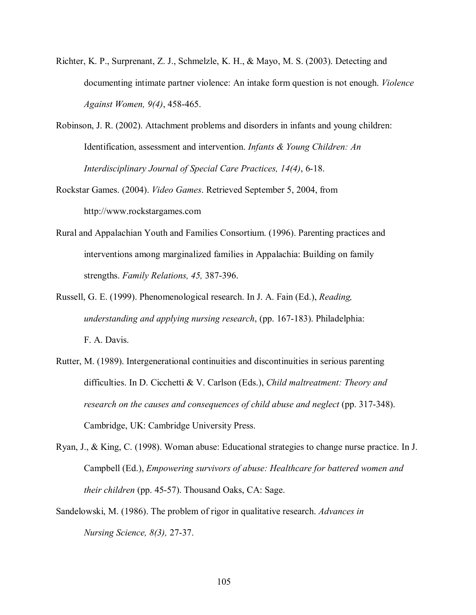- Richter, K. P., Surprenant, Z. J., Schmelzle, K. H., & Mayo, M. S. (2003). Detecting and documenting intimate partner violence: An intake form question is not enough. *Violence Against Women, 9(4)*, 458-465.
- Robinson, J. R. (2002). Attachment problems and disorders in infants and young children: Identification, assessment and intervention. *Infants & Young Children: An Interdisciplinary Journal of Special Care Practices, 14(4)*, 6-18.
- Rockstar Games. (2004). *Video Games*. Retrieved September 5, 2004, from http://www.rockstargames.com
- Rural and Appalachian Youth and Families Consortium. (1996). Parenting practices and interventions among marginalized families in Appalachia: Building on family strengths. *Family Relations, 45,* 387-396.
- Russell, G. E. (1999). Phenomenological research. In J. A. Fain (Ed.), *Reading, understanding and applying nursing research*, (pp. 167-183). Philadelphia: F. A. Davis.
- Rutter, M. (1989). Intergenerational continuities and discontinuities in serious parenting difficulties. In D. Cicchetti & V. Carlson (Eds.), *Child maltreatment: Theory and research on the causes and consequences of child abuse and neglect* (pp. 317-348). Cambridge, UK: Cambridge University Press.
- Ryan, J., & King, C. (1998). Woman abuse: Educational strategies to change nurse practice. In J. Campbell (Ed.), *Empowering survivors of abuse: Healthcare for battered women and their children* (pp. 45-57). Thousand Oaks, CA: Sage.
- Sandelowski, M. (1986). The problem of rigor in qualitative research. *Advances in Nursing Science, 8(3),* 27-37.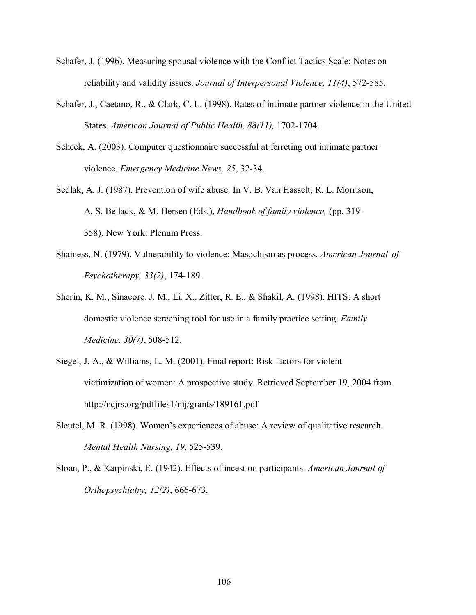- Schafer, J. (1996). Measuring spousal violence with the Conflict Tactics Scale: Notes on reliability and validity issues. *Journal of Interpersonal Violence, 11(4)*, 572-585.
- Schafer, J., Caetano, R., & Clark, C. L. (1998). Rates of intimate partner violence in the United States. *American Journal of Public Health, 88(11),* 1702-1704.
- Scheck, A. (2003). Computer questionnaire successful at ferreting out intimate partner violence. *Emergency Medicine News, 25*, 32-34.
- Sedlak, A. J. (1987). Prevention of wife abuse. In V. B. Van Hasselt, R. L. Morrison, A. S. Bellack, & M. Hersen (Eds.), *Handbook of family violence,* (pp. 319- 358). New York: Plenum Press.
- Shainess, N. (1979). Vulnerability to violence: Masochism as process. *American Journal of Psychotherapy, 33(2)*, 174-189.
- Sherin, K. M., Sinacore, J. M., Li, X., Zitter, R. E., & Shakil, A. (1998). HITS: A short domestic violence screening tool for use in a family practice setting. *Family Medicine, 30(7)*, 508-512.
- Siegel, J. A., & Williams, L. M. (2001). Final report: Risk factors for violent victimization of women: A prospective study. Retrieved September 19, 2004 from http://ncjrs.org/pdffiles1/nij/grants/189161.pdf
- Sleutel, M. R. (1998). Women's experiences of abuse: A review of qualitative research.  *Mental Health Nursing, 19*, 525-539.
- Sloan, P., & Karpinski, E. (1942). Effects of incest on participants. *American Journal of Orthopsychiatry, 12(2)*, 666-673.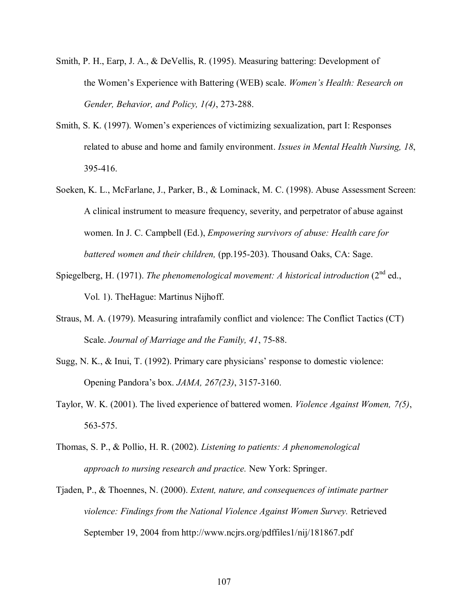- Smith, P. H., Earp, J. A., & DeVellis, R. (1995). Measuring battering: Development of the Womenís Experience with Battering (WEB) scale. *Womenís Health: Research on Gender, Behavior, and Policy, 1(4)*, 273-288.
- Smith, S. K. (1997). Womenís experiences of victimizing sexualization, part I: Responses related to abuse and home and family environment. *Issues in Mental Health Nursing, 18*, 395-416.
- Soeken, K. L., McFarlane, J., Parker, B., & Lominack, M. C. (1998). Abuse Assessment Screen: A clinical instrument to measure frequency, severity, and perpetrator of abuse against women. In J. C. Campbell (Ed.), *Empowering survivors of abuse: Health care for battered women and their children,* (pp.195-203). Thousand Oaks, CA: Sage.
- Spiegelberg, H. (1971). *The phenomenological movement: A historical introduction* (2<sup>nd</sup> ed., Vol. 1). TheHague: Martinus Nijhoff.
- Straus, M. A. (1979). Measuring intrafamily conflict and violence: The Conflict Tactics (CT) Scale. *Journal of Marriage and the Family, 41*, 75-88.
- Sugg, N. K.,  $\&$  Inui, T. (1992). Primary care physicians' response to domestic violence: Opening Pandoraís box. *JAMA, 267(23)*, 3157-3160.
- Taylor, W. K. (2001). The lived experience of battered women. *Violence Against Women, 7(5)*, 563-575.
- Thomas, S. P., & Pollio, H. R. (2002). *Listening to patients: A phenomenological approach to nursing research and practice.* New York: Springer.
- Tjaden, P., & Thoennes, N. (2000). *Extent, nature, and consequences of intimate partner violence: Findings from the National Violence Against Women Survey.* Retrieved September 19, 2004 from http://www.ncjrs.org/pdffiles1/nij/181867.pdf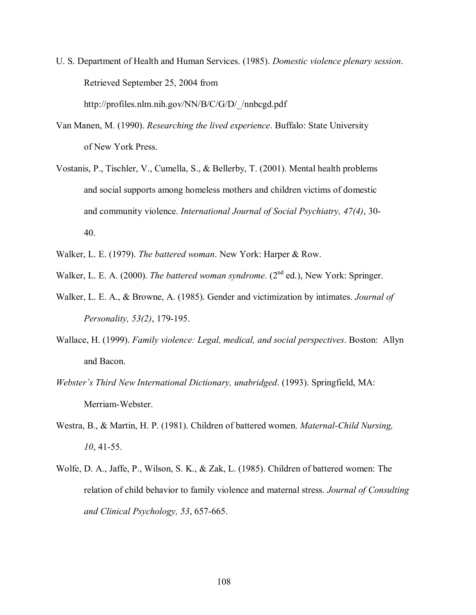- U. S. Department of Health and Human Services. (1985). *Domestic violence plenary session*. Retrieved September 25, 2004 from http://profiles.nlm.nih.gov/NN/B/C/G/D/\_/nnbcgd.pdf
- Van Manen, M. (1990). *Researching the lived experience*. Buffalo: State University of New York Press.
- Vostanis, P., Tischler, V., Cumella, S., & Bellerby, T. (2001). Mental health problems and social supports among homeless mothers and children victims of domestic and community violence. *International Journal of Social Psychiatry, 47(4)*, 30- 40.
- Walker, L. E. (1979). *The battered woman*. New York: Harper & Row.

Walker, L. E. A. (2000). *The battered woman syndrome*. (2<sup>nd</sup> ed.), New York: Springer.

- Walker, L. E. A., & Browne, A. (1985). Gender and victimization by intimates. *Journal of Personality, 53(2)*, 179-195.
- Wallace, H. (1999). *Family violence: Legal, medical, and social perspectives*. Boston: Allyn and Bacon.
- *Webster's Third New International Dictionary, unabridged.* (1993). Springfield, MA: Merriam-Webster.
- Westra, B., & Martin, H. P. (1981). Children of battered women. *Maternal-Child Nursing, 10*, 41-55.
- Wolfe, D. A., Jaffe, P., Wilson, S. K., & Zak, L. (1985). Children of battered women: The relation of child behavior to family violence and maternal stress. *Journal of Consulting and Clinical Psychology, 53*, 657-665.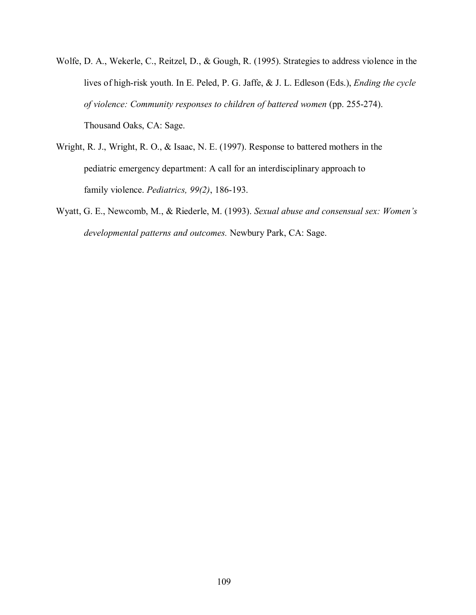- Wolfe, D. A., Wekerle, C., Reitzel, D., & Gough, R. (1995). Strategies to address violence in the lives of high-risk youth. In E. Peled, P. G. Jaffe, & J. L. Edleson (Eds.), *Ending the cycle of violence: Community responses to children of battered women* (pp. 255-274). Thousand Oaks, CA: Sage.
- Wright, R. J., Wright, R. O., & Isaac, N. E. (1997). Response to battered mothers in the pediatric emergency department: A call for an interdisciplinary approach to family violence. *Pediatrics, 99(2)*, 186-193.
- Wyatt, G. E., Newcomb, M., & Riederle, M. (1993). *Sexual abuse and consensual sex: Women's developmental patterns and outcomes.* Newbury Park, CA: Sage.